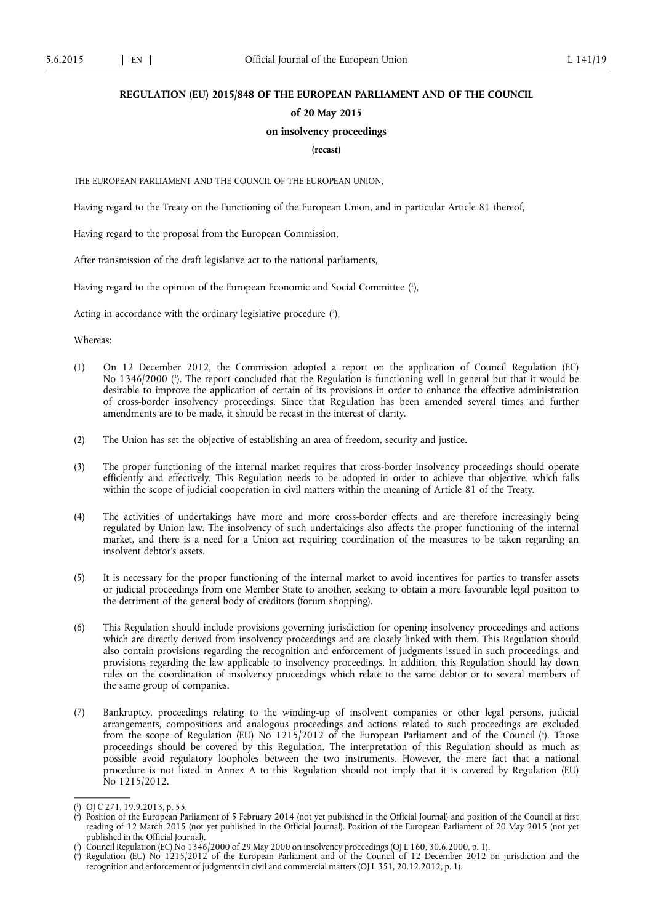# **REGULATION (EU) 2015/848 OF THE EUROPEAN PARLIAMENT AND OF THE COUNCIL**

### **of 20 May 2015**

### **on insolvency proceedings**

#### **(recast)**

THE EUROPEAN PARLIAMENT AND THE COUNCIL OF THE EUROPEAN UNION,

Having regard to the Treaty on the Functioning of the European Union, and in particular Article 81 thereof,

Having regard to the proposal from the European Commission,

After transmission of the draft legislative act to the national parliaments,

Having regard to the opinion of the European Economic and Social Committee ( 1 ),

Acting in accordance with the ordinary legislative procedure (2),

Whereas:

- (1) On 12 December 2012, the Commission adopted a report on the application of Council Regulation (EC) No 1346/2000 ( 3 ). The report concluded that the Regulation is functioning well in general but that it would be desirable to improve the application of certain of its provisions in order to enhance the effective administration of cross-border insolvency proceedings. Since that Regulation has been amended several times and further amendments are to be made, it should be recast in the interest of clarity.
- (2) The Union has set the objective of establishing an area of freedom, security and justice.
- (3) The proper functioning of the internal market requires that cross-border insolvency proceedings should operate efficiently and effectively. This Regulation needs to be adopted in order to achieve that objective, which falls within the scope of judicial cooperation in civil matters within the meaning of Article 81 of the Treaty.
- (4) The activities of undertakings have more and more cross-border effects and are therefore increasingly being regulated by Union law. The insolvency of such undertakings also affects the proper functioning of the internal market, and there is a need for a Union act requiring coordination of the measures to be taken regarding an insolvent debtor's assets.
- (5) It is necessary for the proper functioning of the internal market to avoid incentives for parties to transfer assets or judicial proceedings from one Member State to another, seeking to obtain a more favourable legal position to the detriment of the general body of creditors (forum shopping).
- (6) This Regulation should include provisions governing jurisdiction for opening insolvency proceedings and actions which are directly derived from insolvency proceedings and are closely linked with them. This Regulation should also contain provisions regarding the recognition and enforcement of judgments issued in such proceedings, and provisions regarding the law applicable to insolvency proceedings. In addition, this Regulation should lay down rules on the coordination of insolvency proceedings which relate to the same debtor or to several members of the same group of companies.
- (7) Bankruptcy, proceedings relating to the winding-up of insolvent companies or other legal persons, judicial arrangements, compositions and analogous proceedings and actions related to such proceedings are excluded from the scope of Regulation (EU) No 1215/2012 of the European Parliament and of the Council (<sup>4</sup>). Those proceedings should be covered by this Regulation. The interpretation of this Regulation should as much as possible avoid regulatory loopholes between the two instruments. However, the mere fact that a national procedure is not listed in Annex A to this Regulation should not imply that it is covered by Regulation (EU) No 1215/2012.

<sup>(</sup> 1 ) OJ C 271, 19.9.2013, p. 55.

<sup>(</sup> 2 ) Position of the European Parliament of 5 February 2014 (not yet published in the Official Journal) and position of the Council at first reading of 12 March 2015 (not yet published in the Official Journal). Position of the European Parliament of 20 May 2015 (not yet published in the Official Journal).

<sup>(</sup> 3 ) Council Regulation (EC) No 1346/2000 of 29 May 2000 on insolvency proceedings (OJ L 160, 30.6.2000, p. 1).

<sup>(</sup> 4 ) Regulation (EU) No 1215/2012 of the European Parliament and of the Council of 12 December 2012 on jurisdiction and the recognition and enforcement of judgments in civil and commercial matters (OJ L 351, 20.12.2012, p. 1).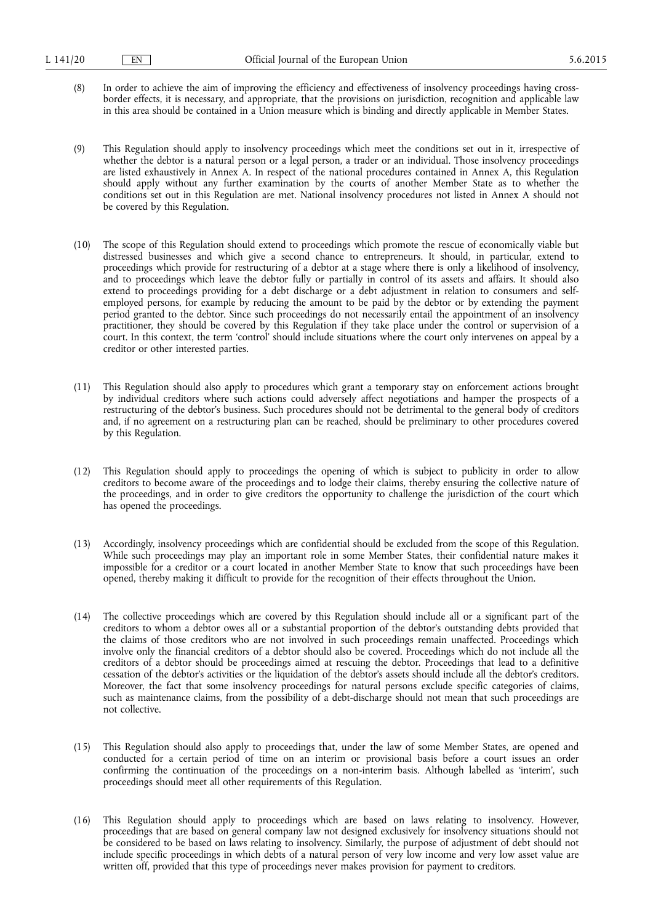- (8) In order to achieve the aim of improving the efficiency and effectiveness of insolvency proceedings having crossborder effects, it is necessary, and appropriate, that the provisions on jurisdiction, recognition and applicable law in this area should be contained in a Union measure which is binding and directly applicable in Member States.
- (9) This Regulation should apply to insolvency proceedings which meet the conditions set out in it, irrespective of whether the debtor is a natural person or a legal person, a trader or an individual. Those insolvency proceedings are listed exhaustively in Annex A. In respect of the national procedures contained in Annex A, this Regulation should apply without any further examination by the courts of another Member State as to whether the conditions set out in this Regulation are met. National insolvency procedures not listed in Annex A should not be covered by this Regulation.
- (10) The scope of this Regulation should extend to proceedings which promote the rescue of economically viable but distressed businesses and which give a second chance to entrepreneurs. It should, in particular, extend to proceedings which provide for restructuring of a debtor at a stage where there is only a likelihood of insolvency, and to proceedings which leave the debtor fully or partially in control of its assets and affairs. It should also extend to proceedings providing for a debt discharge or a debt adjustment in relation to consumers and selfemployed persons, for example by reducing the amount to be paid by the debtor or by extending the payment period granted to the debtor. Since such proceedings do not necessarily entail the appointment of an insolvency practitioner, they should be covered by this Regulation if they take place under the control or supervision of a court. In this context, the term 'control' should include situations where the court only intervenes on appeal by a creditor or other interested parties.
- (11) This Regulation should also apply to procedures which grant a temporary stay on enforcement actions brought by individual creditors where such actions could adversely affect negotiations and hamper the prospects of a restructuring of the debtor's business. Such procedures should not be detrimental to the general body of creditors and, if no agreement on a restructuring plan can be reached, should be preliminary to other procedures covered by this Regulation.
- (12) This Regulation should apply to proceedings the opening of which is subject to publicity in order to allow creditors to become aware of the proceedings and to lodge their claims, thereby ensuring the collective nature of the proceedings, and in order to give creditors the opportunity to challenge the jurisdiction of the court which has opened the proceedings.
- (13) Accordingly, insolvency proceedings which are confidential should be excluded from the scope of this Regulation. While such proceedings may play an important role in some Member States, their confidential nature makes it impossible for a creditor or a court located in another Member State to know that such proceedings have been opened, thereby making it difficult to provide for the recognition of their effects throughout the Union.
- (14) The collective proceedings which are covered by this Regulation should include all or a significant part of the creditors to whom a debtor owes all or a substantial proportion of the debtor's outstanding debts provided that the claims of those creditors who are not involved in such proceedings remain unaffected. Proceedings which involve only the financial creditors of a debtor should also be covered. Proceedings which do not include all the creditors of a debtor should be proceedings aimed at rescuing the debtor. Proceedings that lead to a definitive cessation of the debtor's activities or the liquidation of the debtor's assets should include all the debtor's creditors. Moreover, the fact that some insolvency proceedings for natural persons exclude specific categories of claims, such as maintenance claims, from the possibility of a debt-discharge should not mean that such proceedings are not collective.
- (15) This Regulation should also apply to proceedings that, under the law of some Member States, are opened and conducted for a certain period of time on an interim or provisional basis before a court issues an order confirming the continuation of the proceedings on a non-interim basis. Although labelled as 'interim', such proceedings should meet all other requirements of this Regulation.
- (16) This Regulation should apply to proceedings which are based on laws relating to insolvency. However, proceedings that are based on general company law not designed exclusively for insolvency situations should not be considered to be based on laws relating to insolvency. Similarly, the purpose of adjustment of debt should not include specific proceedings in which debts of a natural person of very low income and very low asset value are written off, provided that this type of proceedings never makes provision for payment to creditors.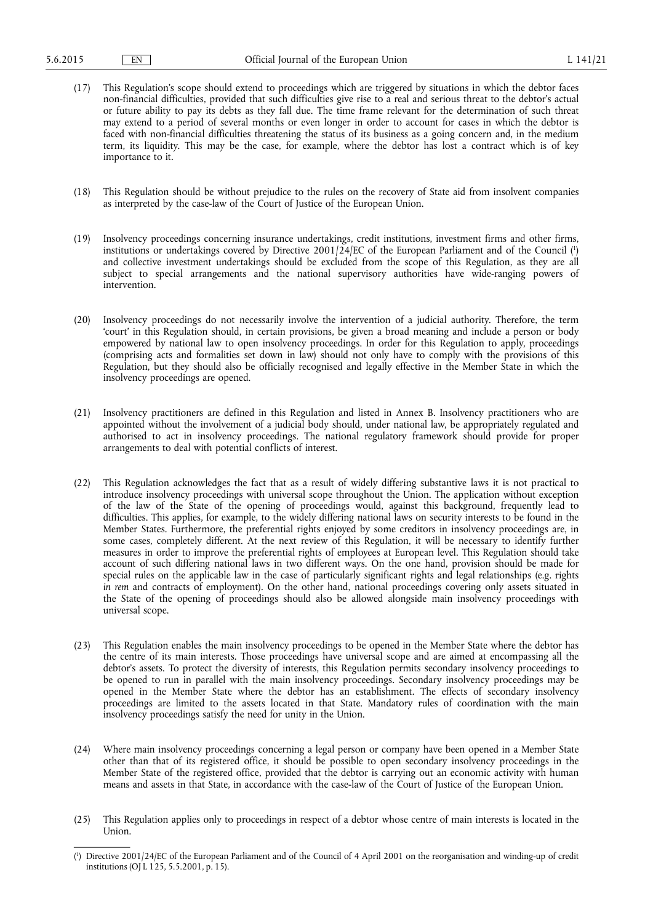- (17) This Regulation's scope should extend to proceedings which are triggered by situations in which the debtor faces non-financial difficulties, provided that such difficulties give rise to a real and serious threat to the debtor's actual or future ability to pay its debts as they fall due. The time frame relevant for the determination of such threat may extend to a period of several months or even longer in order to account for cases in which the debtor is faced with non-financial difficulties threatening the status of its business as a going concern and, in the medium term, its liquidity. This may be the case, for example, where the debtor has lost a contract which is of key importance to it.
- (18) This Regulation should be without prejudice to the rules on the recovery of State aid from insolvent companies as interpreted by the case-law of the Court of Justice of the European Union.
- (19) Insolvency proceedings concerning insurance undertakings, credit institutions, investment firms and other firms, institutions or undertakings covered by Directive 2001/24/EC of the European Parliament and of the Council ( 1 ) and collective investment undertakings should be excluded from the scope of this Regulation, as they are all subject to special arrangements and the national supervisory authorities have wide-ranging powers of intervention.
- (20) Insolvency proceedings do not necessarily involve the intervention of a judicial authority. Therefore, the term 'court' in this Regulation should, in certain provisions, be given a broad meaning and include a person or body empowered by national law to open insolvency proceedings. In order for this Regulation to apply, proceedings (comprising acts and formalities set down in law) should not only have to comply with the provisions of this Regulation, but they should also be officially recognised and legally effective in the Member State in which the insolvency proceedings are opened.
- (21) Insolvency practitioners are defined in this Regulation and listed in Annex B. Insolvency practitioners who are appointed without the involvement of a judicial body should, under national law, be appropriately regulated and authorised to act in insolvency proceedings. The national regulatory framework should provide for proper arrangements to deal with potential conflicts of interest.
- (22) This Regulation acknowledges the fact that as a result of widely differing substantive laws it is not practical to introduce insolvency proceedings with universal scope throughout the Union. The application without exception of the law of the State of the opening of proceedings would, against this background, frequently lead to difficulties. This applies, for example, to the widely differing national laws on security interests to be found in the Member States. Furthermore, the preferential rights enjoyed by some creditors in insolvency proceedings are, in some cases, completely different. At the next review of this Regulation, it will be necessary to identify further measures in order to improve the preferential rights of employees at European level. This Regulation should take account of such differing national laws in two different ways. On the one hand, provision should be made for special rules on the applicable law in the case of particularly significant rights and legal relationships (e.g. rights *in rem* and contracts of employment). On the other hand, national proceedings covering only assets situated in the State of the opening of proceedings should also be allowed alongside main insolvency proceedings with universal scope.
- (23) This Regulation enables the main insolvency proceedings to be opened in the Member State where the debtor has the centre of its main interests. Those proceedings have universal scope and are aimed at encompassing all the debtor's assets. To protect the diversity of interests, this Regulation permits secondary insolvency proceedings to be opened to run in parallel with the main insolvency proceedings. Secondary insolvency proceedings may be opened in the Member State where the debtor has an establishment. The effects of secondary insolvency proceedings are limited to the assets located in that State. Mandatory rules of coordination with the main insolvency proceedings satisfy the need for unity in the Union.
- (24) Where main insolvency proceedings concerning a legal person or company have been opened in a Member State other than that of its registered office, it should be possible to open secondary insolvency proceedings in the Member State of the registered office, provided that the debtor is carrying out an economic activity with human means and assets in that State, in accordance with the case-law of the Court of Justice of the European Union.
- (25) This Regulation applies only to proceedings in respect of a debtor whose centre of main interests is located in the Union.

<sup>(</sup> 1 ) Directive 2001/24/EC of the European Parliament and of the Council of 4 April 2001 on the reorganisation and winding-up of credit institutions (OJ L 125, 5.5.2001, p. 15).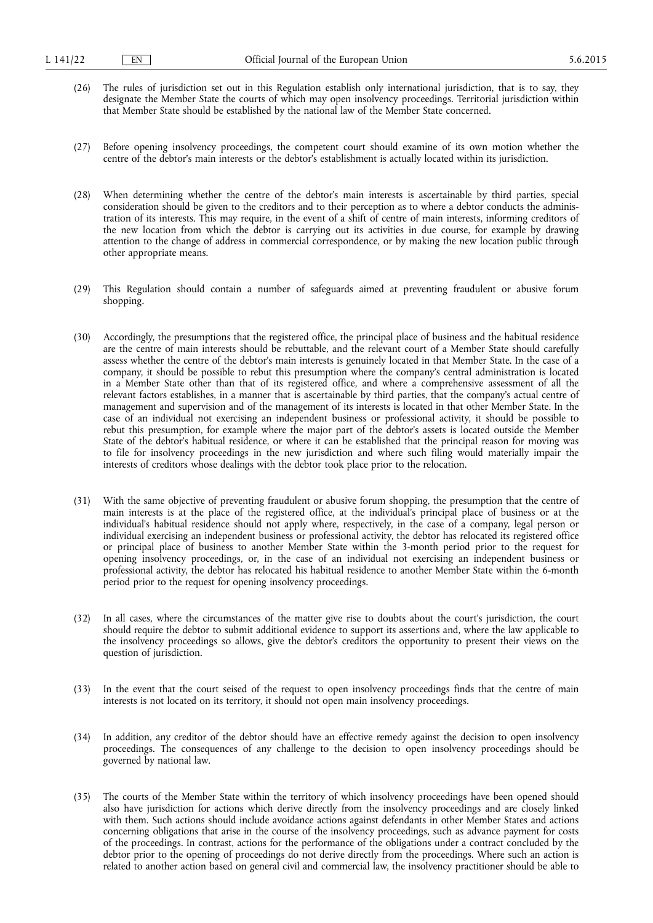- (26) The rules of jurisdiction set out in this Regulation establish only international jurisdiction, that is to say, they designate the Member State the courts of which may open insolvency proceedings. Territorial jurisdiction within that Member State should be established by the national law of the Member State concerned.
- (27) Before opening insolvency proceedings, the competent court should examine of its own motion whether the centre of the debtor's main interests or the debtor's establishment is actually located within its jurisdiction.
- (28) When determining whether the centre of the debtor's main interests is ascertainable by third parties, special consideration should be given to the creditors and to their perception as to where a debtor conducts the administration of its interests. This may require, in the event of a shift of centre of main interests, informing creditors of the new location from which the debtor is carrying out its activities in due course, for example by drawing attention to the change of address in commercial correspondence, or by making the new location public through other appropriate means.
- (29) This Regulation should contain a number of safeguards aimed at preventing fraudulent or abusive forum shopping.
- (30) Accordingly, the presumptions that the registered office, the principal place of business and the habitual residence are the centre of main interests should be rebuttable, and the relevant court of a Member State should carefully assess whether the centre of the debtor's main interests is genuinely located in that Member State. In the case of a company, it should be possible to rebut this presumption where the company's central administration is located in a Member State other than that of its registered office, and where a comprehensive assessment of all the relevant factors establishes, in a manner that is ascertainable by third parties, that the company's actual centre of management and supervision and of the management of its interests is located in that other Member State. In the case of an individual not exercising an independent business or professional activity, it should be possible to rebut this presumption, for example where the major part of the debtor's assets is located outside the Member State of the debtor's habitual residence, or where it can be established that the principal reason for moving was to file for insolvency proceedings in the new jurisdiction and where such filing would materially impair the interests of creditors whose dealings with the debtor took place prior to the relocation.
- (31) With the same objective of preventing fraudulent or abusive forum shopping, the presumption that the centre of main interests is at the place of the registered office, at the individual's principal place of business or at the individual's habitual residence should not apply where, respectively, in the case of a company, legal person or individual exercising an independent business or professional activity, the debtor has relocated its registered office or principal place of business to another Member State within the 3-month period prior to the request for opening insolvency proceedings, or, in the case of an individual not exercising an independent business or professional activity, the debtor has relocated his habitual residence to another Member State within the 6-month period prior to the request for opening insolvency proceedings.
- (32) In all cases, where the circumstances of the matter give rise to doubts about the court's jurisdiction, the court should require the debtor to submit additional evidence to support its assertions and, where the law applicable to the insolvency proceedings so allows, give the debtor's creditors the opportunity to present their views on the question of jurisdiction.
- (33) In the event that the court seised of the request to open insolvency proceedings finds that the centre of main interests is not located on its territory, it should not open main insolvency proceedings.
- (34) In addition, any creditor of the debtor should have an effective remedy against the decision to open insolvency proceedings. The consequences of any challenge to the decision to open insolvency proceedings should be governed by national law.
- (35) The courts of the Member State within the territory of which insolvency proceedings have been opened should also have jurisdiction for actions which derive directly from the insolvency proceedings and are closely linked with them. Such actions should include avoidance actions against defendants in other Member States and actions concerning obligations that arise in the course of the insolvency proceedings, such as advance payment for costs of the proceedings. In contrast, actions for the performance of the obligations under a contract concluded by the debtor prior to the opening of proceedings do not derive directly from the proceedings. Where such an action is related to another action based on general civil and commercial law, the insolvency practitioner should be able to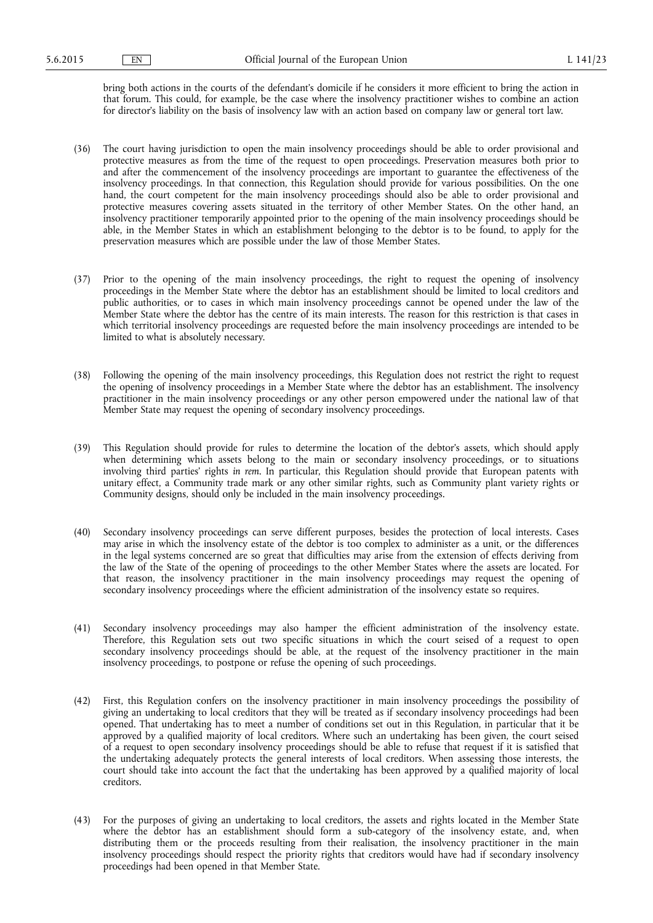bring both actions in the courts of the defendant's domicile if he considers it more efficient to bring the action in that forum. This could, for example, be the case where the insolvency practitioner wishes to combine an action for director's liability on the basis of insolvency law with an action based on company law or general tort law.

- (36) The court having jurisdiction to open the main insolvency proceedings should be able to order provisional and protective measures as from the time of the request to open proceedings. Preservation measures both prior to and after the commencement of the insolvency proceedings are important to guarantee the effectiveness of the insolvency proceedings. In that connection, this Regulation should provide for various possibilities. On the one hand, the court competent for the main insolvency proceedings should also be able to order provisional and protective measures covering assets situated in the territory of other Member States. On the other hand, an insolvency practitioner temporarily appointed prior to the opening of the main insolvency proceedings should be able, in the Member States in which an establishment belonging to the debtor is to be found, to apply for the preservation measures which are possible under the law of those Member States.
- (37) Prior to the opening of the main insolvency proceedings, the right to request the opening of insolvency proceedings in the Member State where the debtor has an establishment should be limited to local creditors and public authorities, or to cases in which main insolvency proceedings cannot be opened under the law of the Member State where the debtor has the centre of its main interests. The reason for this restriction is that cases in which territorial insolvency proceedings are requested before the main insolvency proceedings are intended to be limited to what is absolutely necessary.
- (38) Following the opening of the main insolvency proceedings, this Regulation does not restrict the right to request the opening of insolvency proceedings in a Member State where the debtor has an establishment. The insolvency practitioner in the main insolvency proceedings or any other person empowered under the national law of that Member State may request the opening of secondary insolvency proceedings.
- (39) This Regulation should provide for rules to determine the location of the debtor's assets, which should apply when determining which assets belong to the main or secondary insolvency proceedings, or to situations involving third parties' rights *in rem*. In particular, this Regulation should provide that European patents with unitary effect, a Community trade mark or any other similar rights, such as Community plant variety rights or Community designs, should only be included in the main insolvency proceedings.
- (40) Secondary insolvency proceedings can serve different purposes, besides the protection of local interests. Cases may arise in which the insolvency estate of the debtor is too complex to administer as a unit, or the differences in the legal systems concerned are so great that difficulties may arise from the extension of effects deriving from the law of the State of the opening of proceedings to the other Member States where the assets are located. For that reason, the insolvency practitioner in the main insolvency proceedings may request the opening of secondary insolvency proceedings where the efficient administration of the insolvency estate so requires.
- (41) Secondary insolvency proceedings may also hamper the efficient administration of the insolvency estate. Therefore, this Regulation sets out two specific situations in which the court seised of a request to open secondary insolvency proceedings should be able, at the request of the insolvency practitioner in the main insolvency proceedings, to postpone or refuse the opening of such proceedings.
- (42) First, this Regulation confers on the insolvency practitioner in main insolvency proceedings the possibility of giving an undertaking to local creditors that they will be treated as if secondary insolvency proceedings had been opened. That undertaking has to meet a number of conditions set out in this Regulation, in particular that it be approved by a qualified majority of local creditors. Where such an undertaking has been given, the court seised of a request to open secondary insolvency proceedings should be able to refuse that request if it is satisfied that the undertaking adequately protects the general interests of local creditors. When assessing those interests, the court should take into account the fact that the undertaking has been approved by a qualified majority of local creditors.
- (43) For the purposes of giving an undertaking to local creditors, the assets and rights located in the Member State where the debtor has an establishment should form a sub-category of the insolvency estate, and, when distributing them or the proceeds resulting from their realisation, the insolvency practitioner in the main insolvency proceedings should respect the priority rights that creditors would have had if secondary insolvency proceedings had been opened in that Member State.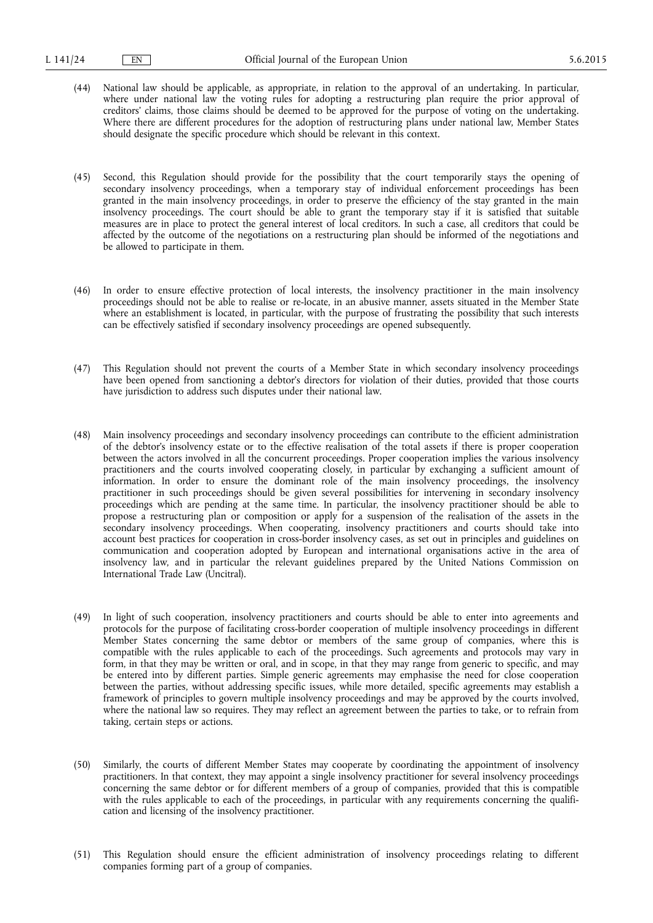- (44) National law should be applicable, as appropriate, in relation to the approval of an undertaking. In particular, where under national law the voting rules for adopting a restructuring plan require the prior approval of creditors' claims, those claims should be deemed to be approved for the purpose of voting on the undertaking. Where there are different procedures for the adoption of restructuring plans under national law, Member States should designate the specific procedure which should be relevant in this context.
- (45) Second, this Regulation should provide for the possibility that the court temporarily stays the opening of secondary insolvency proceedings, when a temporary stay of individual enforcement proceedings has been granted in the main insolvency proceedings, in order to preserve the efficiency of the stay granted in the main insolvency proceedings. The court should be able to grant the temporary stay if it is satisfied that suitable measures are in place to protect the general interest of local creditors. In such a case, all creditors that could be affected by the outcome of the negotiations on a restructuring plan should be informed of the negotiations and be allowed to participate in them.
- (46) In order to ensure effective protection of local interests, the insolvency practitioner in the main insolvency proceedings should not be able to realise or re-locate, in an abusive manner, assets situated in the Member State where an establishment is located, in particular, with the purpose of frustrating the possibility that such interests can be effectively satisfied if secondary insolvency proceedings are opened subsequently.
- (47) This Regulation should not prevent the courts of a Member State in which secondary insolvency proceedings have been opened from sanctioning a debtor's directors for violation of their duties, provided that those courts have jurisdiction to address such disputes under their national law.
- (48) Main insolvency proceedings and secondary insolvency proceedings can contribute to the efficient administration of the debtor's insolvency estate or to the effective realisation of the total assets if there is proper cooperation between the actors involved in all the concurrent proceedings. Proper cooperation implies the various insolvency practitioners and the courts involved cooperating closely, in particular by exchanging a sufficient amount of information. In order to ensure the dominant role of the main insolvency proceedings, the insolvency practitioner in such proceedings should be given several possibilities for intervening in secondary insolvency proceedings which are pending at the same time. In particular, the insolvency practitioner should be able to propose a restructuring plan or composition or apply for a suspension of the realisation of the assets in the secondary insolvency proceedings. When cooperating, insolvency practitioners and courts should take into account best practices for cooperation in cross-border insolvency cases, as set out in principles and guidelines on communication and cooperation adopted by European and international organisations active in the area of insolvency law, and in particular the relevant guidelines prepared by the United Nations Commission on International Trade Law (Uncitral).
- (49) In light of such cooperation, insolvency practitioners and courts should be able to enter into agreements and protocols for the purpose of facilitating cross-border cooperation of multiple insolvency proceedings in different Member States concerning the same debtor or members of the same group of companies, where this is compatible with the rules applicable to each of the proceedings. Such agreements and protocols may vary in form, in that they may be written or oral, and in scope, in that they may range from generic to specific, and may be entered into by different parties. Simple generic agreements may emphasise the need for close cooperation between the parties, without addressing specific issues, while more detailed, specific agreements may establish a framework of principles to govern multiple insolvency proceedings and may be approved by the courts involved, where the national law so requires. They may reflect an agreement between the parties to take, or to refrain from taking, certain steps or actions.
- (50) Similarly, the courts of different Member States may cooperate by coordinating the appointment of insolvency practitioners. In that context, they may appoint a single insolvency practitioner for several insolvency proceedings concerning the same debtor or for different members of a group of companies, provided that this is compatible with the rules applicable to each of the proceedings, in particular with any requirements concerning the qualification and licensing of the insolvency practitioner.
- (51) This Regulation should ensure the efficient administration of insolvency proceedings relating to different companies forming part of a group of companies.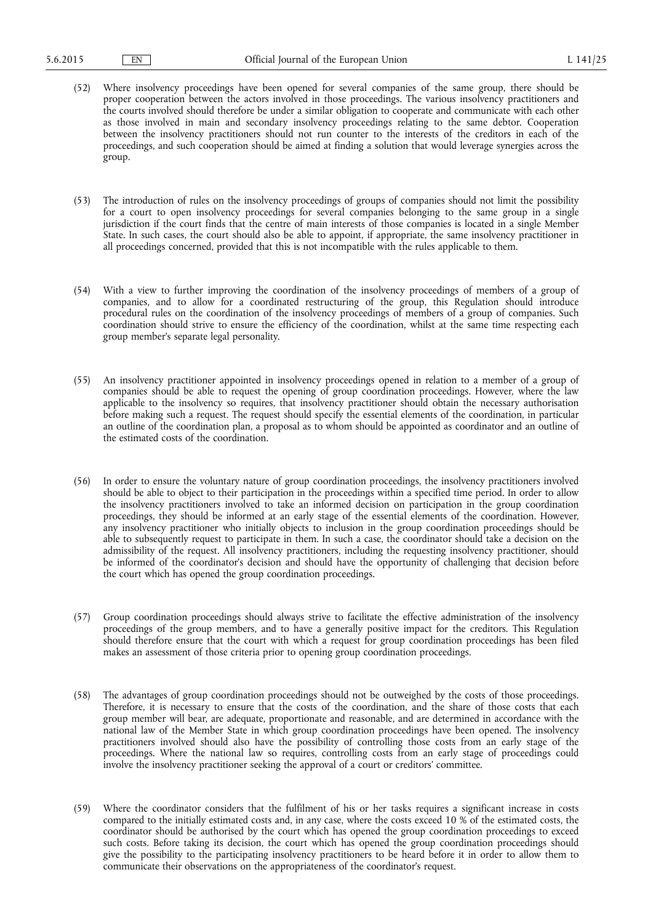- (52) Where insolvency proceedings have been opened for several companies of the same group, there should be proper cooperation between the actors involved in those proceedings. The various insolvency practitioners and the courts involved should therefore be under a similar obligation to cooperate and communicate with each other as those involved in main and secondary insolvency proceedings relating to the same debtor. Cooperation between the insolvency practitioners should not run counter to the interests of the creditors in each of the proceedings, and such cooperation should be aimed at finding a solution that would leverage synergies across the group.
- (53) The introduction of rules on the insolvency proceedings of groups of companies should not limit the possibility for a court to open insolvency proceedings for several companies belonging to the same group in a single jurisdiction if the court finds that the centre of main interests of those companies is located in a single Member State. In such cases, the court should also be able to appoint, if appropriate, the same insolvency practitioner in all proceedings concerned, provided that this is not incompatible with the rules applicable to them.
- (54) With a view to further improving the coordination of the insolvency proceedings of members of a group of companies, and to allow for a coordinated restructuring of the group, this Regulation should introduce procedural rules on the coordination of the insolvency proceedings of members of a group of companies. Such coordination should strive to ensure the efficiency of the coordination, whilst at the same time respecting each group member's separate legal personality.
- (55) An insolvency practitioner appointed in insolvency proceedings opened in relation to a member of a group of companies should be able to request the opening of group coordination proceedings. However, where the law applicable to the insolvency so requires, that insolvency practitioner should obtain the necessary authorisation before making such a request. The request should specify the essential elements of the coordination, in particular an outline of the coordination plan, a proposal as to whom should be appointed as coordinator and an outline of the estimated costs of the coordination.
- (56) In order to ensure the voluntary nature of group coordination proceedings, the insolvency practitioners involved should be able to object to their participation in the proceedings within a specified time period. In order to allow the insolvency practitioners involved to take an informed decision on participation in the group coordination proceedings, they should be informed at an early stage of the essential elements of the coordination. However, any insolvency practitioner who initially objects to inclusion in the group coordination proceedings should be able to subsequently request to participate in them. In such a case, the coordinator should take a decision on the admissibility of the request. All insolvency practitioners, including the requesting insolvency practitioner, should be informed of the coordinator's decision and should have the opportunity of challenging that decision before the court which has opened the group coordination proceedings.
- (57) Group coordination proceedings should always strive to facilitate the effective administration of the insolvency proceedings of the group members, and to have a generally positive impact for the creditors. This Regulation should therefore ensure that the court with which a request for group coordination proceedings has been filed makes an assessment of those criteria prior to opening group coordination proceedings.
- (58) The advantages of group coordination proceedings should not be outweighed by the costs of those proceedings. Therefore, it is necessary to ensure that the costs of the coordination, and the share of those costs that each group member will bear, are adequate, proportionate and reasonable, and are determined in accordance with the national law of the Member State in which group coordination proceedings have been opened. The insolvency practitioners involved should also have the possibility of controlling those costs from an early stage of the proceedings. Where the national law so requires, controlling costs from an early stage of proceedings could involve the insolvency practitioner seeking the approval of a court or creditors' committee.
- (59) Where the coordinator considers that the fulfilment of his or her tasks requires a significant increase in costs compared to the initially estimated costs and, in any case, where the costs exceed 10 % of the estimated costs, the coordinator should be authorised by the court which has opened the group coordination proceedings to exceed such costs. Before taking its decision, the court which has opened the group coordination proceedings should give the possibility to the participating insolvency practitioners to be heard before it in order to allow them to communicate their observations on the appropriateness of the coordinator's request.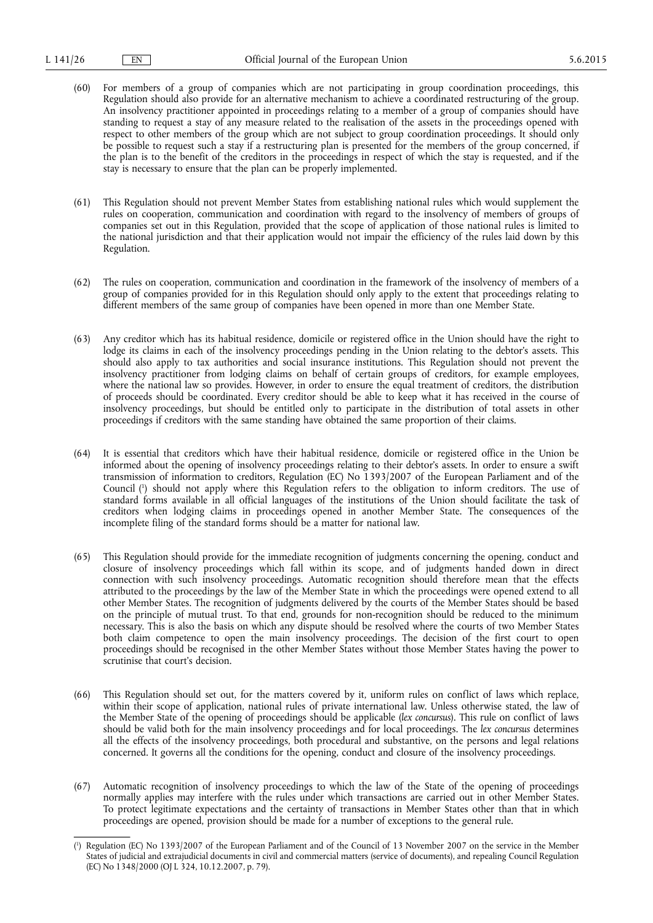- (60) For members of a group of companies which are not participating in group coordination proceedings, this Regulation should also provide for an alternative mechanism to achieve a coordinated restructuring of the group. An insolvency practitioner appointed in proceedings relating to a member of a group of companies should have standing to request a stay of any measure related to the realisation of the assets in the proceedings opened with respect to other members of the group which are not subject to group coordination proceedings. It should only be possible to request such a stay if a restructuring plan is presented for the members of the group concerned, if the plan is to the benefit of the creditors in the proceedings in respect of which the stay is requested, and if the stay is necessary to ensure that the plan can be properly implemented.
- (61) This Regulation should not prevent Member States from establishing national rules which would supplement the rules on cooperation, communication and coordination with regard to the insolvency of members of groups of companies set out in this Regulation, provided that the scope of application of those national rules is limited to the national jurisdiction and that their application would not impair the efficiency of the rules laid down by this Regulation.
- (62) The rules on cooperation, communication and coordination in the framework of the insolvency of members of a group of companies provided for in this Regulation should only apply to the extent that proceedings relating to different members of the same group of companies have been opened in more than one Member State.
- (63) Any creditor which has its habitual residence, domicile or registered office in the Union should have the right to lodge its claims in each of the insolvency proceedings pending in the Union relating to the debtor's assets. This should also apply to tax authorities and social insurance institutions. This Regulation should not prevent the insolvency practitioner from lodging claims on behalf of certain groups of creditors, for example employees, where the national law so provides. However, in order to ensure the equal treatment of creditors, the distribution of proceeds should be coordinated. Every creditor should be able to keep what it has received in the course of insolvency proceedings, but should be entitled only to participate in the distribution of total assets in other proceedings if creditors with the same standing have obtained the same proportion of their claims.
- (64) It is essential that creditors which have their habitual residence, domicile or registered office in the Union be informed about the opening of insolvency proceedings relating to their debtor's assets. In order to ensure a swift transmission of information to creditors, Regulation (EC) No 1393/2007 of the European Parliament and of the Council ( 1 ) should not apply where this Regulation refers to the obligation to inform creditors. The use of standard forms available in all official languages of the institutions of the Union should facilitate the task of creditors when lodging claims in proceedings opened in another Member State. The consequences of the incomplete filing of the standard forms should be a matter for national law.
- (65) This Regulation should provide for the immediate recognition of judgments concerning the opening, conduct and closure of insolvency proceedings which fall within its scope, and of judgments handed down in direct connection with such insolvency proceedings. Automatic recognition should therefore mean that the effects attributed to the proceedings by the law of the Member State in which the proceedings were opened extend to all other Member States. The recognition of judgments delivered by the courts of the Member States should be based on the principle of mutual trust. To that end, grounds for non-recognition should be reduced to the minimum necessary. This is also the basis on which any dispute should be resolved where the courts of two Member States both claim competence to open the main insolvency proceedings. The decision of the first court to open proceedings should be recognised in the other Member States without those Member States having the power to scrutinise that court's decision.
- (66) This Regulation should set out, for the matters covered by it, uniform rules on conflict of laws which replace, within their scope of application, national rules of private international law. Unless otherwise stated, the law of the Member State of the opening of proceedings should be applicable (*lex concursus*). This rule on conflict of laws should be valid both for the main insolvency proceedings and for local proceedings. The *lex concursus* determines all the effects of the insolvency proceedings, both procedural and substantive, on the persons and legal relations concerned. It governs all the conditions for the opening, conduct and closure of the insolvency proceedings.
- (67) Automatic recognition of insolvency proceedings to which the law of the State of the opening of proceedings normally applies may interfere with the rules under which transactions are carried out in other Member States. To protect legitimate expectations and the certainty of transactions in Member States other than that in which proceedings are opened, provision should be made for a number of exceptions to the general rule.

<sup>(</sup> 1 ) Regulation (EC) No 1393/2007 of the European Parliament and of the Council of 13 November 2007 on the service in the Member States of judicial and extrajudicial documents in civil and commercial matters (service of documents), and repealing Council Regulation (EC) No 1348/2000 (OJ L 324, 10.12.2007, p. 79).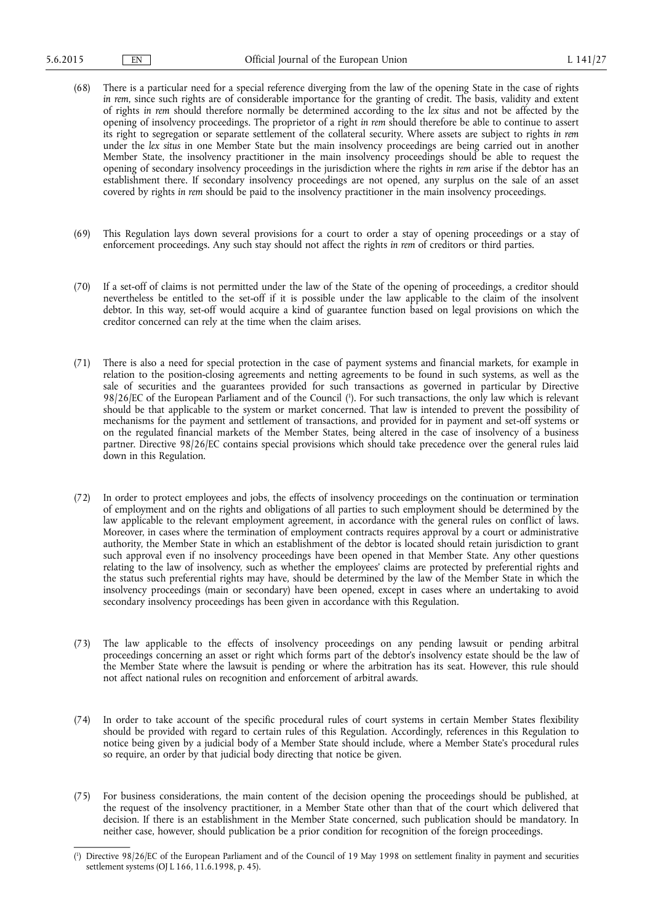- (68) There is a particular need for a special reference diverging from the law of the opening State in the case of rights *in rem*, since such rights are of considerable importance for the granting of credit. The basis, validity and extent of rights *in rem* should therefore normally be determined according to the *lex situs* and not be affected by the opening of insolvency proceedings. The proprietor of a right *in rem* should therefore be able to continue to assert its right to segregation or separate settlement of the collateral security. Where assets are subject to rights *in rem*  under the *lex situs* in one Member State but the main insolvency proceedings are being carried out in another Member State, the insolvency practitioner in the main insolvency proceedings should be able to request the opening of secondary insolvency proceedings in the jurisdiction where the rights *in rem* arise if the debtor has an establishment there. If secondary insolvency proceedings are not opened, any surplus on the sale of an asset covered by rights *in rem* should be paid to the insolvency practitioner in the main insolvency proceedings.
- (69) This Regulation lays down several provisions for a court to order a stay of opening proceedings or a stay of enforcement proceedings. Any such stay should not affect the rights *in rem* of creditors or third parties.
- (70) If a set-off of claims is not permitted under the law of the State of the opening of proceedings, a creditor should nevertheless be entitled to the set-off if it is possible under the law applicable to the claim of the insolvent debtor. In this way, set-off would acquire a kind of guarantee function based on legal provisions on which the creditor concerned can rely at the time when the claim arises.
- (71) There is also a need for special protection in the case of payment systems and financial markets, for example in relation to the position-closing agreements and netting agreements to be found in such systems, as well as the sale of securities and the guarantees provided for such transactions as governed in particular by Directive 98/26/EC of the European Parliament and of the Council ( 1 ). For such transactions, the only law which is relevant should be that applicable to the system or market concerned. That law is intended to prevent the possibility of mechanisms for the payment and settlement of transactions, and provided for in payment and set-off systems or on the regulated financial markets of the Member States, being altered in the case of insolvency of a business partner. Directive 98/26/EC contains special provisions which should take precedence over the general rules laid down in this Regulation.
- (72) In order to protect employees and jobs, the effects of insolvency proceedings on the continuation or termination of employment and on the rights and obligations of all parties to such employment should be determined by the law applicable to the relevant employment agreement, in accordance with the general rules on conflict of laws. Moreover, in cases where the termination of employment contracts requires approval by a court or administrative authority, the Member State in which an establishment of the debtor is located should retain jurisdiction to grant such approval even if no insolvency proceedings have been opened in that Member State. Any other questions relating to the law of insolvency, such as whether the employees' claims are protected by preferential rights and the status such preferential rights may have, should be determined by the law of the Member State in which the insolvency proceedings (main or secondary) have been opened, except in cases where an undertaking to avoid secondary insolvency proceedings has been given in accordance with this Regulation.
- (73) The law applicable to the effects of insolvency proceedings on any pending lawsuit or pending arbitral proceedings concerning an asset or right which forms part of the debtor's insolvency estate should be the law of the Member State where the lawsuit is pending or where the arbitration has its seat. However, this rule should not affect national rules on recognition and enforcement of arbitral awards.
- (74) In order to take account of the specific procedural rules of court systems in certain Member States flexibility should be provided with regard to certain rules of this Regulation. Accordingly, references in this Regulation to notice being given by a judicial body of a Member State should include, where a Member State's procedural rules so require, an order by that judicial body directing that notice be given.
- (75) For business considerations, the main content of the decision opening the proceedings should be published, at the request of the insolvency practitioner, in a Member State other than that of the court which delivered that decision. If there is an establishment in the Member State concerned, such publication should be mandatory. In neither case, however, should publication be a prior condition for recognition of the foreign proceedings.

<sup>(</sup> 1 ) Directive 98/26/EC of the European Parliament and of the Council of 19 May 1998 on settlement finality in payment and securities settlement systems (OJ L 166, 11.6.1998, p. 45).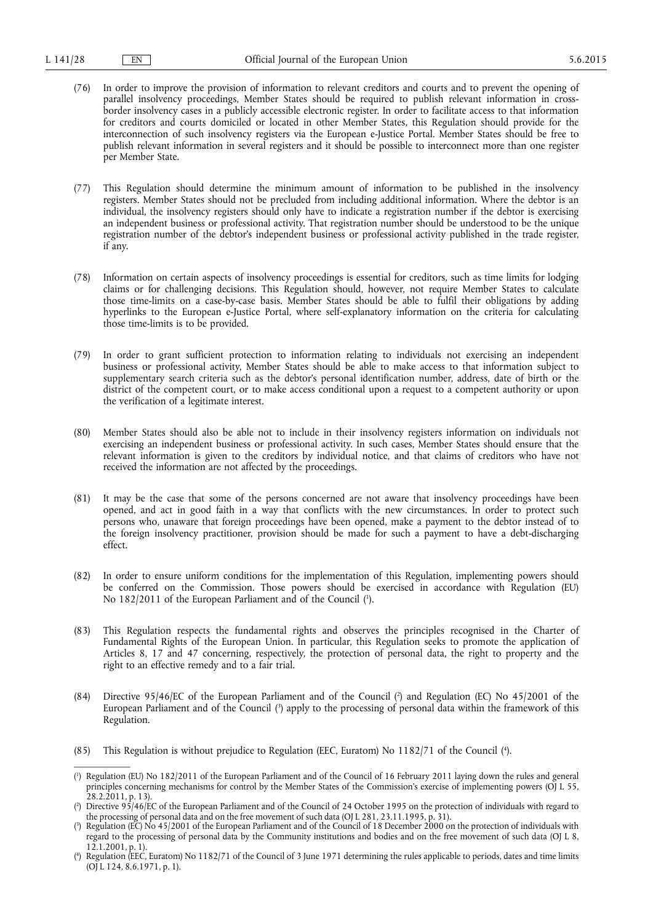- (76) In order to improve the provision of information to relevant creditors and courts and to prevent the opening of parallel insolvency proceedings, Member States should be required to publish relevant information in crossborder insolvency cases in a publicly accessible electronic register. In order to facilitate access to that information for creditors and courts domiciled or located in other Member States, this Regulation should provide for the interconnection of such insolvency registers via the European e-Justice Portal. Member States should be free to publish relevant information in several registers and it should be possible to interconnect more than one register per Member State.
- (77) This Regulation should determine the minimum amount of information to be published in the insolvency registers. Member States should not be precluded from including additional information. Where the debtor is an individual, the insolvency registers should only have to indicate a registration number if the debtor is exercising an independent business or professional activity. That registration number should be understood to be the unique registration number of the debtor's independent business or professional activity published in the trade register, if any.
- (78) Information on certain aspects of insolvency proceedings is essential for creditors, such as time limits for lodging claims or for challenging decisions. This Regulation should, however, not require Member States to calculate those time-limits on a case-by-case basis. Member States should be able to fulfil their obligations by adding hyperlinks to the European e-Justice Portal, where self-explanatory information on the criteria for calculating those time-limits is to be provided.
- (79) In order to grant sufficient protection to information relating to individuals not exercising an independent business or professional activity, Member States should be able to make access to that information subject to supplementary search criteria such as the debtor's personal identification number, address, date of birth or the district of the competent court, or to make access conditional upon a request to a competent authority or upon the verification of a legitimate interest.
- (80) Member States should also be able not to include in their insolvency registers information on individuals not exercising an independent business or professional activity. In such cases, Member States should ensure that the relevant information is given to the creditors by individual notice, and that claims of creditors who have not received the information are not affected by the proceedings.
- (81) It may be the case that some of the persons concerned are not aware that insolvency proceedings have been opened, and act in good faith in a way that conflicts with the new circumstances. In order to protect such persons who, unaware that foreign proceedings have been opened, make a payment to the debtor instead of to the foreign insolvency practitioner, provision should be made for such a payment to have a debt-discharging effect.
- (82) In order to ensure uniform conditions for the implementation of this Regulation, implementing powers should be conferred on the Commission. Those powers should be exercised in accordance with Regulation (EU) No 182/2011 of the European Parliament and of the Council ( 1 ).
- (83) This Regulation respects the fundamental rights and observes the principles recognised in the Charter of Fundamental Rights of the European Union. In particular, this Regulation seeks to promote the application of Articles 8, 17 and 47 concerning, respectively, the protection of personal data, the right to property and the right to an effective remedy and to a fair trial.
- (84) Directive 95/46/EC of the European Parliament and of the Council ( 2 ) and Regulation (EC) No 45/2001 of the European Parliament and of the Council ( 3 ) apply to the processing of personal data within the framework of this Regulation.
- (85) This Regulation is without prejudice to Regulation (EEC, Euratom) No 1182/71 of the Council ( 4 ).
- ( 1 ) Regulation (EU) No 182/2011 of the European Parliament and of the Council of 16 February 2011 laying down the rules and general principles concerning mechanisms for control by the Member States of the Commission's exercise of implementing powers (OJ L 55,  $28.2.2011, p. 13$ ).
- ( 2 ) Directive 95/46/EC of the European Parliament and of the Council of 24 October 1995 on the protection of individuals with regard to the processing of personal data and on the free movement of such data (OJ L 281, 23.11.1995, p. 31).
- ( 3 ) Regulation (EC) No 45/2001 of the European Parliament and of the Council of 18 December 2000 on the protection of individuals with regard to the processing of personal data by the Community institutions and bodies and on the free movement of such data (OJ L 8,  $12.1.2001, p. 1$ ).
- ( 4 ) Regulation (EEC, Euratom) No 1182/71 of the Council of 3 June 1971 determining the rules applicable to periods, dates and time limits (OJ L 124, 8.6.1971, p. 1).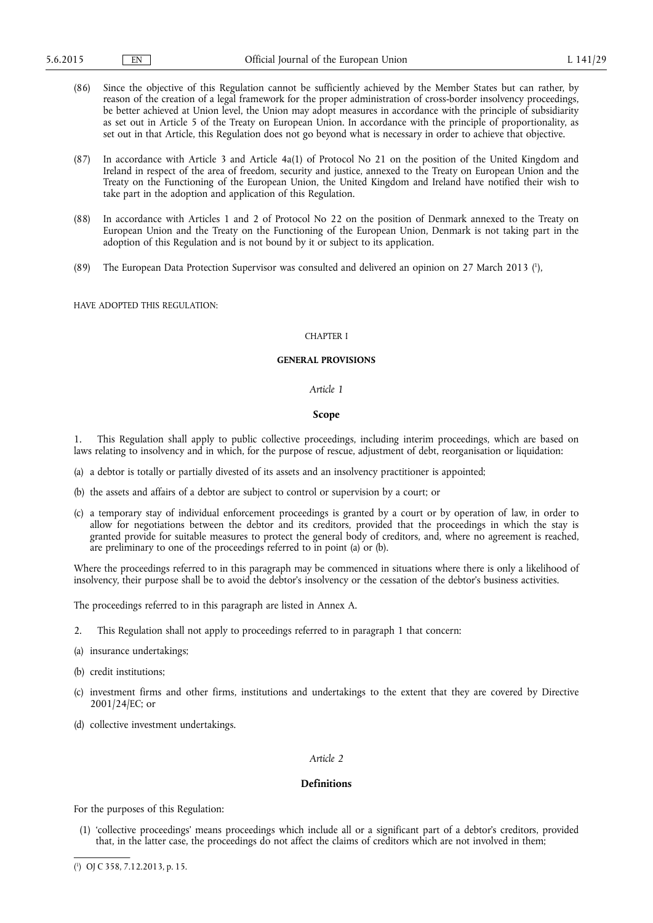- (86) Since the objective of this Regulation cannot be sufficiently achieved by the Member States but can rather, by reason of the creation of a legal framework for the proper administration of cross-border insolvency proceedings, be better achieved at Union level, the Union may adopt measures in accordance with the principle of subsidiarity as set out in Article 5 of the Treaty on European Union. In accordance with the principle of proportionality, as set out in that Article, this Regulation does not go beyond what is necessary in order to achieve that objective.
- (87) In accordance with Article 3 and Article 4a(1) of Protocol No 21 on the position of the United Kingdom and Ireland in respect of the area of freedom, security and justice, annexed to the Treaty on European Union and the Treaty on the Functioning of the European Union, the United Kingdom and Ireland have notified their wish to take part in the adoption and application of this Regulation.
- (88) In accordance with Articles 1 and 2 of Protocol No 22 on the position of Denmark annexed to the Treaty on European Union and the Treaty on the Functioning of the European Union, Denmark is not taking part in the adoption of this Regulation and is not bound by it or subject to its application.
- (89) The European Data Protection Supervisor was consulted and delivered an opinion on 27 March 2013 ( 1 ),

HAVE ADOPTED THIS REGULATION:

### CHAPTER I

#### **GENERAL PROVISIONS**

#### *Article 1*

#### **Scope**

1. This Regulation shall apply to public collective proceedings, including interim proceedings, which are based on laws relating to insolvency and in which, for the purpose of rescue, adjustment of debt, reorganisation or liquidation:

- (a) a debtor is totally or partially divested of its assets and an insolvency practitioner is appointed;
- (b) the assets and affairs of a debtor are subject to control or supervision by a court; or
- (c) a temporary stay of individual enforcement proceedings is granted by a court or by operation of law, in order to allow for negotiations between the debtor and its creditors, provided that the proceedings in which the stay is granted provide for suitable measures to protect the general body of creditors, and, where no agreement is reached, are preliminary to one of the proceedings referred to in point (a) or (b).

Where the proceedings referred to in this paragraph may be commenced in situations where there is only a likelihood of insolvency, their purpose shall be to avoid the debtor's insolvency or the cessation of the debtor's business activities.

The proceedings referred to in this paragraph are listed in Annex A.

- This Regulation shall not apply to proceedings referred to in paragraph 1 that concern:
- (a) insurance undertakings;
- (b) credit institutions;
- (c) investment firms and other firms, institutions and undertakings to the extent that they are covered by Directive 2001/24/EC; or
- (d) collective investment undertakings.

#### *Article 2*

#### **Definitions**

For the purposes of this Regulation:

(1) 'collective proceedings' means proceedings which include all or a significant part of a debtor's creditors, provided that, in the latter case, the proceedings do not affect the claims of creditors which are not involved in them;

<sup>(</sup> 1 ) OJ C 358, 7.12.2013, p. 15.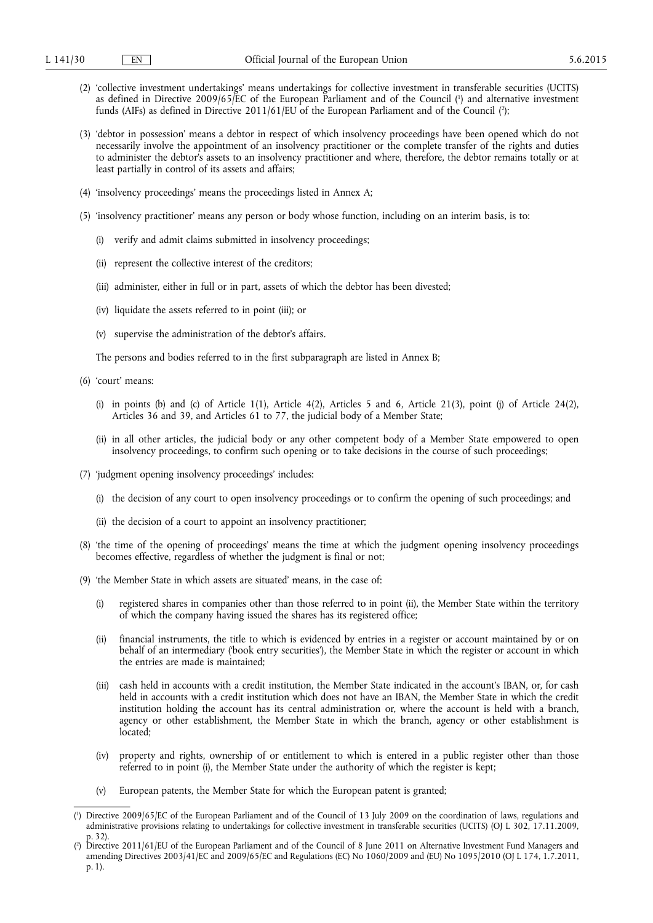- (2) 'collective investment undertakings' means undertakings for collective investment in transferable securities (UCITS) as defined in Directive 2009/65/EC of the European Parliament and of the Council ( 1 ) and alternative investment funds (AIFs) as defined in Directive 2011/61/EU of the European Parliament and of the Council ( 2 );
- (3) 'debtor in possession' means a debtor in respect of which insolvency proceedings have been opened which do not necessarily involve the appointment of an insolvency practitioner or the complete transfer of the rights and duties to administer the debtor's assets to an insolvency practitioner and where, therefore, the debtor remains totally or at least partially in control of its assets and affairs;
- (4) 'insolvency proceedings' means the proceedings listed in Annex A;
- (5) 'insolvency practitioner' means any person or body whose function, including on an interim basis, is to:
	- (i) verify and admit claims submitted in insolvency proceedings;
	- (ii) represent the collective interest of the creditors;
	- (iii) administer, either in full or in part, assets of which the debtor has been divested;
	- (iv) liquidate the assets referred to in point (iii); or
	- (v) supervise the administration of the debtor's affairs.

The persons and bodies referred to in the first subparagraph are listed in Annex B;

- (6) 'court' means:
	- (i) in points (b) and (c) of Article 1(1), Article 4(2), Articles 5 and 6, Article 21(3), point (j) of Article 24(2), Articles 36 and 39, and Articles 61 to 77, the judicial body of a Member State;
	- (ii) in all other articles, the judicial body or any other competent body of a Member State empowered to open insolvency proceedings, to confirm such opening or to take decisions in the course of such proceedings;
- (7) 'judgment opening insolvency proceedings' includes:
	- (i) the decision of any court to open insolvency proceedings or to confirm the opening of such proceedings; and
	- (ii) the decision of a court to appoint an insolvency practitioner;
- (8) 'the time of the opening of proceedings' means the time at which the judgment opening insolvency proceedings becomes effective, regardless of whether the judgment is final or not;
- (9) 'the Member State in which assets are situated' means, in the case of:
	- (i) registered shares in companies other than those referred to in point (ii), the Member State within the territory of which the company having issued the shares has its registered office;
	- (ii) financial instruments, the title to which is evidenced by entries in a register or account maintained by or on behalf of an intermediary ('book entry securities'), the Member State in which the register or account in which the entries are made is maintained;
	- (iii) cash held in accounts with a credit institution, the Member State indicated in the account's IBAN, or, for cash held in accounts with a credit institution which does not have an IBAN, the Member State in which the credit institution holding the account has its central administration or, where the account is held with a branch, agency or other establishment, the Member State in which the branch, agency or other establishment is located;
	- (iv) property and rights, ownership of or entitlement to which is entered in a public register other than those referred to in point (i), the Member State under the authority of which the register is kept;
	- (v) European patents, the Member State for which the European patent is granted;

<sup>(</sup> 1 ) Directive 2009/65/EC of the European Parliament and of the Council of 13 July 2009 on the coordination of laws, regulations and administrative provisions relating to undertakings for collective investment in transferable securities (UCITS) (OJ L 302, 17.11.2009, p. 32).

<sup>(</sup> 2 ) Directive 2011/61/EU of the European Parliament and of the Council of 8 June 2011 on Alternative Investment Fund Managers and amending Directives 2003/41/EC and 2009/65/EC and Regulations (EC) No 1060/2009 and (EU) No 1095/2010 (OJ L 174, 1.7.2011, p. 1).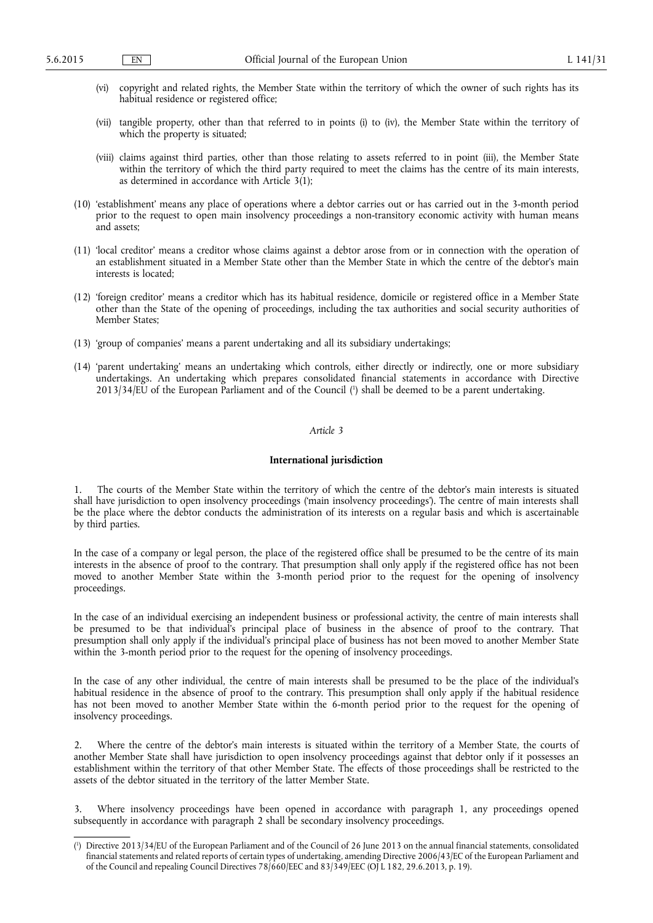- (vi) copyright and related rights, the Member State within the territory of which the owner of such rights has its habitual residence or registered office;
- (vii) tangible property, other than that referred to in points (i) to (iv), the Member State within the territory of which the property is situated;
- (viii) claims against third parties, other than those relating to assets referred to in point (iii), the Member State within the territory of which the third party required to meet the claims has the centre of its main interests, as determined in accordance with Article 3(1);
- (10) 'establishment' means any place of operations where a debtor carries out or has carried out in the 3-month period prior to the request to open main insolvency proceedings a non-transitory economic activity with human means and assets;
- (11) 'local creditor' means a creditor whose claims against a debtor arose from or in connection with the operation of an establishment situated in a Member State other than the Member State in which the centre of the debtor's main interests is located;
- (12) 'foreign creditor' means a creditor which has its habitual residence, domicile or registered office in a Member State other than the State of the opening of proceedings, including the tax authorities and social security authorities of Member States;
- (13) 'group of companies' means a parent undertaking and all its subsidiary undertakings;
- (14) 'parent undertaking' means an undertaking which controls, either directly or indirectly, one or more subsidiary undertakings. An undertaking which prepares consolidated financial statements in accordance with Directive 2013/34/EU of the European Parliament and of the Council ( 1 ) shall be deemed to be a parent undertaking.

### **International jurisdiction**

1. The courts of the Member State within the territory of which the centre of the debtor's main interests is situated shall have jurisdiction to open insolvency proceedings ('main insolvency proceedings'). The centre of main interests shall be the place where the debtor conducts the administration of its interests on a regular basis and which is ascertainable by third parties.

In the case of a company or legal person, the place of the registered office shall be presumed to be the centre of its main interests in the absence of proof to the contrary. That presumption shall only apply if the registered office has not been moved to another Member State within the 3-month period prior to the request for the opening of insolvency proceedings.

In the case of an individual exercising an independent business or professional activity, the centre of main interests shall be presumed to be that individual's principal place of business in the absence of proof to the contrary. That presumption shall only apply if the individual's principal place of business has not been moved to another Member State within the 3-month period prior to the request for the opening of insolvency proceedings.

In the case of any other individual, the centre of main interests shall be presumed to be the place of the individual's habitual residence in the absence of proof to the contrary. This presumption shall only apply if the habitual residence has not been moved to another Member State within the 6-month period prior to the request for the opening of insolvency proceedings.

2. Where the centre of the debtor's main interests is situated within the territory of a Member State, the courts of another Member State shall have jurisdiction to open insolvency proceedings against that debtor only if it possesses an establishment within the territory of that other Member State. The effects of those proceedings shall be restricted to the assets of the debtor situated in the territory of the latter Member State.

3. Where insolvency proceedings have been opened in accordance with paragraph 1, any proceedings opened subsequently in accordance with paragraph 2 shall be secondary insolvency proceedings.

<sup>(</sup> 1 ) Directive 2013/34/EU of the European Parliament and of the Council of 26 June 2013 on the annual financial statements, consolidated financial statements and related reports of certain types of undertaking, amending Directive 2006/43/EC of the European Parliament and of the Council and repealing Council Directives 78/660/EEC and 83/349/EEC (OJ L 182, 29.6.2013, p. 19).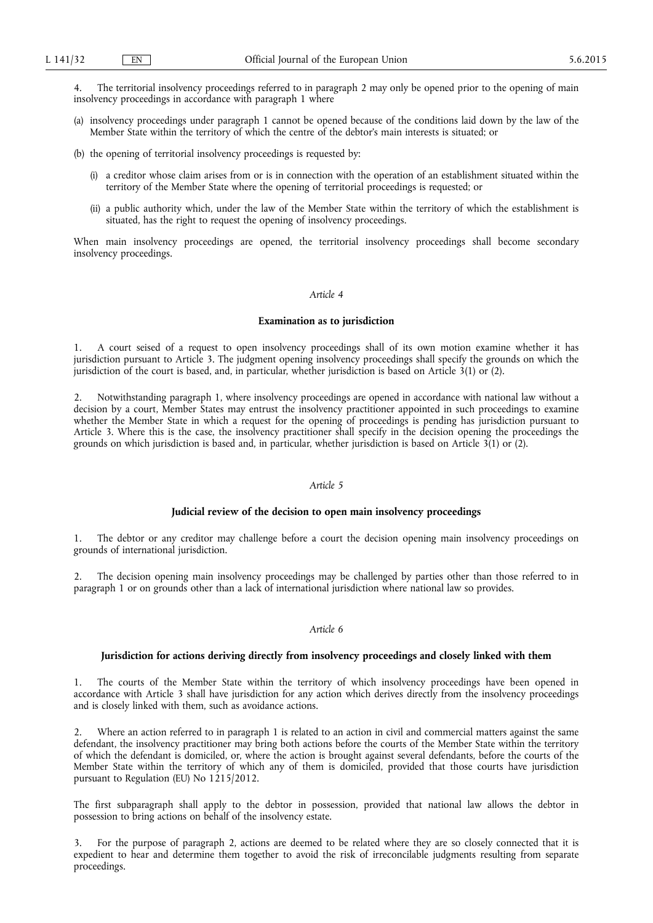4. The territorial insolvency proceedings referred to in paragraph 2 may only be opened prior to the opening of main insolvency proceedings in accordance with paragraph 1 where

- (a) insolvency proceedings under paragraph 1 cannot be opened because of the conditions laid down by the law of the Member State within the territory of which the centre of the debtor's main interests is situated; or
- (b) the opening of territorial insolvency proceedings is requested by:
	- (i) a creditor whose claim arises from or is in connection with the operation of an establishment situated within the territory of the Member State where the opening of territorial proceedings is requested; or
	- (ii) a public authority which, under the law of the Member State within the territory of which the establishment is situated, has the right to request the opening of insolvency proceedings.

When main insolvency proceedings are opened, the territorial insolvency proceedings shall become secondary insolvency proceedings.

### *Article 4*

#### **Examination as to jurisdiction**

1. A court seised of a request to open insolvency proceedings shall of its own motion examine whether it has jurisdiction pursuant to Article 3. The judgment opening insolvency proceedings shall specify the grounds on which the jurisdiction of the court is based, and, in particular, whether jurisdiction is based on Article 3(1) or (2).

2. Notwithstanding paragraph 1, where insolvency proceedings are opened in accordance with national law without a decision by a court, Member States may entrust the insolvency practitioner appointed in such proceedings to examine whether the Member State in which a request for the opening of proceedings is pending has jurisdiction pursuant to Article 3. Where this is the case, the insolvency practitioner shall specify in the decision opening the proceedings the grounds on which jurisdiction is based and, in particular, whether jurisdiction is based on Article  $3(1)$  or (2).

#### *Article 5*

### **Judicial review of the decision to open main insolvency proceedings**

1. The debtor or any creditor may challenge before a court the decision opening main insolvency proceedings on grounds of international jurisdiction.

2. The decision opening main insolvency proceedings may be challenged by parties other than those referred to in paragraph 1 or on grounds other than a lack of international jurisdiction where national law so provides.

### *Article 6*

## **Jurisdiction for actions deriving directly from insolvency proceedings and closely linked with them**

1. The courts of the Member State within the territory of which insolvency proceedings have been opened in accordance with Article 3 shall have jurisdiction for any action which derives directly from the insolvency proceedings and is closely linked with them, such as avoidance actions.

2. Where an action referred to in paragraph 1 is related to an action in civil and commercial matters against the same defendant, the insolvency practitioner may bring both actions before the courts of the Member State within the territory of which the defendant is domiciled, or, where the action is brought against several defendants, before the courts of the Member State within the territory of which any of them is domiciled, provided that those courts have jurisdiction pursuant to Regulation (EU) No 1215/2012.

The first subparagraph shall apply to the debtor in possession, provided that national law allows the debtor in possession to bring actions on behalf of the insolvency estate.

3. For the purpose of paragraph 2, actions are deemed to be related where they are so closely connected that it is expedient to hear and determine them together to avoid the risk of irreconcilable judgments resulting from separate proceedings.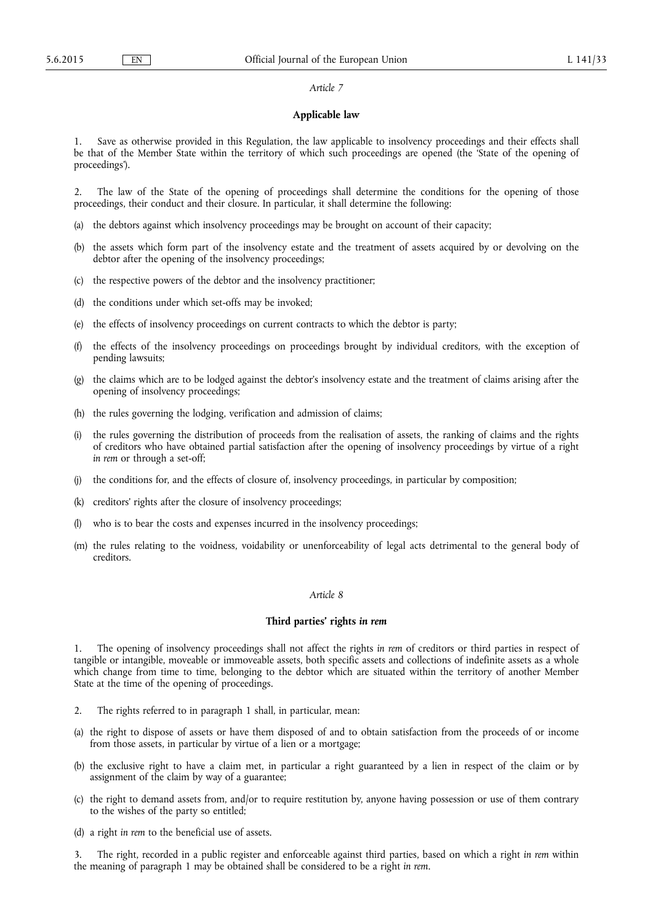# **Applicable law**

1. Save as otherwise provided in this Regulation, the law applicable to insolvency proceedings and their effects shall be that of the Member State within the territory of which such proceedings are opened (the 'State of the opening of proceedings').

2. The law of the State of the opening of proceedings shall determine the conditions for the opening of those proceedings, their conduct and their closure. In particular, it shall determine the following:

- (a) the debtors against which insolvency proceedings may be brought on account of their capacity;
- (b) the assets which form part of the insolvency estate and the treatment of assets acquired by or devolving on the debtor after the opening of the insolvency proceedings;
- (c) the respective powers of the debtor and the insolvency practitioner;
- (d) the conditions under which set-offs may be invoked;
- (e) the effects of insolvency proceedings on current contracts to which the debtor is party;
- (f) the effects of the insolvency proceedings on proceedings brought by individual creditors, with the exception of pending lawsuits;
- (g) the claims which are to be lodged against the debtor's insolvency estate and the treatment of claims arising after the opening of insolvency proceedings;
- (h) the rules governing the lodging, verification and admission of claims;
- (i) the rules governing the distribution of proceeds from the realisation of assets, the ranking of claims and the rights of creditors who have obtained partial satisfaction after the opening of insolvency proceedings by virtue of a right *in rem* or through a set-off;
- (j) the conditions for, and the effects of closure of, insolvency proceedings, in particular by composition;
- (k) creditors' rights after the closure of insolvency proceedings;
- (l) who is to bear the costs and expenses incurred in the insolvency proceedings;
- (m) the rules relating to the voidness, voidability or unenforceability of legal acts detrimental to the general body of creditors.

# *Article 8*

### **Third parties' rights** *in rem*

1. The opening of insolvency proceedings shall not affect the rights *in rem* of creditors or third parties in respect of tangible or intangible, moveable or immoveable assets, both specific assets and collections of indefinite assets as a whole which change from time to time, belonging to the debtor which are situated within the territory of another Member State at the time of the opening of proceedings.

- 2. The rights referred to in paragraph 1 shall, in particular, mean:
- (a) the right to dispose of assets or have them disposed of and to obtain satisfaction from the proceeds of or income from those assets, in particular by virtue of a lien or a mortgage;
- (b) the exclusive right to have a claim met, in particular a right guaranteed by a lien in respect of the claim or by assignment of the claim by way of a guarantee;
- (c) the right to demand assets from, and/or to require restitution by, anyone having possession or use of them contrary to the wishes of the party so entitled;
- (d) a right *in rem* to the beneficial use of assets.

3. The right, recorded in a public register and enforceable against third parties, based on which a right *in rem* within the meaning of paragraph 1 may be obtained shall be considered to be a right *in rem*.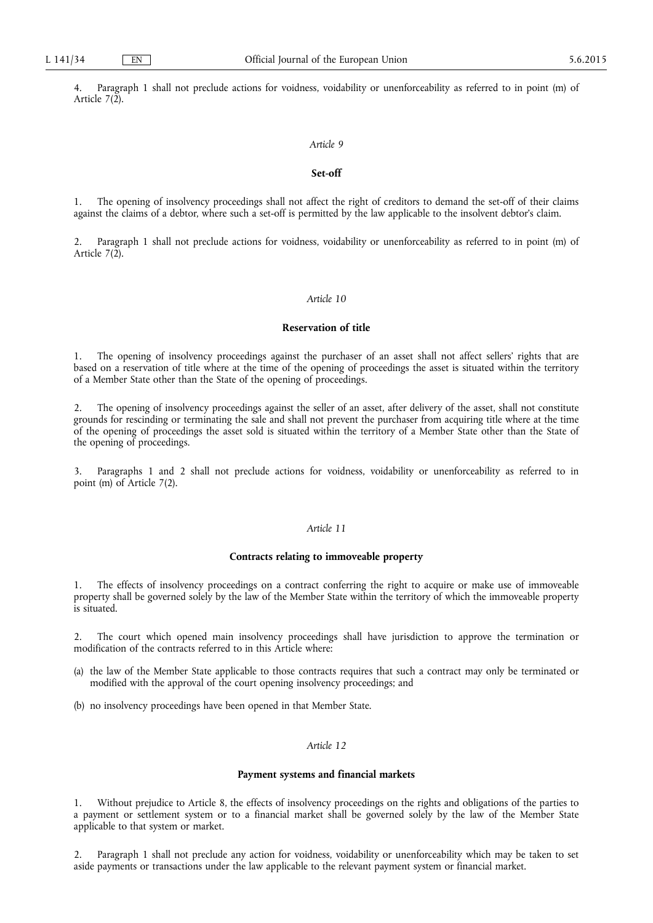4. Paragraph 1 shall not preclude actions for voidness, voidability or unenforceability as referred to in point (m) of Article 7(2).

#### *Article 9*

## **Set-off**

The opening of insolvency proceedings shall not affect the right of creditors to demand the set-off of their claims against the claims of a debtor, where such a set-off is permitted by the law applicable to the insolvent debtor's claim.

2. Paragraph 1 shall not preclude actions for voidness, voidability or unenforceability as referred to in point (m) of Article 7(2).

### *Article 10*

#### **Reservation of title**

The opening of insolvency proceedings against the purchaser of an asset shall not affect sellers' rights that are based on a reservation of title where at the time of the opening of proceedings the asset is situated within the territory of a Member State other than the State of the opening of proceedings.

2. The opening of insolvency proceedings against the seller of an asset, after delivery of the asset, shall not constitute grounds for rescinding or terminating the sale and shall not prevent the purchaser from acquiring title where at the time of the opening of proceedings the asset sold is situated within the territory of a Member State other than the State of the opening of proceedings.

3. Paragraphs 1 and 2 shall not preclude actions for voidness, voidability or unenforceability as referred to in point (m) of Article 7(2).

### *Article 11*

# **Contracts relating to immoveable property**

1. The effects of insolvency proceedings on a contract conferring the right to acquire or make use of immoveable property shall be governed solely by the law of the Member State within the territory of which the immoveable property is situated.

2. The court which opened main insolvency proceedings shall have jurisdiction to approve the termination or modification of the contracts referred to in this Article where:

- (a) the law of the Member State applicable to those contracts requires that such a contract may only be terminated or modified with the approval of the court opening insolvency proceedings; and
- (b) no insolvency proceedings have been opened in that Member State.

## *Article 12*

#### **Payment systems and financial markets**

1. Without prejudice to Article 8, the effects of insolvency proceedings on the rights and obligations of the parties to a payment or settlement system or to a financial market shall be governed solely by the law of the Member State applicable to that system or market.

2. Paragraph 1 shall not preclude any action for voidness, voidability or unenforceability which may be taken to set aside payments or transactions under the law applicable to the relevant payment system or financial market.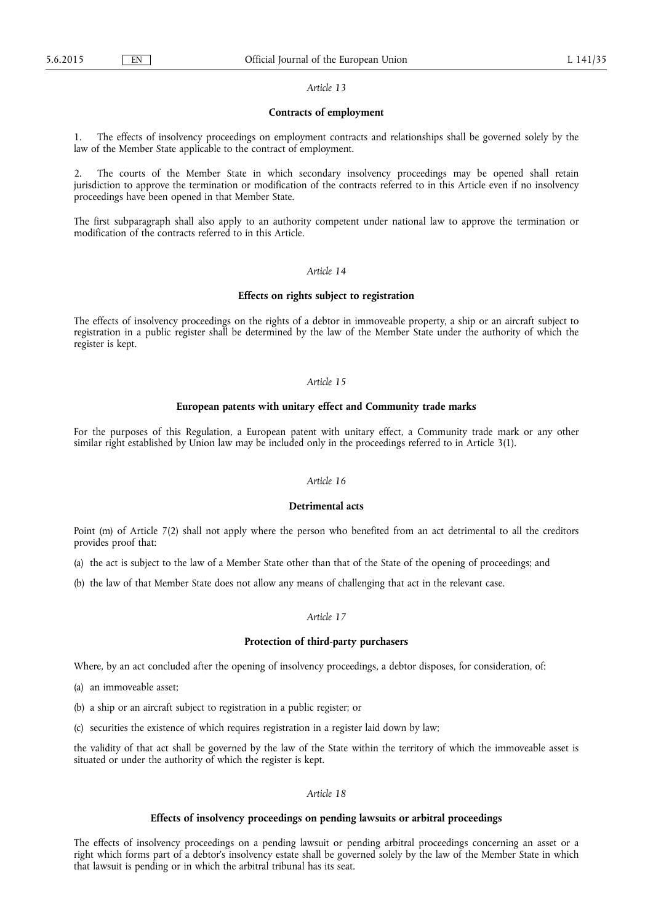### **Contracts of employment**

1. The effects of insolvency proceedings on employment contracts and relationships shall be governed solely by the law of the Member State applicable to the contract of employment.

2. The courts of the Member State in which secondary insolvency proceedings may be opened shall retain jurisdiction to approve the termination or modification of the contracts referred to in this Article even if no insolvency proceedings have been opened in that Member State.

The first subparagraph shall also apply to an authority competent under national law to approve the termination or modification of the contracts referred to in this Article.

### *Article 14*

# **Effects on rights subject to registration**

The effects of insolvency proceedings on the rights of a debtor in immoveable property, a ship or an aircraft subject to registration in a public register shall be determined by the law of the Member State under the authority of which the register is kept.

### *Article 15*

### **European patents with unitary effect and Community trade marks**

For the purposes of this Regulation, a European patent with unitary effect, a Community trade mark or any other similar right established by Union law may be included only in the proceedings referred to in Article 3(1).

# *Article 16*

### **Detrimental acts**

Point (m) of Article 7(2) shall not apply where the person who benefited from an act detrimental to all the creditors provides proof that:

(a) the act is subject to the law of a Member State other than that of the State of the opening of proceedings; and

(b) the law of that Member State does not allow any means of challenging that act in the relevant case.

# *Article 17*

### **Protection of third-party purchasers**

Where, by an act concluded after the opening of insolvency proceedings, a debtor disposes, for consideration, of:

- (a) an immoveable asset;
- (b) a ship or an aircraft subject to registration in a public register; or
- (c) securities the existence of which requires registration in a register laid down by law;

the validity of that act shall be governed by the law of the State within the territory of which the immoveable asset is situated or under the authority of which the register is kept.

### *Article 18*

#### **Effects of insolvency proceedings on pending lawsuits or arbitral proceedings**

The effects of insolvency proceedings on a pending lawsuit or pending arbitral proceedings concerning an asset or a right which forms part of a debtor's insolvency estate shall be governed solely by the law of the Member State in which that lawsuit is pending or in which the arbitral tribunal has its seat.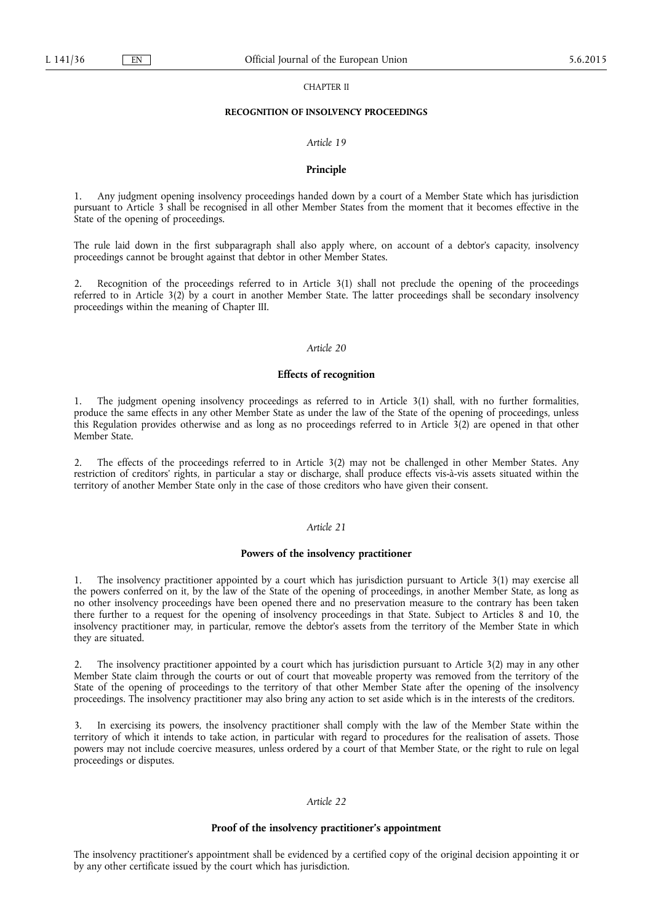#### CHAPTER II

### **RECOGNITION OF INSOLVENCY PROCEEDINGS**

### *Article 19*

#### **Principle**

1. Any judgment opening insolvency proceedings handed down by a court of a Member State which has jurisdiction pursuant to Article 3 shall be recognised in all other Member States from the moment that it becomes effective in the State of the opening of proceedings.

The rule laid down in the first subparagraph shall also apply where, on account of a debtor's capacity, insolvency proceedings cannot be brought against that debtor in other Member States.

2. Recognition of the proceedings referred to in Article 3(1) shall not preclude the opening of the proceedings referred to in Article 3(2) by a court in another Member State. The latter proceedings shall be secondary insolvency proceedings within the meaning of Chapter III.

## *Article 20*

### **Effects of recognition**

1. The judgment opening insolvency proceedings as referred to in Article 3(1) shall, with no further formalities, produce the same effects in any other Member State as under the law of the State of the opening of proceedings, unless this Regulation provides otherwise and as long as no proceedings referred to in Article  $3(2)$  are opened in that other Member State.

2. The effects of the proceedings referred to in Article 3(2) may not be challenged in other Member States. Any restriction of creditors' rights, in particular a stay or discharge, shall produce effects vis-à-vis assets situated within the territory of another Member State only in the case of those creditors who have given their consent.

#### *Article 21*

#### **Powers of the insolvency practitioner**

1. The insolvency practitioner appointed by a court which has jurisdiction pursuant to Article 3(1) may exercise all the powers conferred on it, by the law of the State of the opening of proceedings, in another Member State, as long as no other insolvency proceedings have been opened there and no preservation measure to the contrary has been taken there further to a request for the opening of insolvency proceedings in that State. Subject to Articles 8 and 10, the insolvency practitioner may, in particular, remove the debtor's assets from the territory of the Member State in which they are situated.

2. The insolvency practitioner appointed by a court which has jurisdiction pursuant to Article 3(2) may in any other Member State claim through the courts or out of court that moveable property was removed from the territory of the State of the opening of proceedings to the territory of that other Member State after the opening of the insolvency proceedings. The insolvency practitioner may also bring any action to set aside which is in the interests of the creditors.

In exercising its powers, the insolvency practitioner shall comply with the law of the Member State within the territory of which it intends to take action, in particular with regard to procedures for the realisation of assets. Those powers may not include coercive measures, unless ordered by a court of that Member State, or the right to rule on legal proceedings or disputes.

#### *Article 22*

### **Proof of the insolvency practitioner's appointment**

The insolvency practitioner's appointment shall be evidenced by a certified copy of the original decision appointing it or by any other certificate issued by the court which has jurisdiction.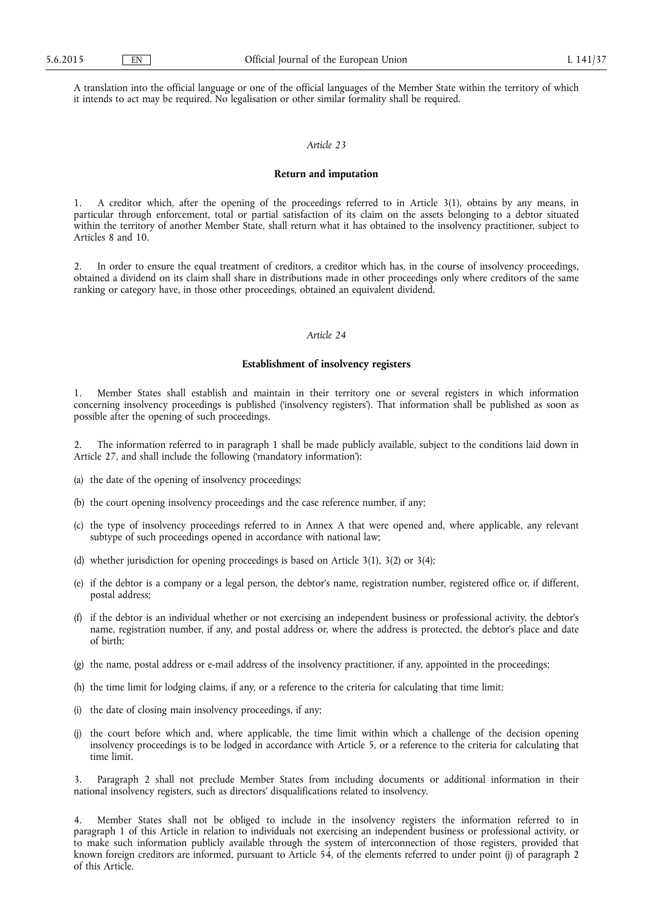A translation into the official language or one of the official languages of the Member State within the territory of which it intends to act may be required. No legalisation or other similar formality shall be required.

### *Article 23*

#### **Return and imputation**

1. A creditor which, after the opening of the proceedings referred to in Article 3(1), obtains by any means, in particular through enforcement, total or partial satisfaction of its claim on the assets belonging to a debtor situated within the territory of another Member State, shall return what it has obtained to the insolvency practitioner, subject to Articles 8 and 10.

2. In order to ensure the equal treatment of creditors, a creditor which has, in the course of insolvency proceedings, obtained a dividend on its claim shall share in distributions made in other proceedings only where creditors of the same ranking or category have, in those other proceedings, obtained an equivalent dividend.

#### *Article 24*

### **Establishment of insolvency registers**

1. Member States shall establish and maintain in their territory one or several registers in which information concerning insolvency proceedings is published ('insolvency registers'). That information shall be published as soon as possible after the opening of such proceedings.

2. The information referred to in paragraph 1 shall be made publicly available, subject to the conditions laid down in Article 27, and shall include the following ('mandatory information'):

- (a) the date of the opening of insolvency proceedings;
- (b) the court opening insolvency proceedings and the case reference number, if any;
- (c) the type of insolvency proceedings referred to in Annex A that were opened and, where applicable, any relevant subtype of such proceedings opened in accordance with national law;
- (d) whether jurisdiction for opening proceedings is based on Article 3(1), 3(2) or 3(4);
- (e) if the debtor is a company or a legal person, the debtor's name, registration number, registered office or, if different, postal address;
- (f) if the debtor is an individual whether or not exercising an independent business or professional activity, the debtor's name, registration number, if any, and postal address or, where the address is protected, the debtor's place and date of birth;
- (g) the name, postal address or e-mail address of the insolvency practitioner, if any, appointed in the proceedings;
- (h) the time limit for lodging claims, if any, or a reference to the criteria for calculating that time limit;
- (i) the date of closing main insolvency proceedings, if any;
- (j) the court before which and, where applicable, the time limit within which a challenge of the decision opening insolvency proceedings is to be lodged in accordance with Article 5, or a reference to the criteria for calculating that time limit.

3. Paragraph 2 shall not preclude Member States from including documents or additional information in their national insolvency registers, such as directors' disqualifications related to insolvency.

4. Member States shall not be obliged to include in the insolvency registers the information referred to in paragraph 1 of this Article in relation to individuals not exercising an independent business or professional activity, or to make such information publicly available through the system of interconnection of those registers, provided that known foreign creditors are informed, pursuant to Article 54, of the elements referred to under point (j) of paragraph 2 of this Article.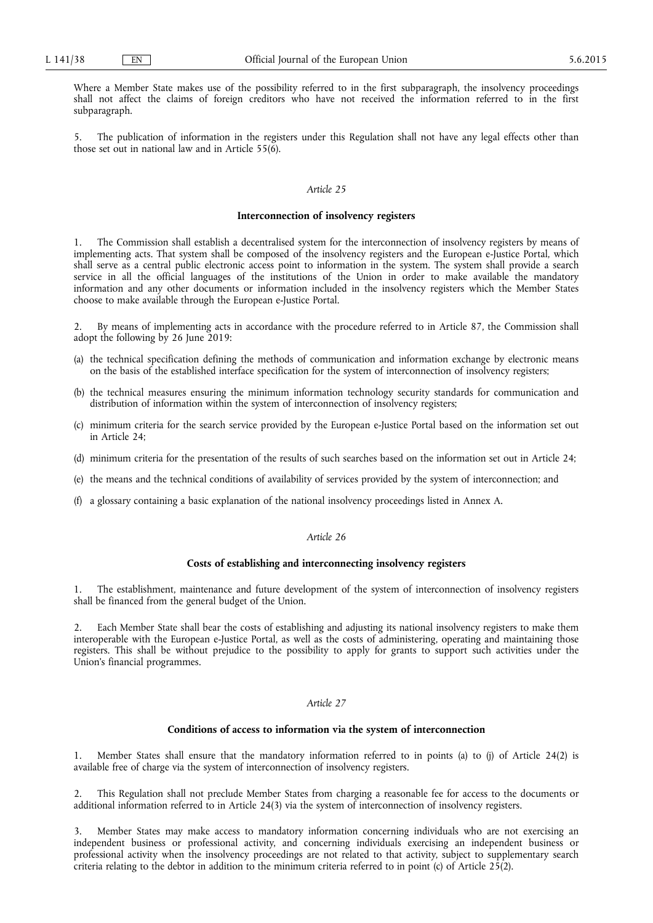Where a Member State makes use of the possibility referred to in the first subparagraph, the insolvency proceedings shall not affect the claims of foreign creditors who have not received the information referred to in the first subparagraph.

5. The publication of information in the registers under this Regulation shall not have any legal effects other than those set out in national law and in Article 55(6).

#### *Article 25*

#### **Interconnection of insolvency registers**

1. The Commission shall establish a decentralised system for the interconnection of insolvency registers by means of implementing acts. That system shall be composed of the insolvency registers and the European e-Justice Portal, which shall serve as a central public electronic access point to information in the system. The system shall provide a search service in all the official languages of the institutions of the Union in order to make available the mandatory information and any other documents or information included in the insolvency registers which the Member States choose to make available through the European e-Justice Portal.

2. By means of implementing acts in accordance with the procedure referred to in Article 87, the Commission shall adopt the following by 26 June 2019:

- (a) the technical specification defining the methods of communication and information exchange by electronic means on the basis of the established interface specification for the system of interconnection of insolvency registers;
- (b) the technical measures ensuring the minimum information technology security standards for communication and distribution of information within the system of interconnection of insolvency registers;
- (c) minimum criteria for the search service provided by the European e-Justice Portal based on the information set out in Article 24;
- (d) minimum criteria for the presentation of the results of such searches based on the information set out in Article 24;
- (e) the means and the technical conditions of availability of services provided by the system of interconnection; and
- (f) a glossary containing a basic explanation of the national insolvency proceedings listed in Annex A.

## *Article 26*

### **Costs of establishing and interconnecting insolvency registers**

1. The establishment, maintenance and future development of the system of interconnection of insolvency registers shall be financed from the general budget of the Union.

2. Each Member State shall bear the costs of establishing and adjusting its national insolvency registers to make them interoperable with the European e-Justice Portal, as well as the costs of administering, operating and maintaining those registers. This shall be without prejudice to the possibility to apply for grants to support such activities under the Union's financial programmes.

### *Article 27*

### **Conditions of access to information via the system of interconnection**

1. Member States shall ensure that the mandatory information referred to in points (a) to (j) of Article 24(2) is available free of charge via the system of interconnection of insolvency registers.

2. This Regulation shall not preclude Member States from charging a reasonable fee for access to the documents or additional information referred to in Article 24(3) via the system of interconnection of insolvency registers.

3. Member States may make access to mandatory information concerning individuals who are not exercising an independent business or professional activity, and concerning individuals exercising an independent business or professional activity when the insolvency proceedings are not related to that activity, subject to supplementary search criteria relating to the debtor in addition to the minimum criteria referred to in point (c) of Article 25(2).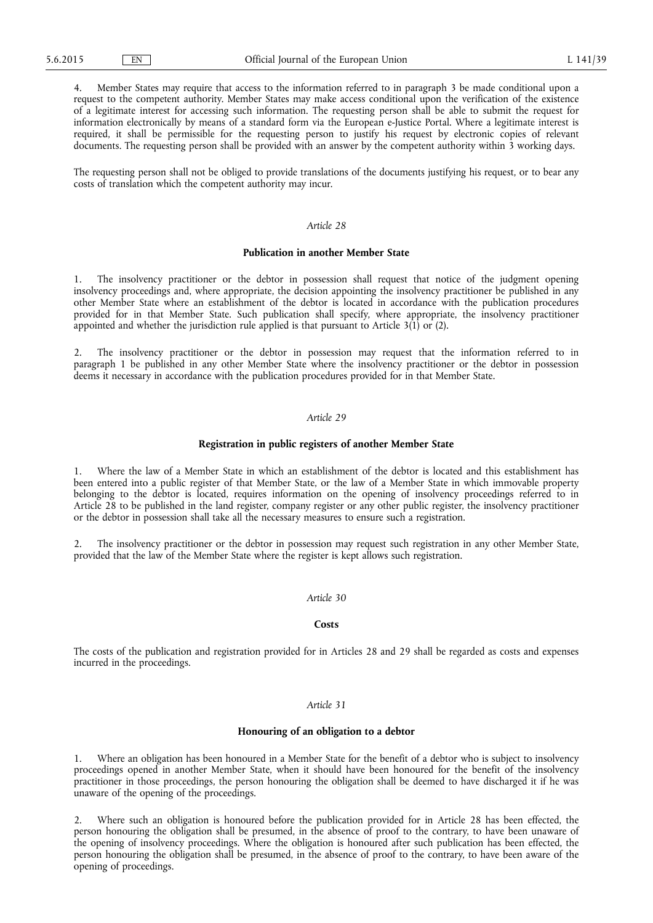4. Member States may require that access to the information referred to in paragraph 3 be made conditional upon a request to the competent authority. Member States may make access conditional upon the verification of the existence of a legitimate interest for accessing such information. The requesting person shall be able to submit the request for information electronically by means of a standard form via the European e-Justice Portal. Where a legitimate interest is required, it shall be permissible for the requesting person to justify his request by electronic copies of relevant documents. The requesting person shall be provided with an answer by the competent authority within 3 working days.

The requesting person shall not be obliged to provide translations of the documents justifying his request, or to bear any costs of translation which the competent authority may incur.

### *Article 28*

### **Publication in another Member State**

1. The insolvency practitioner or the debtor in possession shall request that notice of the judgment opening insolvency proceedings and, where appropriate, the decision appointing the insolvency practitioner be published in any other Member State where an establishment of the debtor is located in accordance with the publication procedures provided for in that Member State. Such publication shall specify, where appropriate, the insolvency practitioner appointed and whether the jurisdiction rule applied is that pursuant to Article  $3(1)$  or (2).

2. The insolvency practitioner or the debtor in possession may request that the information referred to in paragraph 1 be published in any other Member State where the insolvency practitioner or the debtor in possession deems it necessary in accordance with the publication procedures provided for in that Member State.

#### *Article 29*

### **Registration in public registers of another Member State**

Where the law of a Member State in which an establishment of the debtor is located and this establishment has been entered into a public register of that Member State, or the law of a Member State in which immovable property belonging to the debtor is located, requires information on the opening of insolvency proceedings referred to in Article 28 to be published in the land register, company register or any other public register, the insolvency practitioner or the debtor in possession shall take all the necessary measures to ensure such a registration.

2. The insolvency practitioner or the debtor in possession may request such registration in any other Member State, provided that the law of the Member State where the register is kept allows such registration.

## *Article 30*

#### **Costs**

The costs of the publication and registration provided for in Articles 28 and 29 shall be regarded as costs and expenses incurred in the proceedings.

### *Article 31*

### **Honouring of an obligation to a debtor**

1. Where an obligation has been honoured in a Member State for the benefit of a debtor who is subject to insolvency proceedings opened in another Member State, when it should have been honoured for the benefit of the insolvency practitioner in those proceedings, the person honouring the obligation shall be deemed to have discharged it if he was unaware of the opening of the proceedings.

2. Where such an obligation is honoured before the publication provided for in Article 28 has been effected, the person honouring the obligation shall be presumed, in the absence of proof to the contrary, to have been unaware of the opening of insolvency proceedings. Where the obligation is honoured after such publication has been effected, the person honouring the obligation shall be presumed, in the absence of proof to the contrary, to have been aware of the opening of proceedings.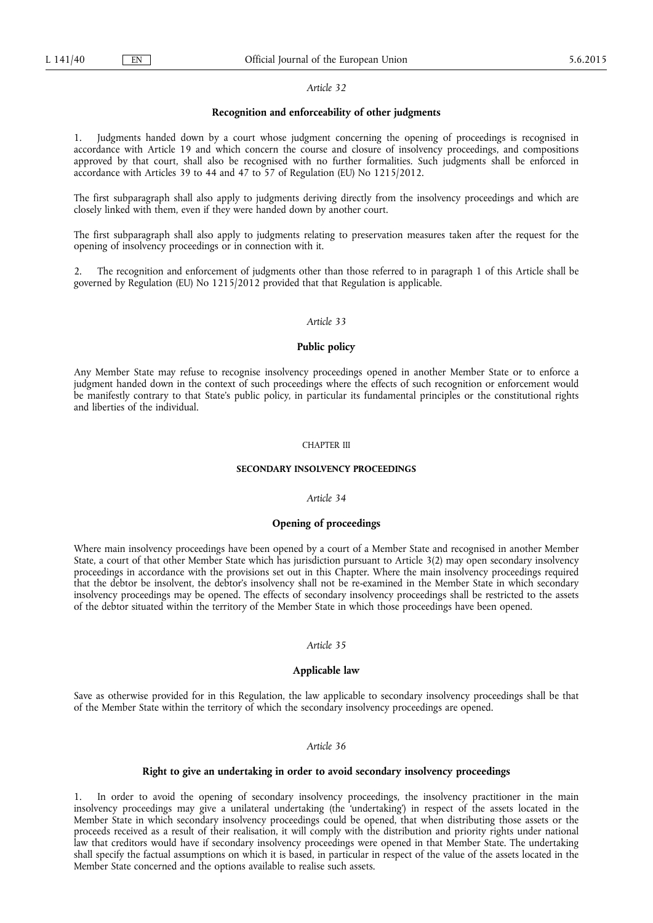# **Recognition and enforceability of other judgments**

1. Judgments handed down by a court whose judgment concerning the opening of proceedings is recognised in accordance with Article 19 and which concern the course and closure of insolvency proceedings, and compositions approved by that court, shall also be recognised with no further formalities. Such judgments shall be enforced in accordance with Articles 39 to 44 and 47 to 57 of Regulation (EU) No 1215/2012.

The first subparagraph shall also apply to judgments deriving directly from the insolvency proceedings and which are closely linked with them, even if they were handed down by another court.

The first subparagraph shall also apply to judgments relating to preservation measures taken after the request for the opening of insolvency proceedings or in connection with it.

2. The recognition and enforcement of judgments other than those referred to in paragraph 1 of this Article shall be governed by Regulation (EU) No 1215/2012 provided that that Regulation is applicable.

#### *Article 33*

### **Public policy**

Any Member State may refuse to recognise insolvency proceedings opened in another Member State or to enforce a judgment handed down in the context of such proceedings where the effects of such recognition or enforcement would be manifestly contrary to that State's public policy, in particular its fundamental principles or the constitutional rights and liberties of the individual.

#### CHAPTER III

#### **SECONDARY INSOLVENCY PROCEEDINGS**

### *Article 34*

# **Opening of proceedings**

Where main insolvency proceedings have been opened by a court of a Member State and recognised in another Member State, a court of that other Member State which has jurisdiction pursuant to Article 3(2) may open secondary insolvency proceedings in accordance with the provisions set out in this Chapter. Where the main insolvency proceedings required that the debtor be insolvent, the debtor's insolvency shall not be re-examined in the Member State in which secondary insolvency proceedings may be opened. The effects of secondary insolvency proceedings shall be restricted to the assets of the debtor situated within the territory of the Member State in which those proceedings have been opened.

#### *Article 35*

### **Applicable law**

Save as otherwise provided for in this Regulation, the law applicable to secondary insolvency proceedings shall be that of the Member State within the territory of which the secondary insolvency proceedings are opened.

### *Article 36*

### **Right to give an undertaking in order to avoid secondary insolvency proceedings**

In order to avoid the opening of secondary insolvency proceedings, the insolvency practitioner in the main insolvency proceedings may give a unilateral undertaking (the 'undertaking') in respect of the assets located in the Member State in which secondary insolvency proceedings could be opened, that when distributing those assets or the proceeds received as a result of their realisation, it will comply with the distribution and priority rights under national law that creditors would have if secondary insolvency proceedings were opened in that Member State. The undertaking shall specify the factual assumptions on which it is based, in particular in respect of the value of the assets located in the Member State concerned and the options available to realise such assets.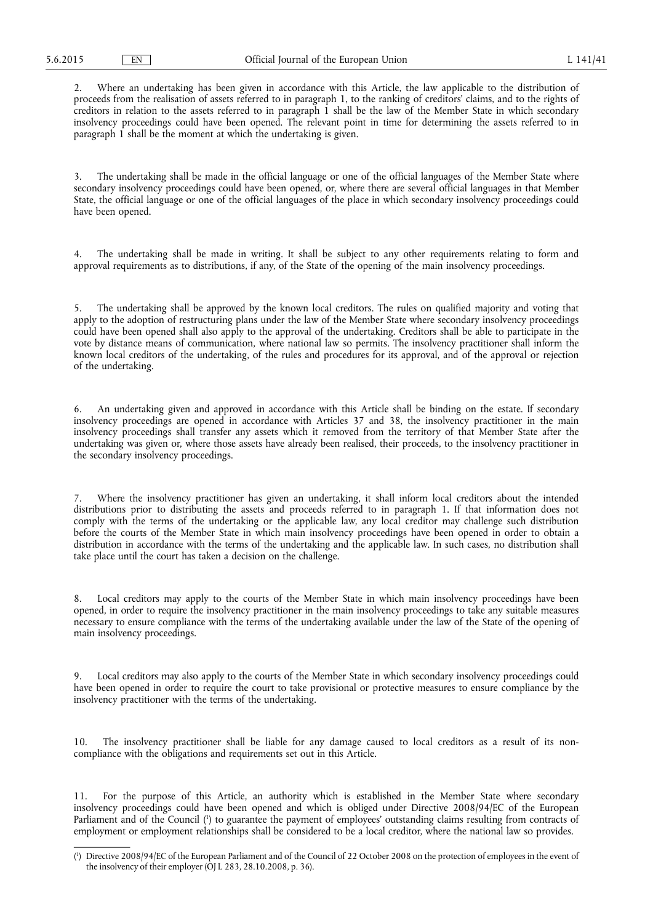2. Where an undertaking has been given in accordance with this Article, the law applicable to the distribution of proceeds from the realisation of assets referred to in paragraph 1, to the ranking of creditors' claims, and to the rights of creditors in relation to the assets referred to in paragraph 1 shall be the law of the Member State in which secondary insolvency proceedings could have been opened. The relevant point in time for determining the assets referred to in paragraph 1 shall be the moment at which the undertaking is given.

3. The undertaking shall be made in the official language or one of the official languages of the Member State where secondary insolvency proceedings could have been opened, or, where there are several official languages in that Member State, the official language or one of the official languages of the place in which secondary insolvency proceedings could have been opened.

4. The undertaking shall be made in writing. It shall be subject to any other requirements relating to form and approval requirements as to distributions, if any, of the State of the opening of the main insolvency proceedings.

5. The undertaking shall be approved by the known local creditors. The rules on qualified majority and voting that apply to the adoption of restructuring plans under the law of the Member State where secondary insolvency proceedings could have been opened shall also apply to the approval of the undertaking. Creditors shall be able to participate in the vote by distance means of communication, where national law so permits. The insolvency practitioner shall inform the known local creditors of the undertaking, of the rules and procedures for its approval, and of the approval or rejection of the undertaking.

6. An undertaking given and approved in accordance with this Article shall be binding on the estate. If secondary insolvency proceedings are opened in accordance with Articles 37 and 38, the insolvency practitioner in the main insolvency proceedings shall transfer any assets which it removed from the territory of that Member State after the undertaking was given or, where those assets have already been realised, their proceeds, to the insolvency practitioner in the secondary insolvency proceedings.

7. Where the insolvency practitioner has given an undertaking, it shall inform local creditors about the intended distributions prior to distributing the assets and proceeds referred to in paragraph 1. If that information does not comply with the terms of the undertaking or the applicable law, any local creditor may challenge such distribution before the courts of the Member State in which main insolvency proceedings have been opened in order to obtain a distribution in accordance with the terms of the undertaking and the applicable law. In such cases, no distribution shall take place until the court has taken a decision on the challenge.

8. Local creditors may apply to the courts of the Member State in which main insolvency proceedings have been opened, in order to require the insolvency practitioner in the main insolvency proceedings to take any suitable measures necessary to ensure compliance with the terms of the undertaking available under the law of the State of the opening of main insolvency proceedings.

9. Local creditors may also apply to the courts of the Member State in which secondary insolvency proceedings could have been opened in order to require the court to take provisional or protective measures to ensure compliance by the insolvency practitioner with the terms of the undertaking.

The insolvency practitioner shall be liable for any damage caused to local creditors as a result of its noncompliance with the obligations and requirements set out in this Article.

11. For the purpose of this Article, an authority which is established in the Member State where secondary insolvency proceedings could have been opened and which is obliged under Directive 2008/94/EC of the European Parliament and of the Council ( 1 ) to guarantee the payment of employees' outstanding claims resulting from contracts of employment or employment relationships shall be considered to be a local creditor, where the national law so provides.

<sup>(</sup> 1 ) Directive 2008/94/EC of the European Parliament and of the Council of 22 October 2008 on the protection of employees in the event of the insolvency of their employer (OJ L 283, 28.10.2008, p. 36).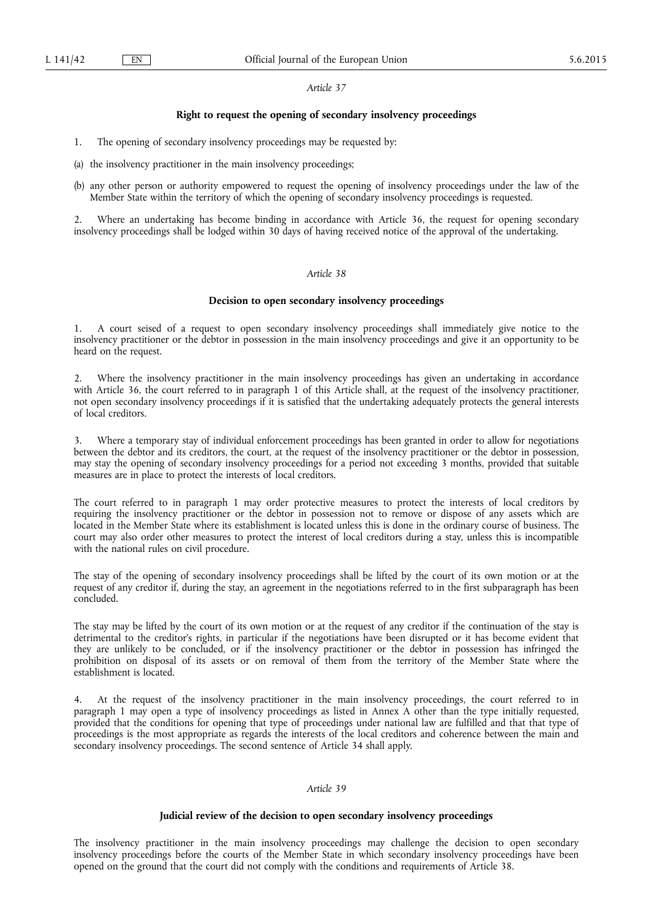### **Right to request the opening of secondary insolvency proceedings**

- 1. The opening of secondary insolvency proceedings may be requested by:
- (a) the insolvency practitioner in the main insolvency proceedings;
- (b) any other person or authority empowered to request the opening of insolvency proceedings under the law of the Member State within the territory of which the opening of secondary insolvency proceedings is requested.

Where an undertaking has become binding in accordance with Article 36, the request for opening secondary insolvency proceedings shall be lodged within 30 days of having received notice of the approval of the undertaking.

### *Article 38*

#### **Decision to open secondary insolvency proceedings**

1. A court seised of a request to open secondary insolvency proceedings shall immediately give notice to the insolvency practitioner or the debtor in possession in the main insolvency proceedings and give it an opportunity to be heard on the request.

2. Where the insolvency practitioner in the main insolvency proceedings has given an undertaking in accordance with Article 36, the court referred to in paragraph 1 of this Article shall, at the request of the insolvency practitioner, not open secondary insolvency proceedings if it is satisfied that the undertaking adequately protects the general interests of local creditors.

3. Where a temporary stay of individual enforcement proceedings has been granted in order to allow for negotiations between the debtor and its creditors, the court, at the request of the insolvency practitioner or the debtor in possession, may stay the opening of secondary insolvency proceedings for a period not exceeding 3 months, provided that suitable measures are in place to protect the interests of local creditors.

The court referred to in paragraph 1 may order protective measures to protect the interests of local creditors by requiring the insolvency practitioner or the debtor in possession not to remove or dispose of any assets which are located in the Member State where its establishment is located unless this is done in the ordinary course of business. The court may also order other measures to protect the interest of local creditors during a stay, unless this is incompatible with the national rules on civil procedure.

The stay of the opening of secondary insolvency proceedings shall be lifted by the court of its own motion or at the request of any creditor if, during the stay, an agreement in the negotiations referred to in the first subparagraph has been concluded.

The stay may be lifted by the court of its own motion or at the request of any creditor if the continuation of the stay is detrimental to the creditor's rights, in particular if the negotiations have been disrupted or it has become evident that they are unlikely to be concluded, or if the insolvency practitioner or the debtor in possession has infringed the prohibition on disposal of its assets or on removal of them from the territory of the Member State where the establishment is located.

4. At the request of the insolvency practitioner in the main insolvency proceedings, the court referred to in paragraph 1 may open a type of insolvency proceedings as listed in Annex A other than the type initially requested, provided that the conditions for opening that type of proceedings under national law are fulfilled and that that type of proceedings is the most appropriate as regards the interests of the local creditors and coherence between the main and secondary insolvency proceedings. The second sentence of Article 34 shall apply.

### *Article 39*

### **Judicial review of the decision to open secondary insolvency proceedings**

The insolvency practitioner in the main insolvency proceedings may challenge the decision to open secondary insolvency proceedings before the courts of the Member State in which secondary insolvency proceedings have been opened on the ground that the court did not comply with the conditions and requirements of Article 38.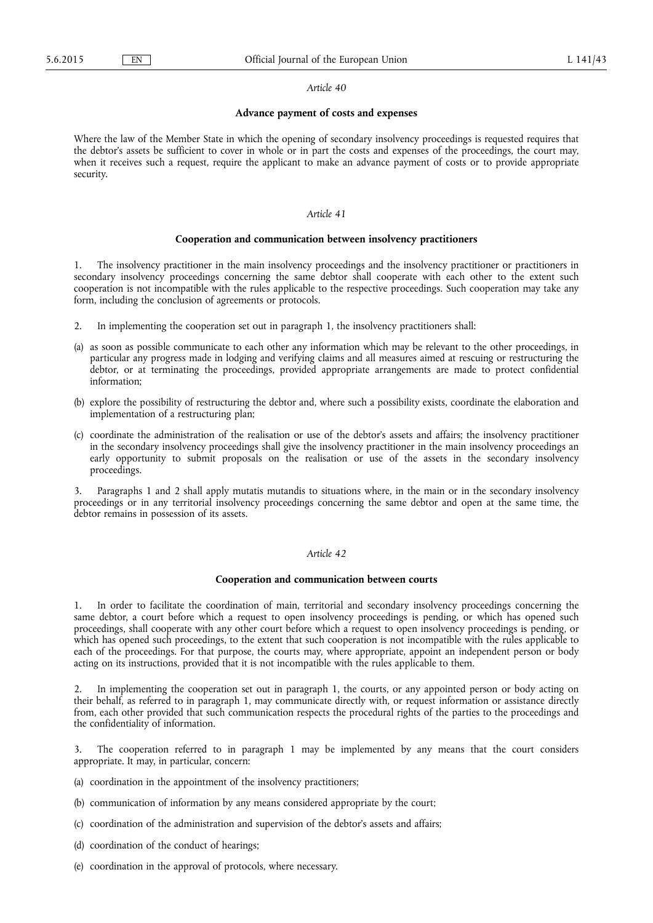### **Advance payment of costs and expenses**

Where the law of the Member State in which the opening of secondary insolvency proceedings is requested requires that the debtor's assets be sufficient to cover in whole or in part the costs and expenses of the proceedings, the court may, when it receives such a request, require the applicant to make an advance payment of costs or to provide appropriate security.

## *Article 41*

#### **Cooperation and communication between insolvency practitioners**

1. The insolvency practitioner in the main insolvency proceedings and the insolvency practitioner or practitioners in secondary insolvency proceedings concerning the same debtor shall cooperate with each other to the extent such cooperation is not incompatible with the rules applicable to the respective proceedings. Such cooperation may take any form, including the conclusion of agreements or protocols.

- 2. In implementing the cooperation set out in paragraph 1, the insolvency practitioners shall:
- (a) as soon as possible communicate to each other any information which may be relevant to the other proceedings, in particular any progress made in lodging and verifying claims and all measures aimed at rescuing or restructuring the debtor, or at terminating the proceedings, provided appropriate arrangements are made to protect confidential information;
- (b) explore the possibility of restructuring the debtor and, where such a possibility exists, coordinate the elaboration and implementation of a restructuring plan;
- (c) coordinate the administration of the realisation or use of the debtor's assets and affairs; the insolvency practitioner in the secondary insolvency proceedings shall give the insolvency practitioner in the main insolvency proceedings an early opportunity to submit proposals on the realisation or use of the assets in the secondary insolvency proceedings.

Paragraphs 1 and 2 shall apply mutatis mutandis to situations where, in the main or in the secondary insolvency proceedings or in any territorial insolvency proceedings concerning the same debtor and open at the same time, the debtor remains in possession of its assets.

#### *Article 42*

#### **Cooperation and communication between courts**

In order to facilitate the coordination of main, territorial and secondary insolvency proceedings concerning the same debtor, a court before which a request to open insolvency proceedings is pending, or which has opened such proceedings, shall cooperate with any other court before which a request to open insolvency proceedings is pending, or which has opened such proceedings, to the extent that such cooperation is not incompatible with the rules applicable to each of the proceedings. For that purpose, the courts may, where appropriate, appoint an independent person or body acting on its instructions, provided that it is not incompatible with the rules applicable to them.

2. In implementing the cooperation set out in paragraph 1, the courts, or any appointed person or body acting on their behalf, as referred to in paragraph 1, may communicate directly with, or request information or assistance directly from, each other provided that such communication respects the procedural rights of the parties to the proceedings and the confidentiality of information.

The cooperation referred to in paragraph 1 may be implemented by any means that the court considers appropriate. It may, in particular, concern:

- (a) coordination in the appointment of the insolvency practitioners;
- (b) communication of information by any means considered appropriate by the court;
- (c) coordination of the administration and supervision of the debtor's assets and affairs;
- (d) coordination of the conduct of hearings;
- (e) coordination in the approval of protocols, where necessary.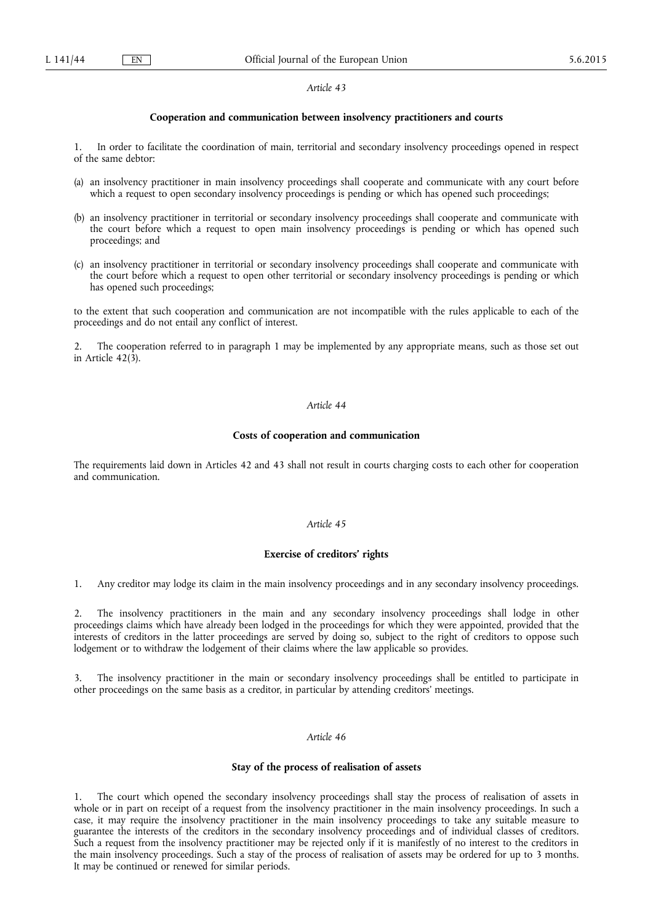### **Cooperation and communication between insolvency practitioners and courts**

In order to facilitate the coordination of main, territorial and secondary insolvency proceedings opened in respect of the same debtor:

- (a) an insolvency practitioner in main insolvency proceedings shall cooperate and communicate with any court before which a request to open secondary insolvency proceedings is pending or which has opened such proceedings;
- (b) an insolvency practitioner in territorial or secondary insolvency proceedings shall cooperate and communicate with the court before which a request to open main insolvency proceedings is pending or which has opened such proceedings; and
- (c) an insolvency practitioner in territorial or secondary insolvency proceedings shall cooperate and communicate with the court before which a request to open other territorial or secondary insolvency proceedings is pending or which has opened such proceedings;

to the extent that such cooperation and communication are not incompatible with the rules applicable to each of the proceedings and do not entail any conflict of interest.

2. The cooperation referred to in paragraph 1 may be implemented by any appropriate means, such as those set out in Article 42(3).

#### *Article 44*

#### **Costs of cooperation and communication**

The requirements laid down in Articles 42 and 43 shall not result in courts charging costs to each other for cooperation and communication.

### *Article 45*

### **Exercise of creditors' rights**

1. Any creditor may lodge its claim in the main insolvency proceedings and in any secondary insolvency proceedings.

2. The insolvency practitioners in the main and any secondary insolvency proceedings shall lodge in other proceedings claims which have already been lodged in the proceedings for which they were appointed, provided that the interests of creditors in the latter proceedings are served by doing so, subject to the right of creditors to oppose such lodgement or to withdraw the lodgement of their claims where the law applicable so provides.

3. The insolvency practitioner in the main or secondary insolvency proceedings shall be entitled to participate in other proceedings on the same basis as a creditor, in particular by attending creditors' meetings.

### *Article 46*

### **Stay of the process of realisation of assets**

1. The court which opened the secondary insolvency proceedings shall stay the process of realisation of assets in whole or in part on receipt of a request from the insolvency practitioner in the main insolvency proceedings. In such a case, it may require the insolvency practitioner in the main insolvency proceedings to take any suitable measure to guarantee the interests of the creditors in the secondary insolvency proceedings and of individual classes of creditors. Such a request from the insolvency practitioner may be rejected only if it is manifestly of no interest to the creditors in the main insolvency proceedings. Such a stay of the process of realisation of assets may be ordered for up to 3 months. It may be continued or renewed for similar periods.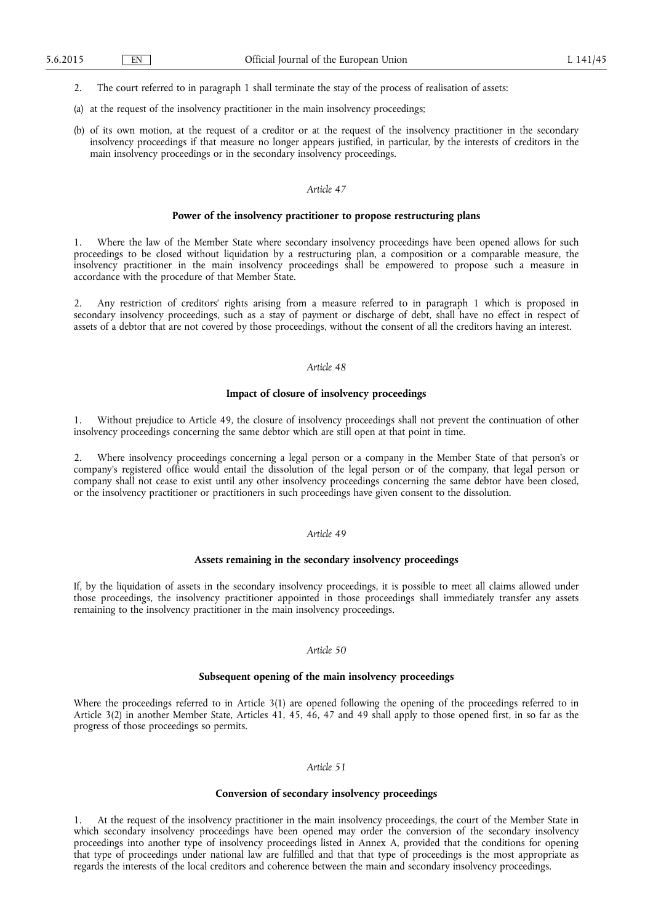- 2. The court referred to in paragraph 1 shall terminate the stay of the process of realisation of assets:
- (a) at the request of the insolvency practitioner in the main insolvency proceedings;
- (b) of its own motion, at the request of a creditor or at the request of the insolvency practitioner in the secondary insolvency proceedings if that measure no longer appears justified, in particular, by the interests of creditors in the main insolvency proceedings or in the secondary insolvency proceedings.

### **Power of the insolvency practitioner to propose restructuring plans**

1. Where the law of the Member State where secondary insolvency proceedings have been opened allows for such proceedings to be closed without liquidation by a restructuring plan, a composition or a comparable measure, the insolvency practitioner in the main insolvency proceedings shall be empowered to propose such a measure in accordance with the procedure of that Member State.

2. Any restriction of creditors' rights arising from a measure referred to in paragraph 1 which is proposed in secondary insolvency proceedings, such as a stay of payment or discharge of debt, shall have no effect in respect of assets of a debtor that are not covered by those proceedings, without the consent of all the creditors having an interest.

## *Article 48*

### **Impact of closure of insolvency proceedings**

1. Without prejudice to Article 49, the closure of insolvency proceedings shall not prevent the continuation of other insolvency proceedings concerning the same debtor which are still open at that point in time.

2. Where insolvency proceedings concerning a legal person or a company in the Member State of that person's or company's registered office would entail the dissolution of the legal person or of the company, that legal person or company shall not cease to exist until any other insolvency proceedings concerning the same debtor have been closed, or the insolvency practitioner or practitioners in such proceedings have given consent to the dissolution.

#### *Article 49*

#### **Assets remaining in the secondary insolvency proceedings**

If, by the liquidation of assets in the secondary insolvency proceedings, it is possible to meet all claims allowed under those proceedings, the insolvency practitioner appointed in those proceedings shall immediately transfer any assets remaining to the insolvency practitioner in the main insolvency proceedings.

## *Article 50*

### **Subsequent opening of the main insolvency proceedings**

Where the proceedings referred to in Article 3(1) are opened following the opening of the proceedings referred to in Article 3(2) in another Member State, Articles 41, 45, 46, 47 and 49 shall apply to those opened first, in so far as the progress of those proceedings so permits.

### *Article 51*

### **Conversion of secondary insolvency proceedings**

1. At the request of the insolvency practitioner in the main insolvency proceedings, the court of the Member State in which secondary insolvency proceedings have been opened may order the conversion of the secondary insolvency proceedings into another type of insolvency proceedings listed in Annex A, provided that the conditions for opening that type of proceedings under national law are fulfilled and that that type of proceedings is the most appropriate as regards the interests of the local creditors and coherence between the main and secondary insolvency proceedings.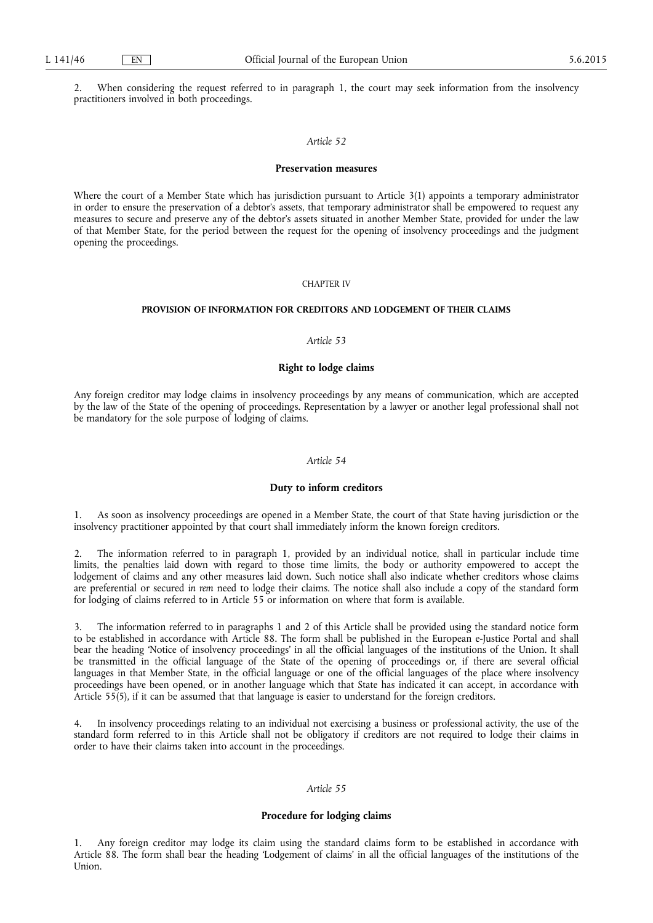2. When considering the request referred to in paragraph 1, the court may seek information from the insolvency practitioners involved in both proceedings.

### *Article 52*

### **Preservation measures**

Where the court of a Member State which has jurisdiction pursuant to Article 3(1) appoints a temporary administrator in order to ensure the preservation of a debtor's assets, that temporary administrator shall be empowered to request any measures to secure and preserve any of the debtor's assets situated in another Member State, provided for under the law of that Member State, for the period between the request for the opening of insolvency proceedings and the judgment opening the proceedings.

### CHAPTER IV

### **PROVISION OF INFORMATION FOR CREDITORS AND LODGEMENT OF THEIR CLAIMS**

## *Article 53*

#### **Right to lodge claims**

Any foreign creditor may lodge claims in insolvency proceedings by any means of communication, which are accepted by the law of the State of the opening of proceedings. Representation by a lawyer or another legal professional shall not be mandatory for the sole purpose of lodging of claims.

### *Article 54*

### **Duty to inform creditors**

As soon as insolvency proceedings are opened in a Member State, the court of that State having jurisdiction or the insolvency practitioner appointed by that court shall immediately inform the known foreign creditors.

2. The information referred to in paragraph 1, provided by an individual notice, shall in particular include time limits, the penalties laid down with regard to those time limits, the body or authority empowered to accept the lodgement of claims and any other measures laid down. Such notice shall also indicate whether creditors whose claims are preferential or secured *in rem* need to lodge their claims. The notice shall also include a copy of the standard form for lodging of claims referred to in Article 55 or information on where that form is available.

3. The information referred to in paragraphs 1 and 2 of this Article shall be provided using the standard notice form to be established in accordance with Article 88. The form shall be published in the European e-Justice Portal and shall bear the heading 'Notice of insolvency proceedings' in all the official languages of the institutions of the Union. It shall be transmitted in the official language of the State of the opening of proceedings or, if there are several official languages in that Member State, in the official language or one of the official languages of the place where insolvency proceedings have been opened, or in another language which that State has indicated it can accept, in accordance with Article 55(5), if it can be assumed that that language is easier to understand for the foreign creditors.

4. In insolvency proceedings relating to an individual not exercising a business or professional activity, the use of the standard form referred to in this Article shall not be obligatory if creditors are not required to lodge their claims in order to have their claims taken into account in the proceedings.

### *Article 55*

#### **Procedure for lodging claims**

1. Any foreign creditor may lodge its claim using the standard claims form to be established in accordance with Article 88. The form shall bear the heading 'Lodgement of claims' in all the official languages of the institutions of the Union.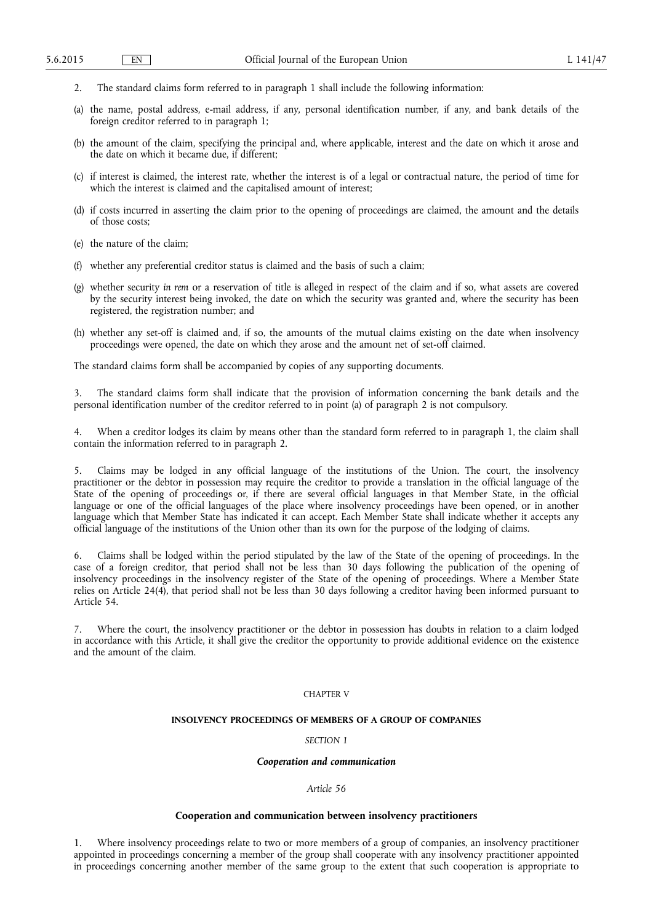- 2. The standard claims form referred to in paragraph 1 shall include the following information:
- (a) the name, postal address, e-mail address, if any, personal identification number, if any, and bank details of the foreign creditor referred to in paragraph 1;
- (b) the amount of the claim, specifying the principal and, where applicable, interest and the date on which it arose and the date on which it became due, if different;
- (c) if interest is claimed, the interest rate, whether the interest is of a legal or contractual nature, the period of time for which the interest is claimed and the capitalised amount of interest;
- (d) if costs incurred in asserting the claim prior to the opening of proceedings are claimed, the amount and the details of those costs;
- (e) the nature of the claim;
- (f) whether any preferential creditor status is claimed and the basis of such a claim;
- (g) whether security *in rem* or a reservation of title is alleged in respect of the claim and if so, what assets are covered by the security interest being invoked, the date on which the security was granted and, where the security has been registered, the registration number; and
- (h) whether any set-off is claimed and, if so, the amounts of the mutual claims existing on the date when insolvency proceedings were opened, the date on which they arose and the amount net of set-off claimed.

The standard claims form shall be accompanied by copies of any supporting documents.

The standard claims form shall indicate that the provision of information concerning the bank details and the personal identification number of the creditor referred to in point (a) of paragraph 2 is not compulsory.

4. When a creditor lodges its claim by means other than the standard form referred to in paragraph 1, the claim shall contain the information referred to in paragraph 2.

5. Claims may be lodged in any official language of the institutions of the Union. The court, the insolvency practitioner or the debtor in possession may require the creditor to provide a translation in the official language of the State of the opening of proceedings or, if there are several official languages in that Member State, in the official language or one of the official languages of the place where insolvency proceedings have been opened, or in another language which that Member State has indicated it can accept. Each Member State shall indicate whether it accepts any official language of the institutions of the Union other than its own for the purpose of the lodging of claims.

6. Claims shall be lodged within the period stipulated by the law of the State of the opening of proceedings. In the case of a foreign creditor, that period shall not be less than 30 days following the publication of the opening of insolvency proceedings in the insolvency register of the State of the opening of proceedings. Where a Member State relies on Article 24(4), that period shall not be less than 30 days following a creditor having been informed pursuant to Article 54.

7. Where the court, the insolvency practitioner or the debtor in possession has doubts in relation to a claim lodged in accordance with this Article, it shall give the creditor the opportunity to provide additional evidence on the existence and the amount of the claim.

#### CHAPTER V

### **INSOLVENCY PROCEEDINGS OF MEMBERS OF A GROUP OF COMPANIES**

#### *SECTION 1*

### *Cooperation and communication*

### *Article 56*

#### **Cooperation and communication between insolvency practitioners**

1. Where insolvency proceedings relate to two or more members of a group of companies, an insolvency practitioner appointed in proceedings concerning a member of the group shall cooperate with any insolvency practitioner appointed in proceedings concerning another member of the same group to the extent that such cooperation is appropriate to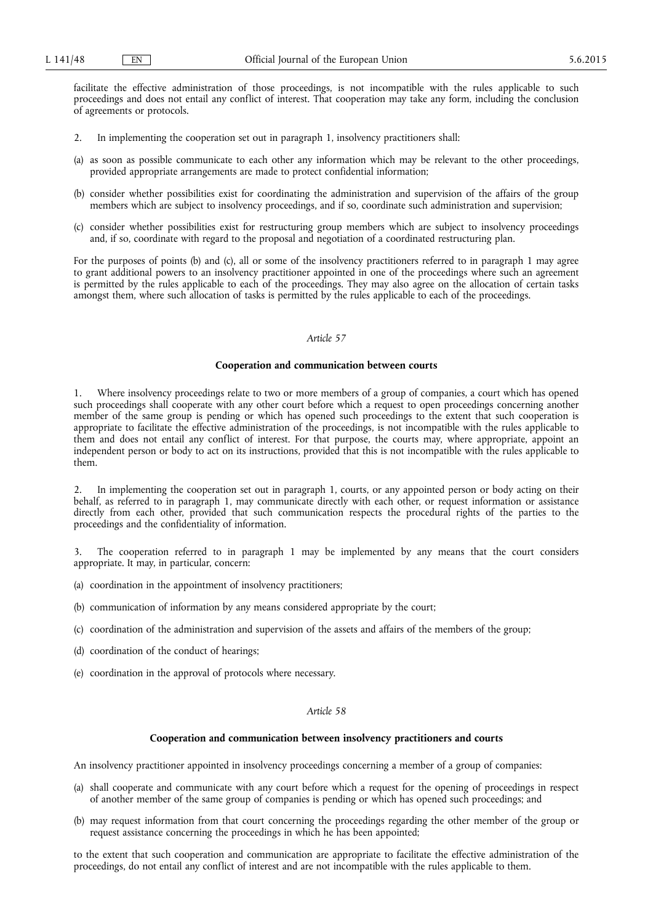facilitate the effective administration of those proceedings, is not incompatible with the rules applicable to such proceedings and does not entail any conflict of interest. That cooperation may take any form, including the conclusion of agreements or protocols.

- 2. In implementing the cooperation set out in paragraph 1, insolvency practitioners shall:
- (a) as soon as possible communicate to each other any information which may be relevant to the other proceedings, provided appropriate arrangements are made to protect confidential information;
- (b) consider whether possibilities exist for coordinating the administration and supervision of the affairs of the group members which are subject to insolvency proceedings, and if so, coordinate such administration and supervision;
- (c) consider whether possibilities exist for restructuring group members which are subject to insolvency proceedings and, if so, coordinate with regard to the proposal and negotiation of a coordinated restructuring plan.

For the purposes of points (b) and (c), all or some of the insolvency practitioners referred to in paragraph 1 may agree to grant additional powers to an insolvency practitioner appointed in one of the proceedings where such an agreement is permitted by the rules applicable to each of the proceedings. They may also agree on the allocation of certain tasks amongst them, where such allocation of tasks is permitted by the rules applicable to each of the proceedings.

#### *Article 57*

### **Cooperation and communication between courts**

Where insolvency proceedings relate to two or more members of a group of companies, a court which has opened such proceedings shall cooperate with any other court before which a request to open proceedings concerning another member of the same group is pending or which has opened such proceedings to the extent that such cooperation is appropriate to facilitate the effective administration of the proceedings, is not incompatible with the rules applicable to them and does not entail any conflict of interest. For that purpose, the courts may, where appropriate, appoint an independent person or body to act on its instructions, provided that this is not incompatible with the rules applicable to them.

2. In implementing the cooperation set out in paragraph 1, courts, or any appointed person or body acting on their behalf, as referred to in paragraph 1, may communicate directly with each other, or request information or assistance directly from each other, provided that such communication respects the procedural rights of the parties to the proceedings and the confidentiality of information.

3. The cooperation referred to in paragraph 1 may be implemented by any means that the court considers appropriate. It may, in particular, concern:

- (a) coordination in the appointment of insolvency practitioners;
- (b) communication of information by any means considered appropriate by the court;
- (c) coordination of the administration and supervision of the assets and affairs of the members of the group;
- (d) coordination of the conduct of hearings;
- (e) coordination in the approval of protocols where necessary.

### *Article 58*

### **Cooperation and communication between insolvency practitioners and courts**

An insolvency practitioner appointed in insolvency proceedings concerning a member of a group of companies:

- (a) shall cooperate and communicate with any court before which a request for the opening of proceedings in respect of another member of the same group of companies is pending or which has opened such proceedings; and
- (b) may request information from that court concerning the proceedings regarding the other member of the group or request assistance concerning the proceedings in which he has been appointed;

to the extent that such cooperation and communication are appropriate to facilitate the effective administration of the proceedings, do not entail any conflict of interest and are not incompatible with the rules applicable to them.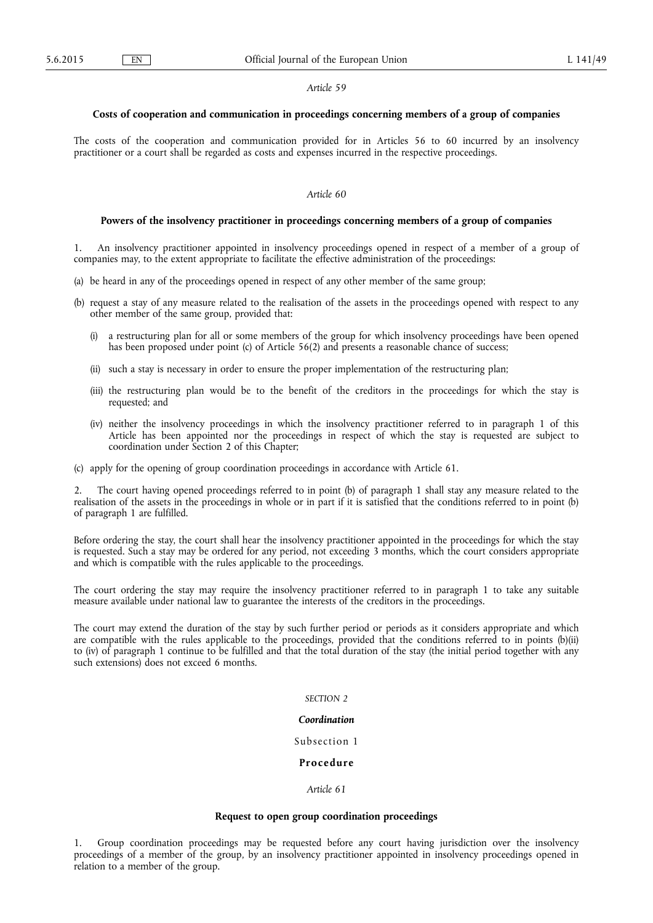## **Costs of cooperation and communication in proceedings concerning members of a group of companies**

The costs of the cooperation and communication provided for in Articles 56 to 60 incurred by an insolvency practitioner or a court shall be regarded as costs and expenses incurred in the respective proceedings.

### *Article 60*

#### **Powers of the insolvency practitioner in proceedings concerning members of a group of companies**

1. An insolvency practitioner appointed in insolvency proceedings opened in respect of a member of a group of companies may, to the extent appropriate to facilitate the effective administration of the proceedings:

- (a) be heard in any of the proceedings opened in respect of any other member of the same group;
- (b) request a stay of any measure related to the realisation of the assets in the proceedings opened with respect to any other member of the same group, provided that:
	- (i) a restructuring plan for all or some members of the group for which insolvency proceedings have been opened has been proposed under point (c) of Article 56(2) and presents a reasonable chance of success;
	- (ii) such a stay is necessary in order to ensure the proper implementation of the restructuring plan;
	- (iii) the restructuring plan would be to the benefit of the creditors in the proceedings for which the stay is requested; and
	- (iv) neither the insolvency proceedings in which the insolvency practitioner referred to in paragraph 1 of this Article has been appointed nor the proceedings in respect of which the stay is requested are subject to coordination under Section 2 of this Chapter;
- (c) apply for the opening of group coordination proceedings in accordance with Article 61.

2. The court having opened proceedings referred to in point (b) of paragraph 1 shall stay any measure related to the realisation of the assets in the proceedings in whole or in part if it is satisfied that the conditions referred to in point (b) of paragraph 1 are fulfilled.

Before ordering the stay, the court shall hear the insolvency practitioner appointed in the proceedings for which the stay is requested. Such a stay may be ordered for any period, not exceeding 3 months, which the court considers appropriate and which is compatible with the rules applicable to the proceedings.

The court ordering the stay may require the insolvency practitioner referred to in paragraph 1 to take any suitable measure available under national law to guarantee the interests of the creditors in the proceedings.

The court may extend the duration of the stay by such further period or periods as it considers appropriate and which are compatible with the rules applicable to the proceedings, provided that the conditions referred to in points (b)(ii) to (iv) of paragraph 1 continue to be fulfilled and that the total duration of the stay (the initial period together with any such extensions) does not exceed 6 months.

### *SECTION 2*

### *Coordination*

### Subsection 1

## **Procedure**

*Article 61* 

### **Request to open group coordination proceedings**

1. Group coordination proceedings may be requested before any court having jurisdiction over the insolvency proceedings of a member of the group, by an insolvency practitioner appointed in insolvency proceedings opened in relation to a member of the group.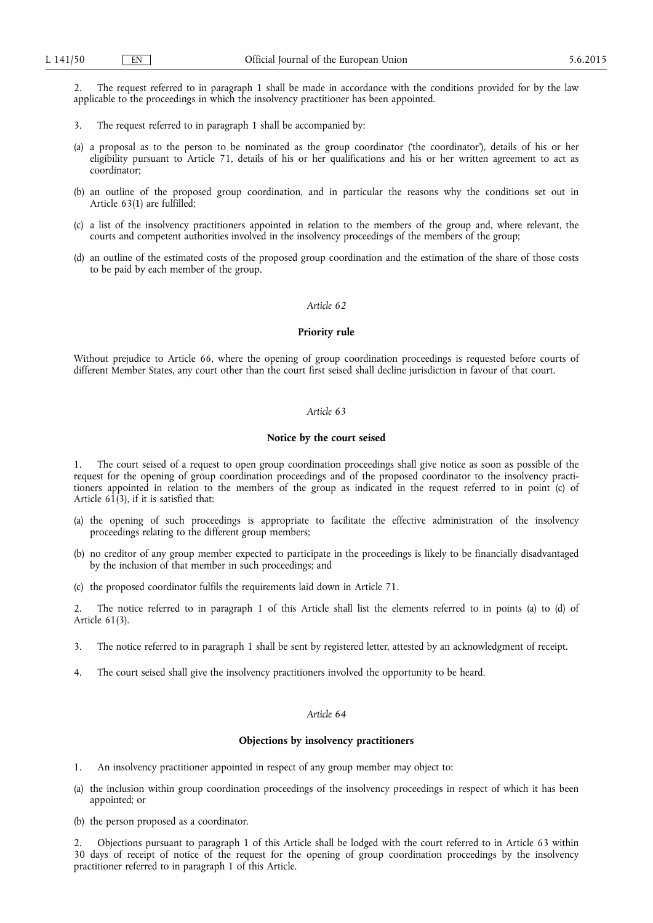2. The request referred to in paragraph 1 shall be made in accordance with the conditions provided for by the law applicable to the proceedings in which the insolvency practitioner has been appointed.

- 3. The request referred to in paragraph 1 shall be accompanied by:
- (a) a proposal as to the person to be nominated as the group coordinator ('the coordinator'), details of his or her eligibility pursuant to Article 71, details of his or her qualifications and his or her written agreement to act as coordinator;
- (b) an outline of the proposed group coordination, and in particular the reasons why the conditions set out in Article 63(1) are fulfilled;
- (c) a list of the insolvency practitioners appointed in relation to the members of the group and, where relevant, the courts and competent authorities involved in the insolvency proceedings of the members of the group;
- (d) an outline of the estimated costs of the proposed group coordination and the estimation of the share of those costs to be paid by each member of the group.

### *Article 62*

### **Priority rule**

Without prejudice to Article 66, where the opening of group coordination proceedings is requested before courts of different Member States, any court other than the court first seised shall decline jurisdiction in favour of that court.

#### *Article 63*

## **Notice by the court seised**

1. The court seised of a request to open group coordination proceedings shall give notice as soon as possible of the request for the opening of group coordination proceedings and of the proposed coordinator to the insolvency practitioners appointed in relation to the members of the group as indicated in the request referred to in point (c) of Article  $61(3)$ , if it is satisfied that:

- (a) the opening of such proceedings is appropriate to facilitate the effective administration of the insolvency proceedings relating to the different group members;
- (b) no creditor of any group member expected to participate in the proceedings is likely to be financially disadvantaged by the inclusion of that member in such proceedings; and
- (c) the proposed coordinator fulfils the requirements laid down in Article 71.

2. The notice referred to in paragraph 1 of this Article shall list the elements referred to in points (a) to (d) of Article 61(3).

- 3. The notice referred to in paragraph 1 shall be sent by registered letter, attested by an acknowledgment of receipt.
- 4. The court seised shall give the insolvency practitioners involved the opportunity to be heard.

## *Article 64*

### **Objections by insolvency practitioners**

- 1. An insolvency practitioner appointed in respect of any group member may object to:
- (a) the inclusion within group coordination proceedings of the insolvency proceedings in respect of which it has been appointed; or
- (b) the person proposed as a coordinator.

2. Objections pursuant to paragraph 1 of this Article shall be lodged with the court referred to in Article 63 within 30 days of receipt of notice of the request for the opening of group coordination proceedings by the insolvency practitioner referred to in paragraph 1 of this Article.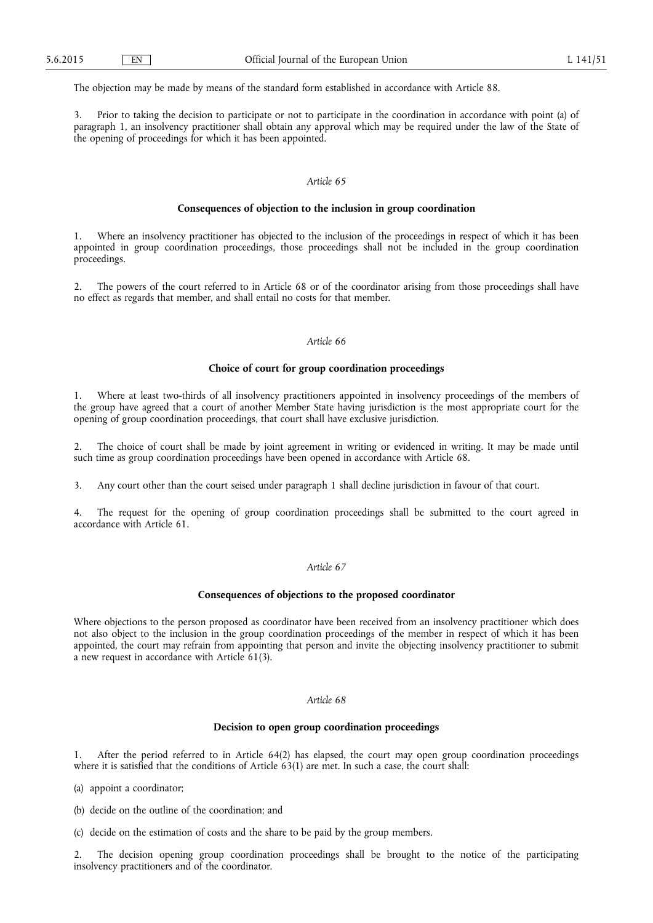The objection may be made by means of the standard form established in accordance with Article 88.

3. Prior to taking the decision to participate or not to participate in the coordination in accordance with point (a) of paragraph 1, an insolvency practitioner shall obtain any approval which may be required under the law of the State of the opening of proceedings for which it has been appointed.

### *Article 65*

### **Consequences of objection to the inclusion in group coordination**

1. Where an insolvency practitioner has objected to the inclusion of the proceedings in respect of which it has been appointed in group coordination proceedings, those proceedings shall not be included in the group coordination proceedings.

2. The powers of the court referred to in Article 68 or of the coordinator arising from those proceedings shall have no effect as regards that member, and shall entail no costs for that member.

#### *Article 66*

#### **Choice of court for group coordination proceedings**

Where at least two-thirds of all insolvency practitioners appointed in insolvency proceedings of the members of the group have agreed that a court of another Member State having jurisdiction is the most appropriate court for the opening of group coordination proceedings, that court shall have exclusive jurisdiction.

2. The choice of court shall be made by joint agreement in writing or evidenced in writing. It may be made until such time as group coordination proceedings have been opened in accordance with Article 68.

3. Any court other than the court seised under paragraph 1 shall decline jurisdiction in favour of that court.

4. The request for the opening of group coordination proceedings shall be submitted to the court agreed in accordance with Article 61.

#### *Article 67*

### **Consequences of objections to the proposed coordinator**

Where objections to the person proposed as coordinator have been received from an insolvency practitioner which does not also object to the inclusion in the group coordination proceedings of the member in respect of which it has been appointed, the court may refrain from appointing that person and invite the objecting insolvency practitioner to submit a new request in accordance with Article 61(3).

## *Article 68*

### **Decision to open group coordination proceedings**

After the period referred to in Article 64(2) has elapsed, the court may open group coordination proceedings where it is satisfied that the conditions of Article 63(1) are met. In such a case, the court shall:

- (a) appoint a coordinator;
- (b) decide on the outline of the coordination; and
- (c) decide on the estimation of costs and the share to be paid by the group members.

2. The decision opening group coordination proceedings shall be brought to the notice of the participating insolvency practitioners and of the coordinator.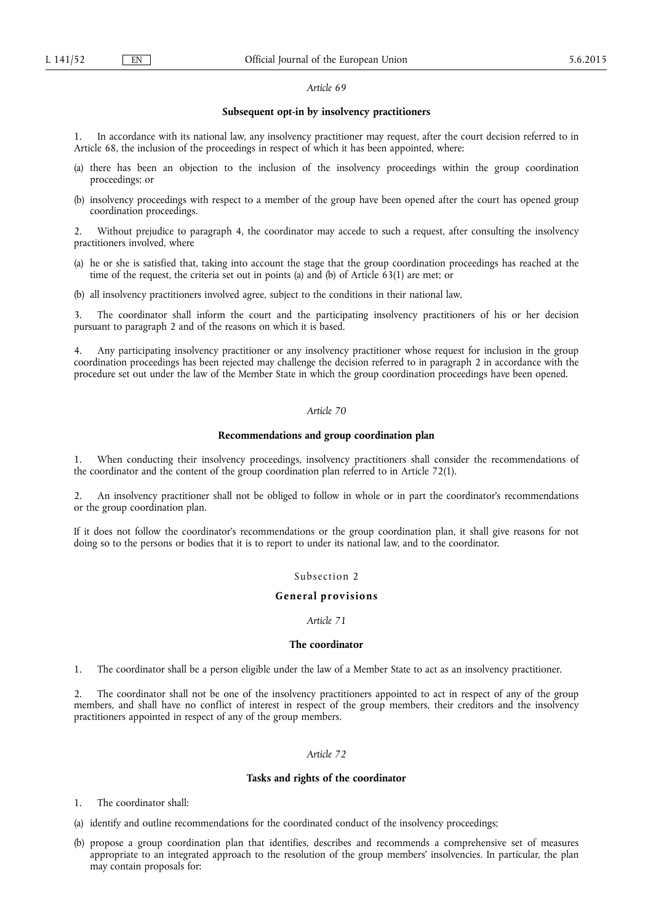### **Subsequent opt-in by insolvency practitioners**

1. In accordance with its national law, any insolvency practitioner may request, after the court decision referred to in Article 68, the inclusion of the proceedings in respect of which it has been appointed, where:

- (a) there has been an objection to the inclusion of the insolvency proceedings within the group coordination proceedings; or
- (b) insolvency proceedings with respect to a member of the group have been opened after the court has opened group coordination proceedings.

2. Without prejudice to paragraph 4, the coordinator may accede to such a request, after consulting the insolvency practitioners involved, where

- (a) he or she is satisfied that, taking into account the stage that the group coordination proceedings has reached at the time of the request, the criteria set out in points (a) and (b) of Article  $\dot{6}3(1)$  are met; or
- (b) all insolvency practitioners involved agree, subject to the conditions in their national law.

3. The coordinator shall inform the court and the participating insolvency practitioners of his or her decision pursuant to paragraph 2 and of the reasons on which it is based.

4. Any participating insolvency practitioner or any insolvency practitioner whose request for inclusion in the group coordination proceedings has been rejected may challenge the decision referred to in paragraph 2 in accordance with the procedure set out under the law of the Member State in which the group coordination proceedings have been opened.

### *Article 70*

#### **Recommendations and group coordination plan**

1. When conducting their insolvency proceedings, insolvency practitioners shall consider the recommendations of the coordinator and the content of the group coordination plan referred to in Article 72(1).

2. An insolvency practitioner shall not be obliged to follow in whole or in part the coordinator's recommendations or the group coordination plan.

If it does not follow the coordinator's recommendations or the group coordination plan, it shall give reasons for not doing so to the persons or bodies that it is to report to under its national law, and to the coordinator.

### Subsection 2

### **General provisions**

### *Article 71*

# **The coordinator**

1. The coordinator shall be a person eligible under the law of a Member State to act as an insolvency practitioner.

The coordinator shall not be one of the insolvency practitioners appointed to act in respect of any of the group members, and shall have no conflict of interest in respect of the group members, their creditors and the insolvency practitioners appointed in respect of any of the group members.

## *Article 72*

#### **Tasks and rights of the coordinator**

1. The coordinator shall:

- (a) identify and outline recommendations for the coordinated conduct of the insolvency proceedings;
- (b) propose a group coordination plan that identifies, describes and recommends a comprehensive set of measures appropriate to an integrated approach to the resolution of the group members' insolvencies. In particular, the plan may contain proposals for: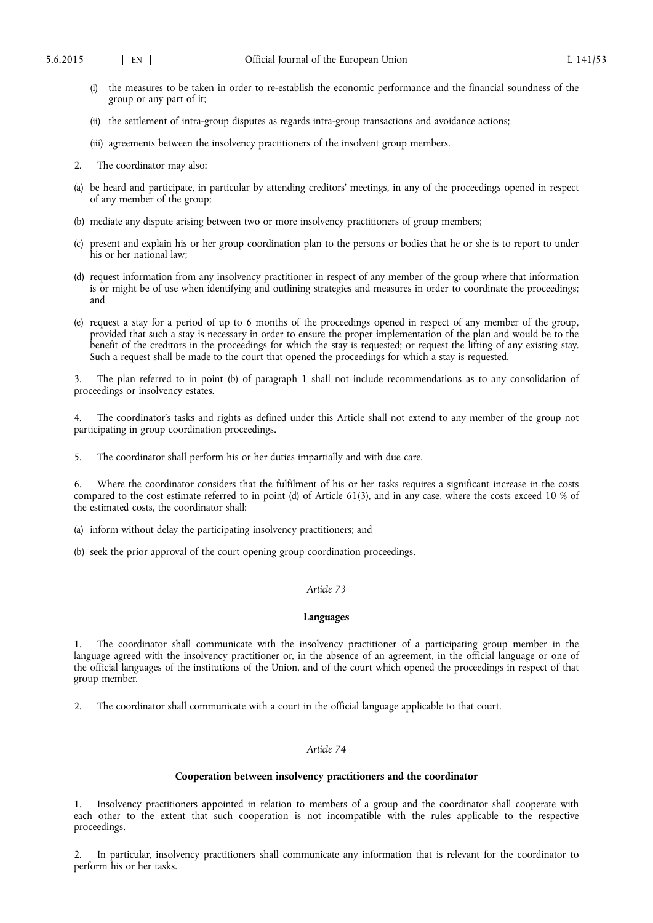- (i) the measures to be taken in order to re-establish the economic performance and the financial soundness of the group or any part of it;
- (ii) the settlement of intra-group disputes as regards intra-group transactions and avoidance actions;
- (iii) agreements between the insolvency practitioners of the insolvent group members.
- 2. The coordinator may also:
- (a) be heard and participate, in particular by attending creditors' meetings, in any of the proceedings opened in respect of any member of the group;
- (b) mediate any dispute arising between two or more insolvency practitioners of group members;
- (c) present and explain his or her group coordination plan to the persons or bodies that he or she is to report to under his or her national law;
- (d) request information from any insolvency practitioner in respect of any member of the group where that information is or might be of use when identifying and outlining strategies and measures in order to coordinate the proceedings; and
- (e) request a stay for a period of up to 6 months of the proceedings opened in respect of any member of the group, provided that such a stay is necessary in order to ensure the proper implementation of the plan and would be to the benefit of the creditors in the proceedings for which the stay is requested; or request the lifting of any existing stay. Such a request shall be made to the court that opened the proceedings for which a stay is requested.

3. The plan referred to in point (b) of paragraph 1 shall not include recommendations as to any consolidation of proceedings or insolvency estates.

4. The coordinator's tasks and rights as defined under this Article shall not extend to any member of the group not participating in group coordination proceedings.

5. The coordinator shall perform his or her duties impartially and with due care.

6. Where the coordinator considers that the fulfilment of his or her tasks requires a significant increase in the costs compared to the cost estimate referred to in point (d) of Article 61(3), and in any case, where the costs exceed 10 % of the estimated costs, the coordinator shall:

- (a) inform without delay the participating insolvency practitioners; and
- (b) seek the prior approval of the court opening group coordination proceedings.

### *Article 73*

#### **Languages**

1. The coordinator shall communicate with the insolvency practitioner of a participating group member in the language agreed with the insolvency practitioner or, in the absence of an agreement, in the official language or one of the official languages of the institutions of the Union, and of the court which opened the proceedings in respect of that group member.

2. The coordinator shall communicate with a court in the official language applicable to that court.

## *Article 74*

#### **Cooperation between insolvency practitioners and the coordinator**

Insolvency practitioners appointed in relation to members of a group and the coordinator shall cooperate with each other to the extent that such cooperation is not incompatible with the rules applicable to the respective proceedings.

2. In particular, insolvency practitioners shall communicate any information that is relevant for the coordinator to perform his or her tasks.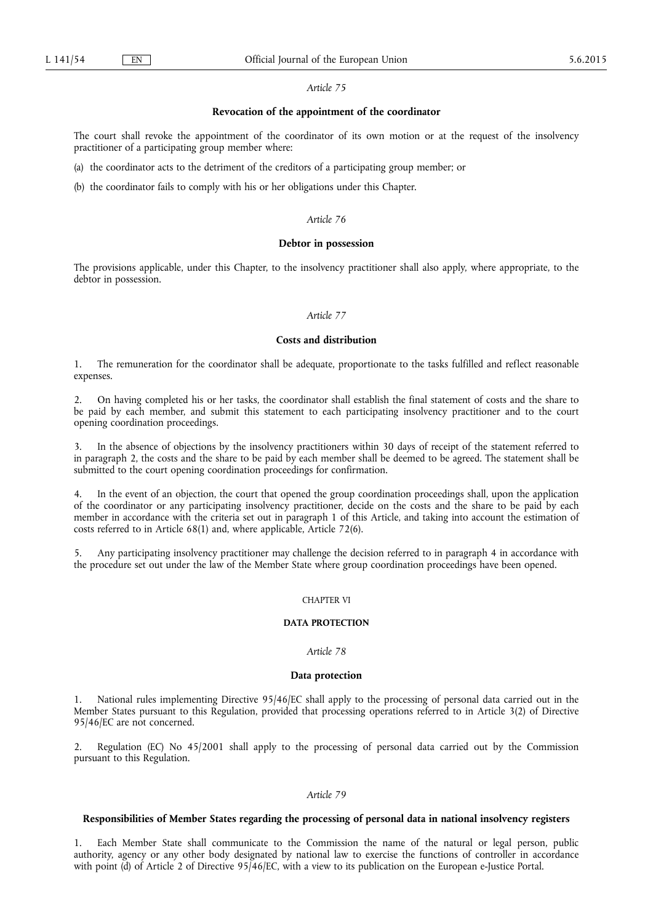### **Revocation of the appointment of the coordinator**

The court shall revoke the appointment of the coordinator of its own motion or at the request of the insolvency practitioner of a participating group member where:

(a) the coordinator acts to the detriment of the creditors of a participating group member; or

(b) the coordinator fails to comply with his or her obligations under this Chapter.

#### *Article 76*

#### **Debtor in possession**

The provisions applicable, under this Chapter, to the insolvency practitioner shall also apply, where appropriate, to the debtor in possession.

### *Article 77*

#### **Costs and distribution**

1. The remuneration for the coordinator shall be adequate, proportionate to the tasks fulfilled and reflect reasonable expenses.

2. On having completed his or her tasks, the coordinator shall establish the final statement of costs and the share to be paid by each member, and submit this statement to each participating insolvency practitioner and to the court opening coordination proceedings.

3. In the absence of objections by the insolvency practitioners within 30 days of receipt of the statement referred to in paragraph 2, the costs and the share to be paid by each member shall be deemed to be agreed. The statement shall be submitted to the court opening coordination proceedings for confirmation.

In the event of an objection, the court that opened the group coordination proceedings shall, upon the application of the coordinator or any participating insolvency practitioner, decide on the costs and the share to be paid by each member in accordance with the criteria set out in paragraph 1 of this Article, and taking into account the estimation of costs referred to in Article 68(1) and, where applicable, Article 72(6).

5. Any participating insolvency practitioner may challenge the decision referred to in paragraph 4 in accordance with the procedure set out under the law of the Member State where group coordination proceedings have been opened.

### CHAPTER VI

### **DATA PROTECTION**

#### *Article 78*

### **Data protection**

National rules implementing Directive 95/46/EC shall apply to the processing of personal data carried out in the Member States pursuant to this Regulation, provided that processing operations referred to in Article 3(2) of Directive 95/46/EC are not concerned.

2. Regulation (EC) No 45/2001 shall apply to the processing of personal data carried out by the Commission pursuant to this Regulation.

## *Article 79*

### **Responsibilities of Member States regarding the processing of personal data in national insolvency registers**

1. Each Member State shall communicate to the Commission the name of the natural or legal person, public authority, agency or any other body designated by national law to exercise the functions of controller in accordance with point (d) of Article 2 of Directive 95/46/EC, with a view to its publication on the European e-Justice Portal.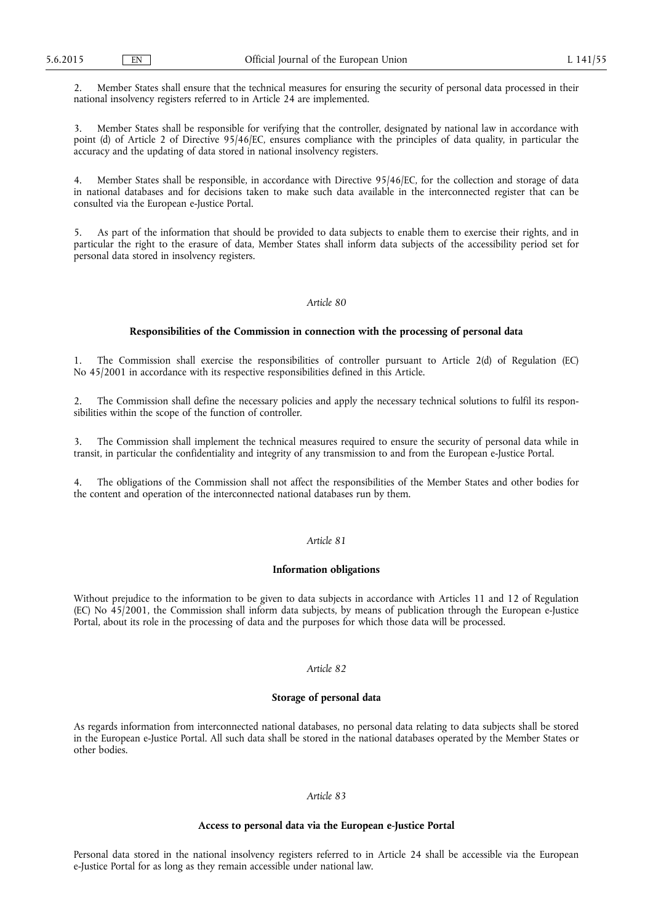2. Member States shall ensure that the technical measures for ensuring the security of personal data processed in their national insolvency registers referred to in Article 24 are implemented.

3. Member States shall be responsible for verifying that the controller, designated by national law in accordance with point (d) of Article 2 of Directive 95/46/EC, ensures compliance with the principles of data quality, in particular the accuracy and the updating of data stored in national insolvency registers.

4. Member States shall be responsible, in accordance with Directive 95/46/EC, for the collection and storage of data in national databases and for decisions taken to make such data available in the interconnected register that can be consulted via the European e-Justice Portal.

5. As part of the information that should be provided to data subjects to enable them to exercise their rights, and in particular the right to the erasure of data, Member States shall inform data subjects of the accessibility period set for personal data stored in insolvency registers.

## *Article 80*

### **Responsibilities of the Commission in connection with the processing of personal data**

1. The Commission shall exercise the responsibilities of controller pursuant to Article 2(d) of Regulation (EC) No 45/2001 in accordance with its respective responsibilities defined in this Article.

2. The Commission shall define the necessary policies and apply the necessary technical solutions to fulfil its responsibilities within the scope of the function of controller.

The Commission shall implement the technical measures required to ensure the security of personal data while in transit, in particular the confidentiality and integrity of any transmission to and from the European e-Justice Portal.

4. The obligations of the Commission shall not affect the responsibilities of the Member States and other bodies for the content and operation of the interconnected national databases run by them.

### *Article 81*

### **Information obligations**

Without prejudice to the information to be given to data subjects in accordance with Articles 11 and 12 of Regulation (EC) No 45/2001, the Commission shall inform data subjects, by means of publication through the European e-Justice Portal, about its role in the processing of data and the purposes for which those data will be processed.

## *Article 82*

#### **Storage of personal data**

As regards information from interconnected national databases, no personal data relating to data subjects shall be stored in the European e-Justice Portal. All such data shall be stored in the national databases operated by the Member States or other bodies.

### *Article 83*

### **Access to personal data via the European e-Justice Portal**

Personal data stored in the national insolvency registers referred to in Article 24 shall be accessible via the European e-Justice Portal for as long as they remain accessible under national law.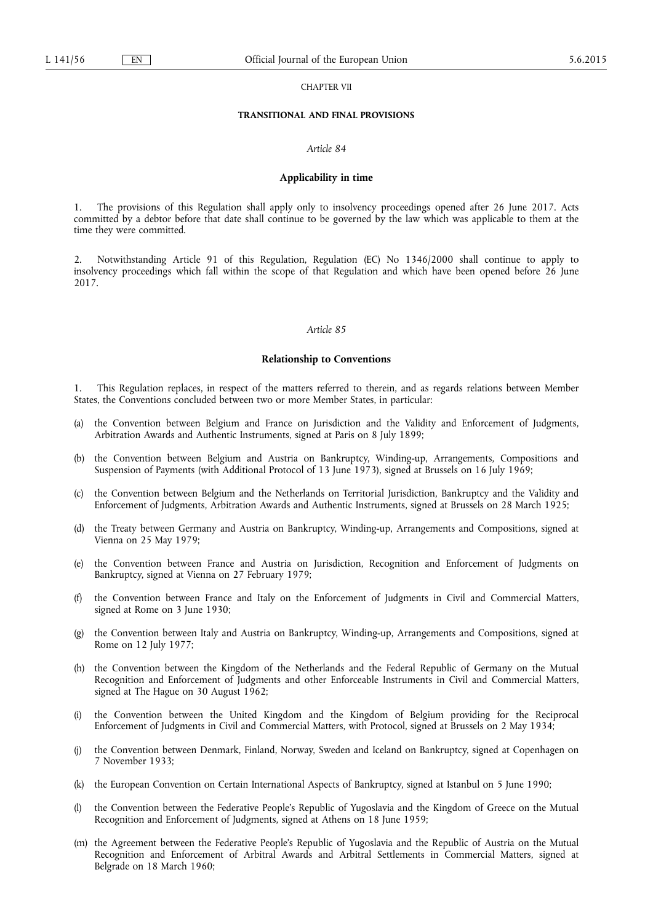#### CHAPTER VII

### **TRANSITIONAL AND FINAL PROVISIONS**

### *Article 84*

#### **Applicability in time**

1. The provisions of this Regulation shall apply only to insolvency proceedings opened after 26 June 2017. Acts committed by a debtor before that date shall continue to be governed by the law which was applicable to them at the time they were committed.

2. Notwithstanding Article 91 of this Regulation, Regulation (EC) No 1346/2000 shall continue to apply to insolvency proceedings which fall within the scope of that Regulation and which have been opened before 26 June 2017.

### *Article 85*

#### **Relationship to Conventions**

1. This Regulation replaces, in respect of the matters referred to therein, and as regards relations between Member States, the Conventions concluded between two or more Member States, in particular:

- (a) the Convention between Belgium and France on Jurisdiction and the Validity and Enforcement of Judgments, Arbitration Awards and Authentic Instruments, signed at Paris on 8 July 1899;
- (b) the Convention between Belgium and Austria on Bankruptcy, Winding-up, Arrangements, Compositions and Suspension of Payments (with Additional Protocol of 13 June 1973), signed at Brussels on 16 July 1969;
- (c) the Convention between Belgium and the Netherlands on Territorial Jurisdiction, Bankruptcy and the Validity and Enforcement of Judgments, Arbitration Awards and Authentic Instruments, signed at Brussels on 28 March 1925;
- (d) the Treaty between Germany and Austria on Bankruptcy, Winding-up, Arrangements and Compositions, signed at Vienna on 25 May 1979;
- (e) the Convention between France and Austria on Jurisdiction, Recognition and Enforcement of Judgments on Bankruptcy, signed at Vienna on 27 February 1979;
- (f) the Convention between France and Italy on the Enforcement of Judgments in Civil and Commercial Matters, signed at Rome on 3 June 1930;
- (g) the Convention between Italy and Austria on Bankruptcy, Winding-up, Arrangements and Compositions, signed at Rome on 12 July 1977;
- (h) the Convention between the Kingdom of the Netherlands and the Federal Republic of Germany on the Mutual Recognition and Enforcement of Judgments and other Enforceable Instruments in Civil and Commercial Matters, signed at The Hague on 30 August 1962;
- (i) the Convention between the United Kingdom and the Kingdom of Belgium providing for the Reciprocal Enforcement of Judgments in Civil and Commercial Matters, with Protocol, signed at Brussels on 2 May 1934;
- the Convention between Denmark, Finland, Norway, Sweden and Iceland on Bankruptcy, signed at Copenhagen on 7 November 1933;
- (k) the European Convention on Certain International Aspects of Bankruptcy, signed at Istanbul on 5 June 1990;
- (l) the Convention between the Federative People's Republic of Yugoslavia and the Kingdom of Greece on the Mutual Recognition and Enforcement of Judgments, signed at Athens on 18 June 1959;
- (m) the Agreement between the Federative People's Republic of Yugoslavia and the Republic of Austria on the Mutual Recognition and Enforcement of Arbitral Awards and Arbitral Settlements in Commercial Matters, signed at Belgrade on 18 March 1960;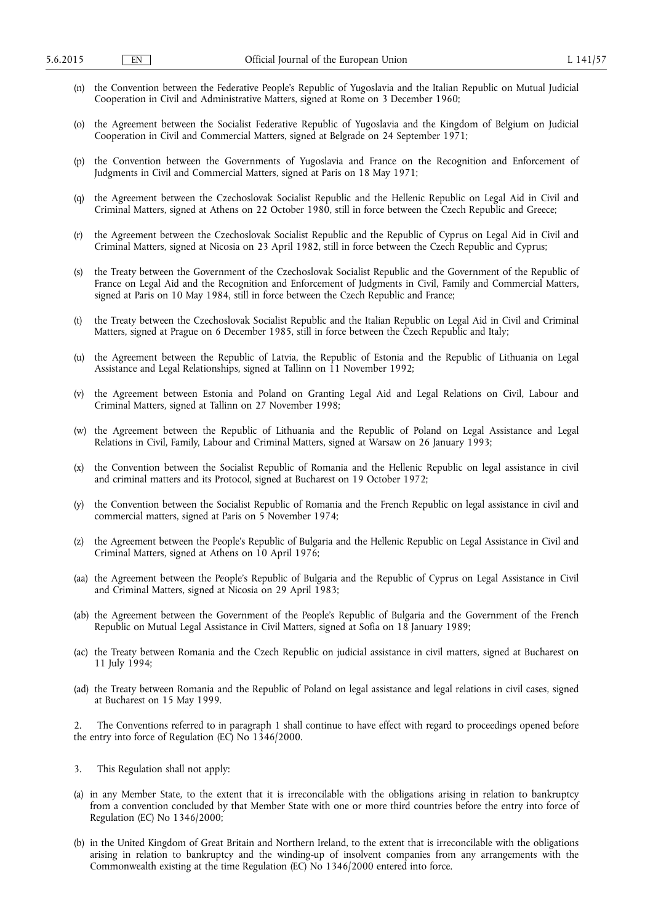- (n) the Convention between the Federative People's Republic of Yugoslavia and the Italian Republic on Mutual Judicial Cooperation in Civil and Administrative Matters, signed at Rome on 3 December 1960;
- (o) the Agreement between the Socialist Federative Republic of Yugoslavia and the Kingdom of Belgium on Judicial Cooperation in Civil and Commercial Matters, signed at Belgrade on 24 September 1971;
- (p) the Convention between the Governments of Yugoslavia and France on the Recognition and Enforcement of Judgments in Civil and Commercial Matters, signed at Paris on 18 May 1971;
- (q) the Agreement between the Czechoslovak Socialist Republic and the Hellenic Republic on Legal Aid in Civil and Criminal Matters, signed at Athens on 22 October 1980, still in force between the Czech Republic and Greece;
- (r) the Agreement between the Czechoslovak Socialist Republic and the Republic of Cyprus on Legal Aid in Civil and Criminal Matters, signed at Nicosia on 23 April 1982, still in force between the Czech Republic and Cyprus;
- (s) the Treaty between the Government of the Czechoslovak Socialist Republic and the Government of the Republic of France on Legal Aid and the Recognition and Enforcement of Judgments in Civil, Family and Commercial Matters, signed at Paris on 10 May 1984, still in force between the Czech Republic and France;
- (t) the Treaty between the Czechoslovak Socialist Republic and the Italian Republic on Legal Aid in Civil and Criminal Matters, signed at Prague on 6 December 1985, still in force between the Czech Republic and Italy;
- (u) the Agreement between the Republic of Latvia, the Republic of Estonia and the Republic of Lithuania on Legal Assistance and Legal Relationships, signed at Tallinn on 11 November 1992;
- (v) the Agreement between Estonia and Poland on Granting Legal Aid and Legal Relations on Civil, Labour and Criminal Matters, signed at Tallinn on 27 November 1998;
- (w) the Agreement between the Republic of Lithuania and the Republic of Poland on Legal Assistance and Legal Relations in Civil, Family, Labour and Criminal Matters, signed at Warsaw on 26 January 1993;
- (x) the Convention between the Socialist Republic of Romania and the Hellenic Republic on legal assistance in civil and criminal matters and its Protocol, signed at Bucharest on 19 October 1972;
- (y) the Convention between the Socialist Republic of Romania and the French Republic on legal assistance in civil and commercial matters, signed at Paris on 5 November 1974;
- (z) the Agreement between the People's Republic of Bulgaria and the Hellenic Republic on Legal Assistance in Civil and Criminal Matters, signed at Athens on 10 April 1976;
- (aa) the Agreement between the People's Republic of Bulgaria and the Republic of Cyprus on Legal Assistance in Civil and Criminal Matters, signed at Nicosia on 29 April 1983;
- (ab) the Agreement between the Government of the People's Republic of Bulgaria and the Government of the French Republic on Mutual Legal Assistance in Civil Matters, signed at Sofia on 18 January 1989;
- (ac) the Treaty between Romania and the Czech Republic on judicial assistance in civil matters, signed at Bucharest on 11 July 1994;
- (ad) the Treaty between Romania and the Republic of Poland on legal assistance and legal relations in civil cases, signed at Bucharest on 15 May 1999.

2. The Conventions referred to in paragraph 1 shall continue to have effect with regard to proceedings opened before the entry into force of Regulation (EC) No  $1346/2000$ .

- 3. This Regulation shall not apply:
- (a) in any Member State, to the extent that it is irreconcilable with the obligations arising in relation to bankruptcy from a convention concluded by that Member State with one or more third countries before the entry into force of Regulation (EC) No 1346/2000;
- (b) in the United Kingdom of Great Britain and Northern Ireland, to the extent that is irreconcilable with the obligations arising in relation to bankruptcy and the winding-up of insolvent companies from any arrangements with the Commonwealth existing at the time Regulation (EC) No 1346/2000 entered into force.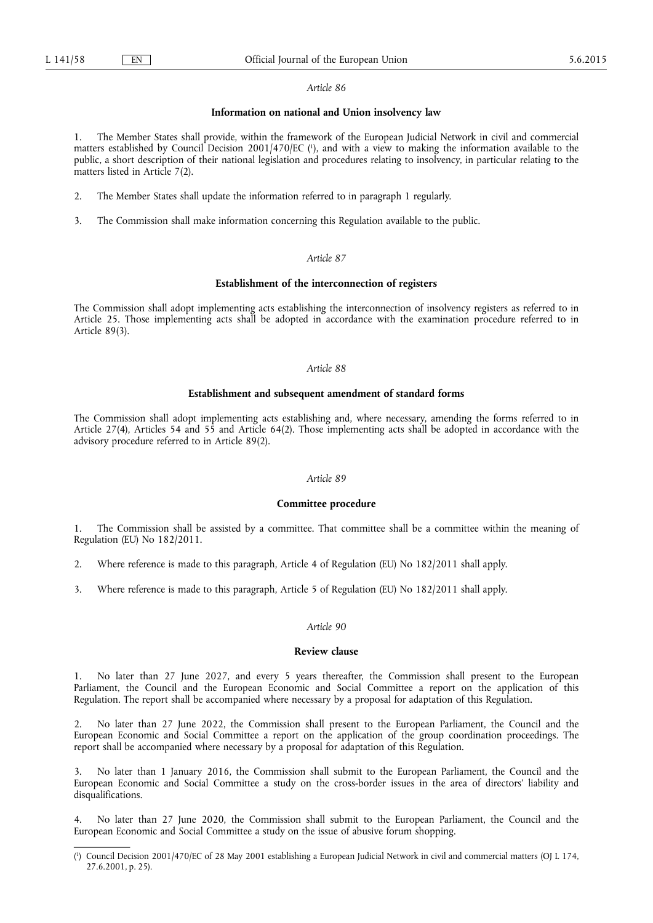### **Information on national and Union insolvency law**

1. The Member States shall provide, within the framework of the European Judicial Network in civil and commercial matters established by Council Decision 2001/470/EC ( 1 ), and with a view to making the information available to the public, a short description of their national legislation and procedures relating to insolvency, in particular relating to the matters listed in Article 7(2).

- 2. The Member States shall update the information referred to in paragraph 1 regularly.
- 3. The Commission shall make information concerning this Regulation available to the public.

## *Article 87*

# **Establishment of the interconnection of registers**

The Commission shall adopt implementing acts establishing the interconnection of insolvency registers as referred to in Article 25. Those implementing acts shall be adopted in accordance with the examination procedure referred to in Article 89(3).

#### *Article 88*

#### **Establishment and subsequent amendment of standard forms**

The Commission shall adopt implementing acts establishing and, where necessary, amending the forms referred to in Article 27(4), Articles 54 and 55 and Article 64(2). Those implementing acts shall be adopted in accordance with the advisory procedure referred to in Article 89(2).

#### *Article 89*

#### **Committee procedure**

1. The Commission shall be assisted by a committee. That committee shall be a committee within the meaning of Regulation (EU) No 182/2011.

2. Where reference is made to this paragraph, Article 4 of Regulation (EU) No 182/2011 shall apply.

3. Where reference is made to this paragraph, Article 5 of Regulation (EU) No 182/2011 shall apply.

### *Article 90*

#### **Review clause**

1. No later than 27 June 2027, and every 5 years thereafter, the Commission shall present to the European Parliament, the Council and the European Economic and Social Committee a report on the application of this Regulation. The report shall be accompanied where necessary by a proposal for adaptation of this Regulation.

2. No later than 27 June 2022, the Commission shall present to the European Parliament, the Council and the European Economic and Social Committee a report on the application of the group coordination proceedings. The report shall be accompanied where necessary by a proposal for adaptation of this Regulation.

3. No later than 1 January 2016, the Commission shall submit to the European Parliament, the Council and the European Economic and Social Committee a study on the cross-border issues in the area of directors' liability and disqualifications.

4. No later than 27 June 2020, the Commission shall submit to the European Parliament, the Council and the European Economic and Social Committee a study on the issue of abusive forum shopping.

<sup>(</sup> 1 ) Council Decision 2001/470/EC of 28 May 2001 establishing a European Judicial Network in civil and commercial matters (OJ L 174, 27.6.2001, p. 25).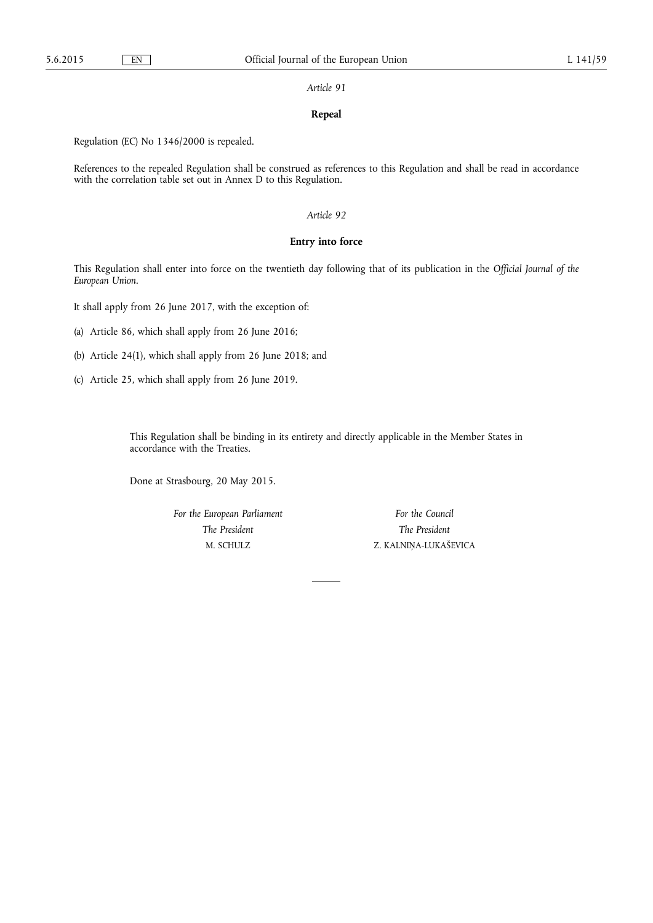# **Repeal**

Regulation (EC) No 1346/2000 is repealed.

References to the repealed Regulation shall be construed as references to this Regulation and shall be read in accordance with the correlation table set out in Annex D to this Regulation.

## *Article 92*

# **Entry into force**

This Regulation shall enter into force on the twentieth day following that of its publication in the *Official Journal of the European Union*.

It shall apply from 26 June 2017, with the exception of:

(a) Article 86, which shall apply from 26 June 2016;

- (b) Article 24(1), which shall apply from 26 June 2018; and
- (c) Article 25, which shall apply from 26 June 2019.

This Regulation shall be binding in its entirety and directly applicable in the Member States in accordance with the Treaties.

Done at Strasbourg, 20 May 2015.

*For the European Parliament The President*  M. SCHULZ

*For the Council The President*  Z. KALNIŅA-LUKAŠEVICA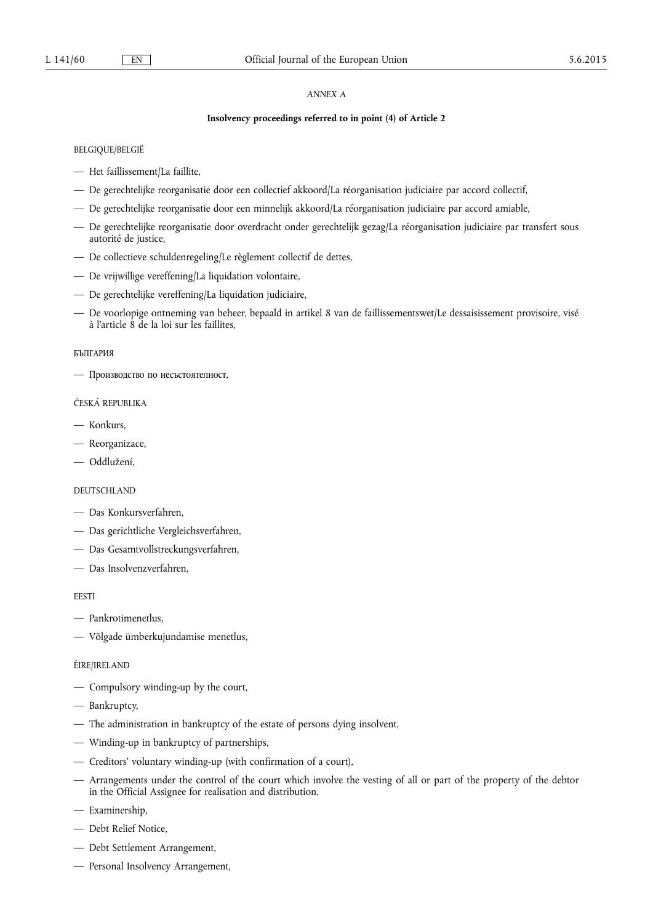# *ANNEX A*

### **Insolvency proceedings referred to in point (4) of Article 2**

# BELGIQUE/BELGIË

- Het faillissement/La faillite,
- De gerechtelijke reorganisatie door een collectief akkoord/La réorganisation judiciaire par accord collectif,
- De gerechtelijke reorganisatie door een minnelijk akkoord/La réorganisation judiciaire par accord amiable,
- De gerechtelijke reorganisatie door overdracht onder gerechtelijk gezag/La réorganisation judiciaire par transfert sous autorité de justice,
- De collectieve schuldenregeling/Le règlement collectif de dettes,
- De vrijwillige vereffening/La liquidation volontaire,
- De gerechtelijke vereffening/La liquidation judiciaire,
- De voorlopige ontneming van beheer, bepaald in artikel 8 van de faillissementswet/Le dessaisissement provisoire, visé à l'article 8 de la loi sur les faillites,

## БЪЛГАРИЯ

— Производство по несъстоятелност,

## ČESKÁ REPUBLIKA

- Konkurs,
- Reorganizace,
- Oddlužení,

# DEUTSCHLAND

- Das Konkursverfahren,
- Das gerichtliche Vergleichsverfahren,
- Das Gesamtvollstreckungsverfahren,
- Das Insolvenzverfahren,

### EESTI

- Pankrotimenetlus,
- Võlgade ümberkujundamise menetlus,

## ÉIRE/IRELAND

- Compulsory winding-up by the court,
- Bankruptcy,
- The administration in bankruptcy of the estate of persons dying insolvent,
- Winding-up in bankruptcy of partnerships,
- Creditors' voluntary winding-up (with confirmation of a court),
- Arrangements under the control of the court which involve the vesting of all or part of the property of the debtor in the Official Assignee for realisation and distribution,
- Examinership,
- Debt Relief Notice,
- Debt Settlement Arrangement,
- Personal Insolvency Arrangement,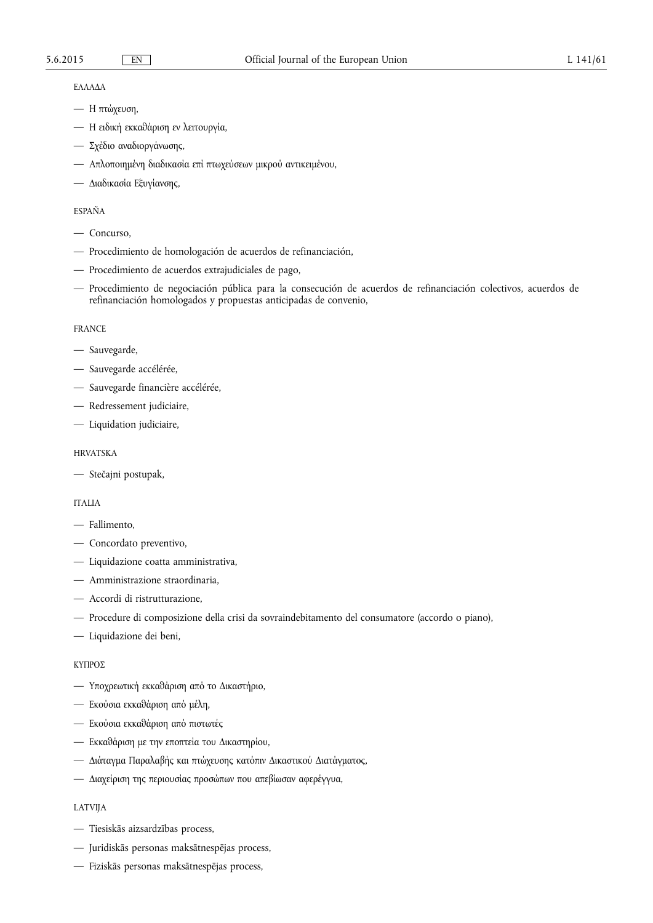# ΕΛΛΑΔΑ

- Η πτώχευση,
- Η ειδική εκκαθάριση εν λειτουργία,
- Σχέδιο αναδιοργάνωσης,
- Απλοποιημένη διαδικασία επί πτωχεύσεων μικρού αντικειμένου,
- Διαδικασία Εξυγίανσης,

# ESPAÑA

- Concurso,
- Procedimiento de homologación de acuerdos de refinanciación,
- Procedimiento de acuerdos extrajudiciales de pago,
- Procedimiento de negociación pública para la consecución de acuerdos de refinanciación colectivos, acuerdos de refinanciación homologados y propuestas anticipadas de convenio,

## FRANCE

- Sauvegarde,
- Sauvegarde accélérée,
- Sauvegarde financière accélérée,
- Redressement judiciaire,
- Liquidation judiciaire,

### HRVATSKA

— SteĀajni postupak,

## ITALIA

- Fallimento,
- Concordato preventivo,
- Liquidazione coatta amministrativa,
- Amministrazione straordinaria,
- Accordi di ristrutturazione,
- Procedure di composizione della crisi da sovraindebitamento del consumatore (accordo o piano),
- Liquidazione dei beni,

### ΚΥΠΡΟΣ

- Υποχρεωτική εκκαθάριση από το Δικαστήριο,
- Εκούσια εκκαθάριση από μέλη,
- Εκούσια εκκαθάριση από πιστωτές
- Εκκαθάριση με την εποπτεία του Δικαστηρίου,
- Διάταγμα Παραλαβής και πτώχευσης κατόπιν Δικαστικού Διατάγματος,
- Διαχείριση της περιουσίας προσώπων που απεβίωσαν αφερέγγυα,

# LATVIJA

- Tiesiskās aizsardzības process,
- Juridiskās personas maksātnespējas process,
- Fiziskās personas maksātnespējas process,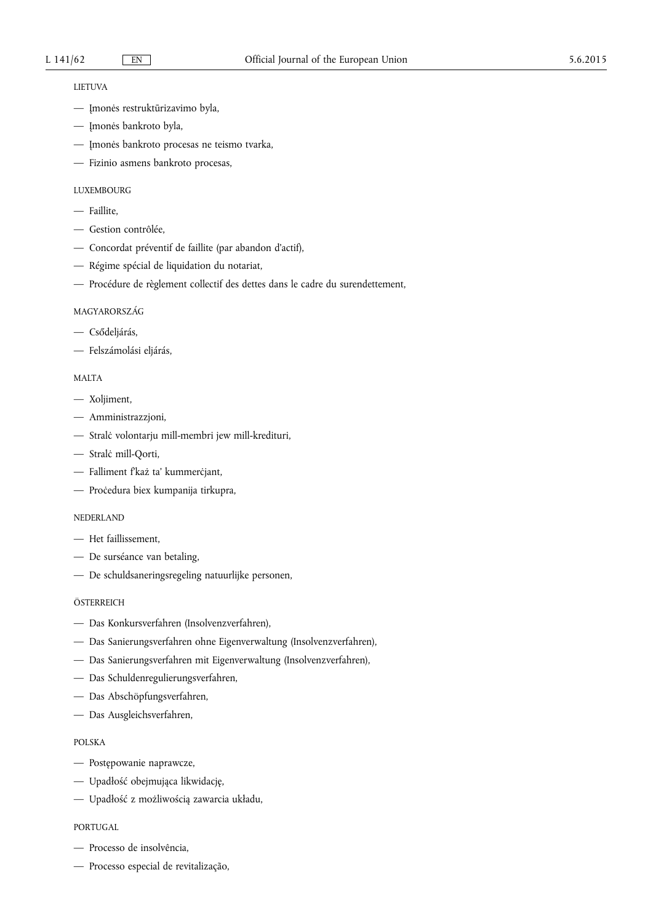# LIETUVA

- Įmonės restruktūrizavimo byla,
- Įmonės bankroto byla,
- Įmonės bankroto procesas ne teismo tvarka,
- Fizinio asmens bankroto procesas,

### LUXEMBOURG

- Faillite,
- Gestion contrôlée,
- Concordat préventif de faillite (par abandon d'actif),
- Régime spécial de liquidation du notariat,
- Procédure de règlement collectif des dettes dans le cadre du surendettement,

## MAGYARORSZÁG

- Csődeljárás,
- Felszámolási eljárás,

## MALTA

- Xoljiment,
- Amministrazzjoni,
- Stralė volontarju mill-membri jew mill-kredituri,
- Stralċ mill-Qorti,
- Falliment f'każ ta' kummerċjant,
- Pročedura biex kumpanija tirkupra,

## NEDERLAND

- Het faillissement,
- De surséance van betaling,
- De schuldsaneringsregeling natuurlijke personen,

# **ÖSTERREICH**

- Das Konkursverfahren (Insolvenzverfahren),
- Das Sanierungsverfahren ohne Eigenverwaltung (Insolvenzverfahren),
- Das Sanierungsverfahren mit Eigenverwaltung (Insolvenzverfahren),
- Das Schuldenregulierungsverfahren,
- Das Abschöpfungsverfahren,
- Das Ausgleichsverfahren,

### POLSKA

- Postępowanie naprawcze,
- Upadłość obejmująca likwidację,
- Upadłość z możliwością zawarcia układu,

### PORTUGAL

- Processo de insolvência,
- Processo especial de revitalização,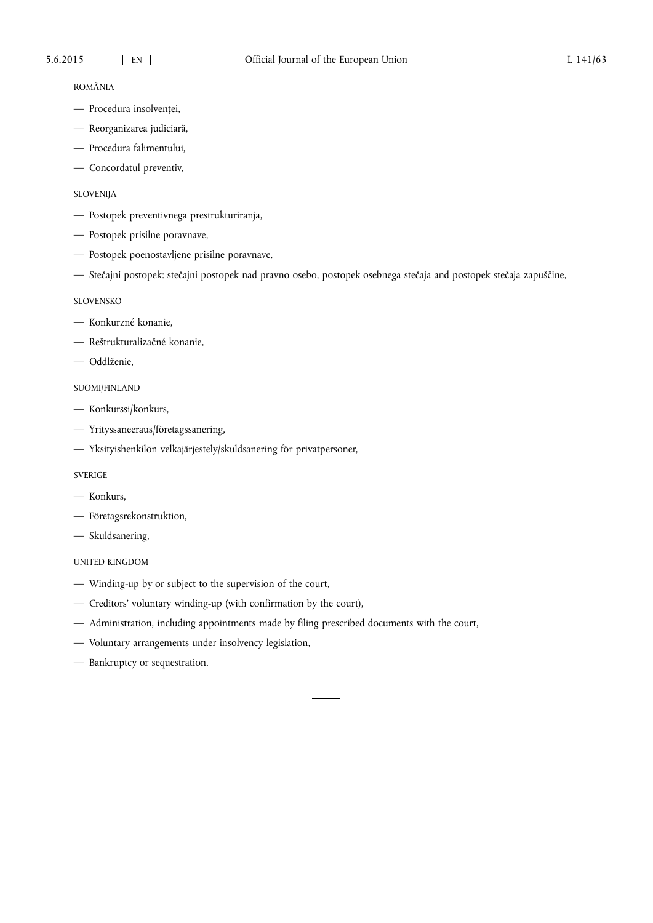# ROMÂNIA

- Procedura insolvenței,
- Reorganizarea judiciară,
- Procedura falimentului,
- Concordatul preventiv,

### SLOVENIJA

- Postopek preventivnega prestrukturiranja,
- Postopek prisilne poravnave,
- Postopek poenostavljene prisilne poravnave,
- Stečajni postopek: stečajni postopek nad pravno osebo, postopek osebnega stečaja and postopek stečaja zapuščine,

## SLOVENSKO

- Konkurzné konanie,
- Reštrukturalizačné konanie,
- Oddlženie,

### SUOMI/FINLAND

- Konkurssi/konkurs,
- Yrityssaneeraus/företagssanering,
- Yksityishenkilön velkajärjestely/skuldsanering för privatpersoner,

# SVERIGE

- Konkurs,
- Företagsrekonstruktion,
- Skuldsanering,

## UNITED KINGDOM

- Winding-up by or subject to the supervision of the court,
- Creditors' voluntary winding-up (with confirmation by the court),
- Administration, including appointments made by filing prescribed documents with the court,
- Voluntary arrangements under insolvency legislation,
- Bankruptcy or sequestration.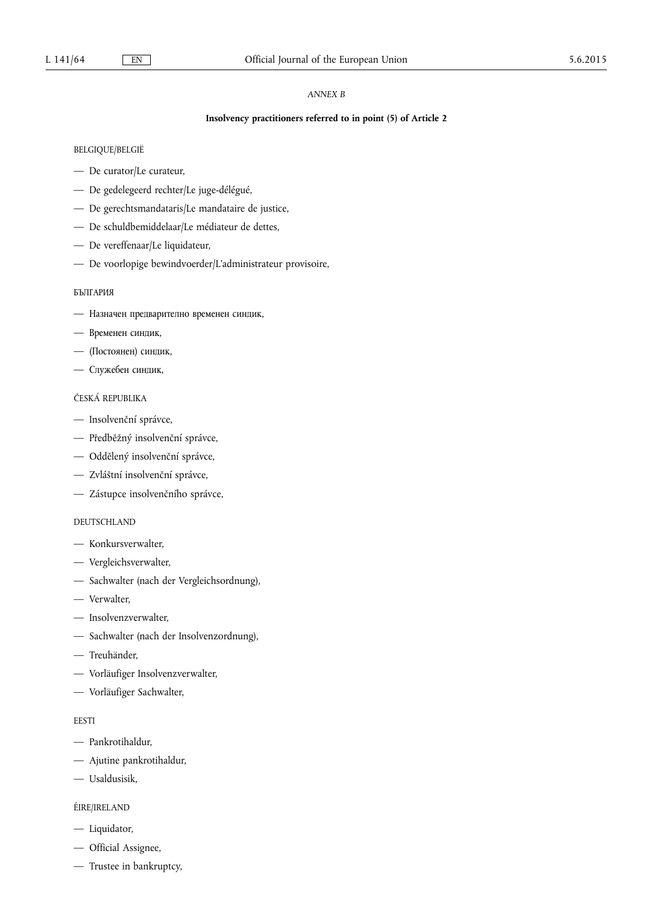# *ANNEX B*

### **Insolvency practitioners referred to in point (5) of Article 2**

# BELGIQUE/BELGIË

- De curator/Le curateur,
- De gedelegeerd rechter/Le juge-délégué,
- De gerechtsmandataris/Le mandataire de justice,
- De schuldbemiddelaar/Le médiateur de dettes,
- De vereffenaar/Le liquidateur,
- De voorlopige bewindvoerder/L'administrateur provisoire,

### БЪЛГАРИЯ

- Назначен предварително временен синдик,
- Временен синдик,
- (Постоянен) синдик,
- Служебен синдик,

# ČESKÁ REPUBLIKA

- Insolvenční správce,
- Předběžný insolvenční správce,
- Oddělený insolvenční správce,
- Zvláštní insolvenční správce,
- Zástupce insolvenčního správce,

# DEUTSCHLAND

- Konkursverwalter,
- Vergleichsverwalter,
- Sachwalter (nach der Vergleichsordnung),
- Verwalter,
- Insolvenzverwalter,
- Sachwalter (nach der Insolvenzordnung),
- Treuhänder,
- Vorläufiger Insolvenzverwalter,
- Vorläufiger Sachwalter,

# EESTI

- Pankrotihaldur,
- Ajutine pankrotihaldur,
- Usaldusisik,

### ÉIRE/IRELAND

- Liquidator,
- Official Assignee,
- Trustee in bankruptcy,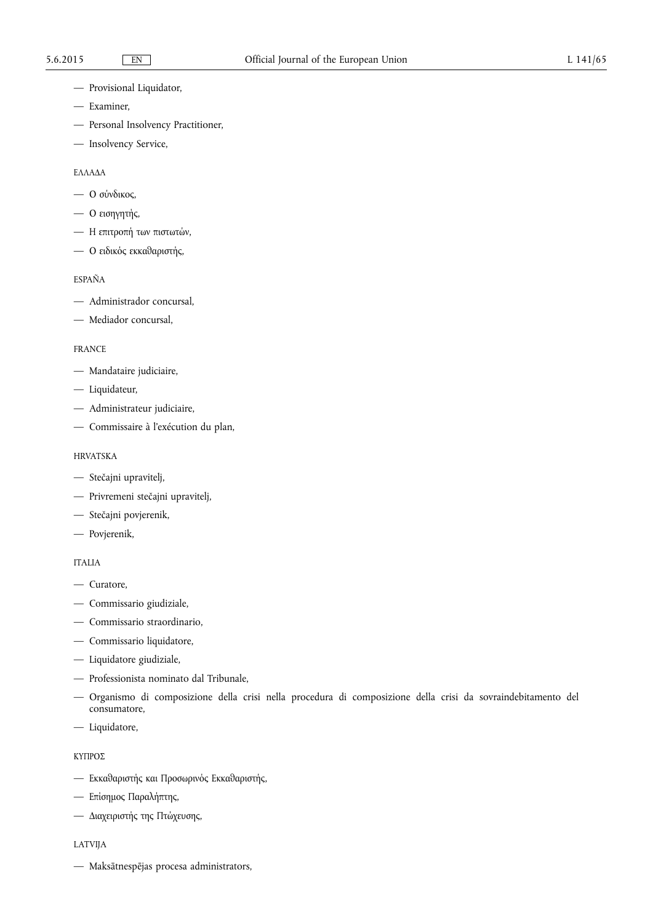- Provisional Liquidator,
- Examiner,
- Personal Insolvency Practitioner,
- Insolvency Service,

ΕΛΛΑΔΑ

- Ο σύνδικος,
- Ο εισηγητής,
- Η επιτροπή των πιστωτών,
- Ο ειδικός εκκαθαριστής,

### ESPAÑA

- Administrador concursal,
- Mediador concursal,

## FRANCE

- Mandataire judiciaire,
- Liquidateur,
- Administrateur judiciaire,
- Commissaire à l'exécution du plan,

# HRVATSKA

- Stečajni upravitelj,
- Privremeni stečajni upravitelj,
- Stečajni povjerenik,
- Povjerenik,

### ITALIA

- Curatore,
- Commissario giudiziale,
- Commissario straordinario,
- Commissario liquidatore,
- Liquidatore giudiziale,
- Professionista nominato dal Tribunale,
- Organismo di composizione della crisi nella procedura di composizione della crisi da sovraindebitamento del consumatore,
- Liquidatore,

## ΚΥΠΡΟΣ

- Εκκαθαριστής και Προσωρινός Εκκαθαριστής,
- Επίσημος Παραλήπτης,
- Διαχειριστής της Πτώχευσης,

# LATVIJA

— Maksātnespējas procesa administrators,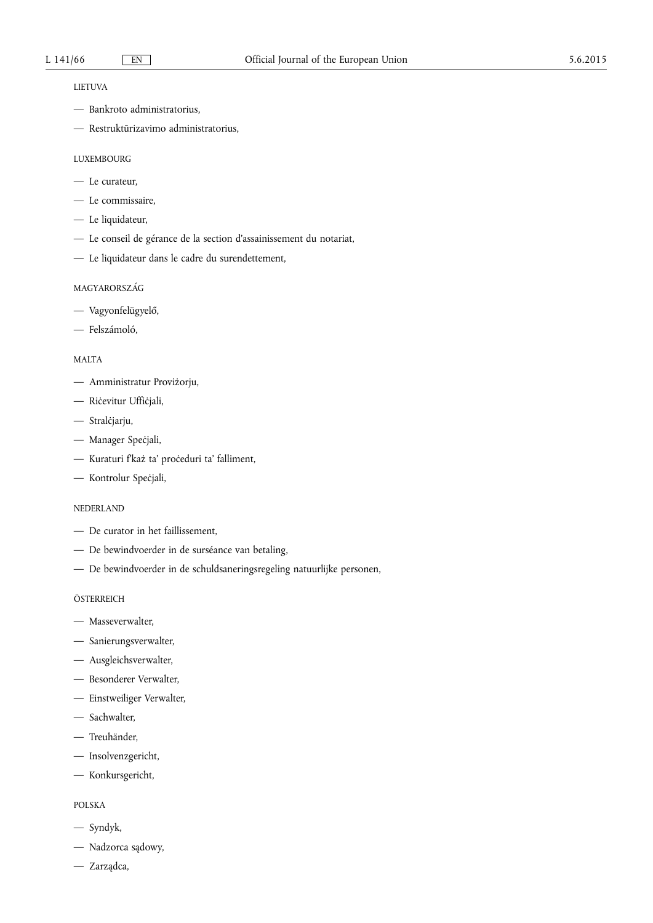# LIETUVA

- Bankroto administratorius,
- Restruktūrizavimo administratorius,

## LUXEMBOURG

- Le curateur,
- Le commissaire,
- Le liquidateur,
- Le conseil de gérance de la section d'assainissement du notariat,
- Le liquidateur dans le cadre du surendettement,

# MAGYARORSZÁG

- Vagyonfelügyelő,
- Felszámoló,

## MALTA

- Amministratur Proviżorju,
- Ričevitur Uffičjali,
- Stralčjarju,
- Manager Spečjali,
- Kuraturi f'każ ta' pročeduri ta' falliment,
- Kontrolur Spečjali,

### NEDERLAND

- De curator in het faillissement,
- De bewindvoerder in de surséance van betaling,
- De bewindvoerder in de schuldsaneringsregeling natuurlijke personen,

# **ÖSTERREICH**

- Masseverwalter,
- Sanierungsverwalter,
- Ausgleichsverwalter,
- Besonderer Verwalter,
- Einstweiliger Verwalter,
- Sachwalter,
- Treuhänder,
- Insolvenzgericht,
- Konkursgericht,

## POLSKA

- Syndyk,
- Nadzorca sądowy,
- Zarządca,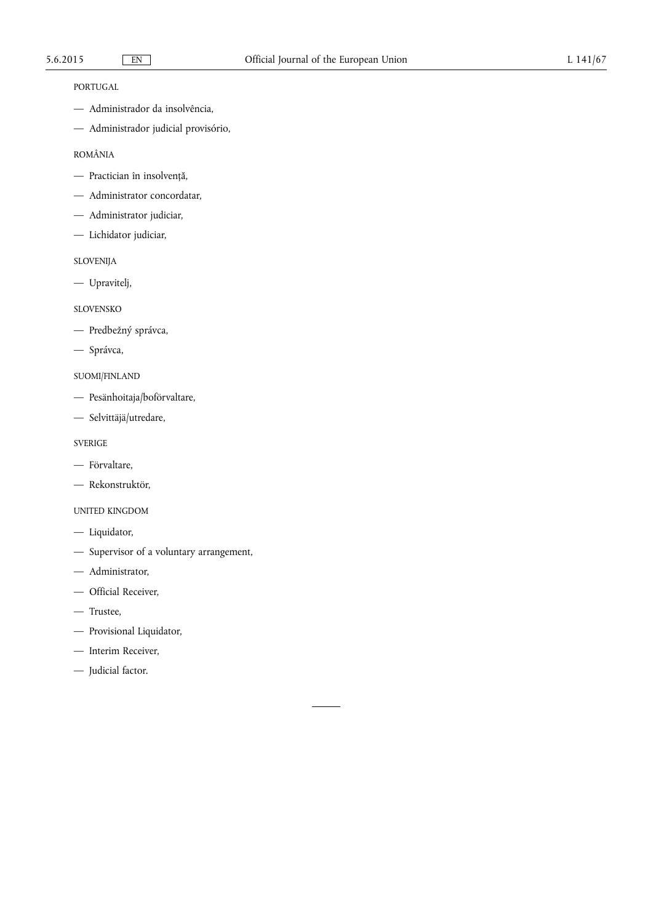PORTUGAL

- Administrador da insolvência,
- Administrador judicial provisório,

ROMÂNIA

- Practician în insolvență,
- Administrator concordatar,
- Administrator judiciar,
- Lichidator judiciar,

SLOVENIJA

— Upravitelj,

SLOVENSKO

- Predbežný správca,
- Správca,

# SUOMI/FINLAND

- Pesänhoitaja/boförvaltare,
- Selvittäjä/utredare,

SVERIGE

- Förvaltare,
- Rekonstruktör,

UNITED KINGDOM

- Liquidator,
- Supervisor of a voluntary arrangement,
- Administrator,
- Official Receiver,
- Trustee,
- Provisional Liquidator,
- Interim Receiver,
- Judicial factor.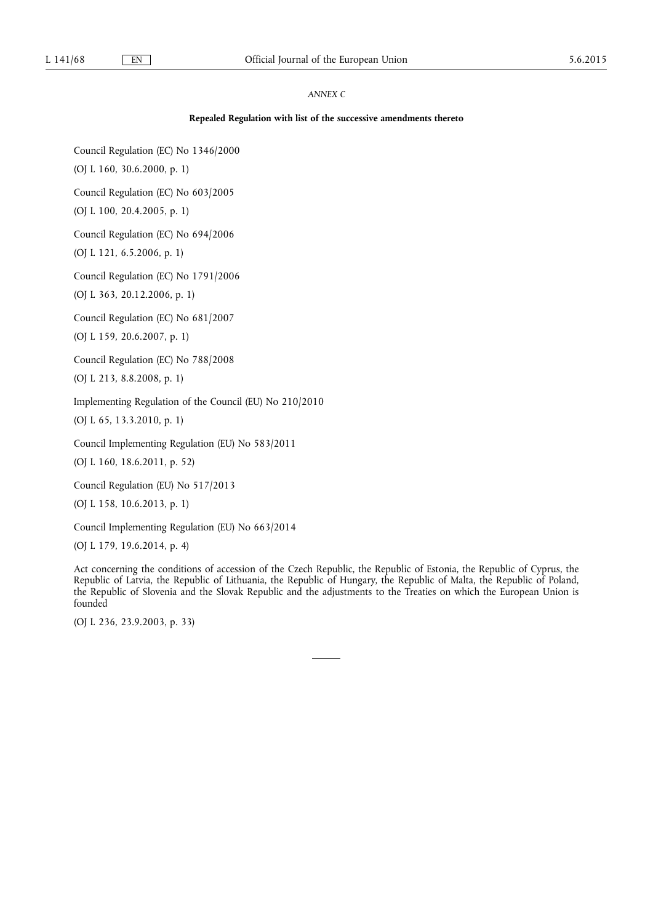## *ANNEX C*

### **Repealed Regulation with list of the successive amendments thereto**

Council Regulation (EC) No 1346/2000

(OJ L 160, 30.6.2000, p. 1)

Council Regulation (EC) No 603/2005

(OJ L 100, 20.4.2005, p. 1)

Council Regulation (EC) No 694/2006

(OJ L 121, 6.5.2006, p. 1)

Council Regulation (EC) No 1791/2006

(OJ L 363, 20.12.2006, p. 1)

Council Regulation (EC) No 681/2007

(OJ L 159, 20.6.2007, p. 1)

Council Regulation (EC) No 788/2008

(OJ L 213, 8.8.2008, p. 1)

Implementing Regulation of the Council (EU) No 210/2010

(OJ L 65, 13.3.2010, p. 1)

Council Implementing Regulation (EU) No 583/2011

(OJ L 160, 18.6.2011, p. 52)

Council Regulation (EU) No 517/2013

(OJ L 158, 10.6.2013, p. 1)

Council Implementing Regulation (EU) No 663/2014

(OJ L 179, 19.6.2014, p. 4)

Act concerning the conditions of accession of the Czech Republic, the Republic of Estonia, the Republic of Cyprus, the Republic of Latvia, the Republic of Lithuania, the Republic of Hungary, the Republic of Malta, the Republic of Poland, the Republic of Slovenia and the Slovak Republic and the adjustments to the Treaties on which the European Union is founded

(OJ L 236, 23.9.2003, p. 33)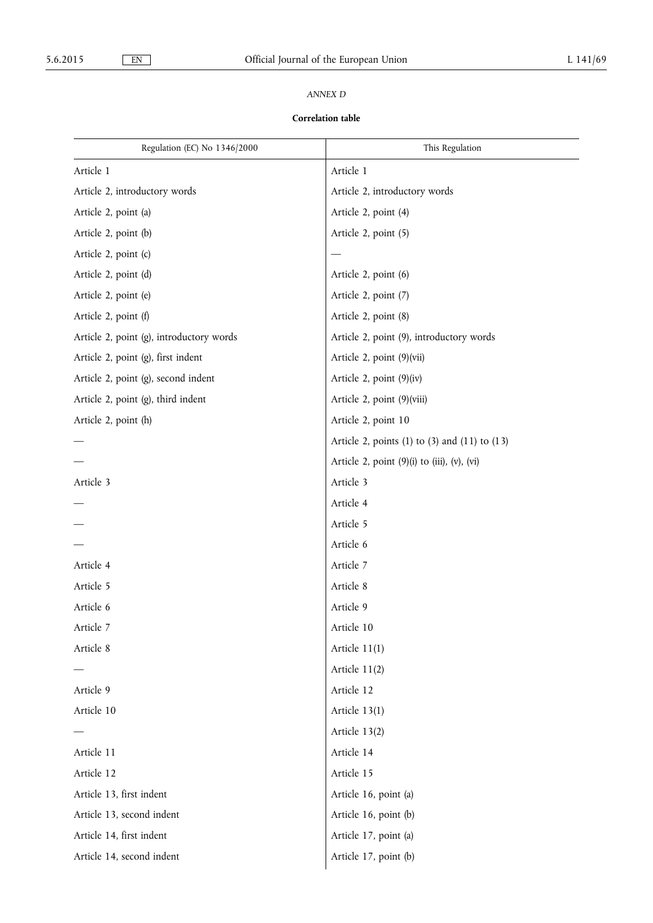# *ANNEX D*

# **Correlation table**

| Regulation (EC) No 1346/2000             | This Regulation                                       |
|------------------------------------------|-------------------------------------------------------|
| Article 1                                | Article 1                                             |
| Article 2, introductory words            | Article 2, introductory words                         |
| Article 2, point (a)                     | Article 2, point (4)                                  |
| Article 2, point (b)                     | Article 2, point (5)                                  |
| Article 2, point (c)                     |                                                       |
| Article 2, point (d)                     | Article 2, point (6)                                  |
| Article 2, point (e)                     | Article 2, point (7)                                  |
| Article 2, point (f)                     | Article 2, point (8)                                  |
| Article 2, point (g), introductory words | Article 2, point (9), introductory words              |
| Article 2, point (g), first indent       | Article 2, point (9)(vii)                             |
| Article 2, point (g), second indent      | Article 2, point (9)(iv)                              |
| Article 2, point (g), third indent       | Article 2, point (9)(viii)                            |
| Article 2, point (h)                     | Article 2, point 10                                   |
|                                          | Article 2, points $(1)$ to $(3)$ and $(11)$ to $(13)$ |
|                                          | Article 2, point $(9)(i)$ to $(iii)$ , $(v)$ , $(vi)$ |
| Article 3                                | Article 3                                             |
|                                          | Article 4                                             |
|                                          | Article 5                                             |
|                                          | Article 6                                             |
| Article 4                                | Article 7                                             |
| Article 5                                | Article 8                                             |
| Article 6                                | Article 9                                             |
| Article 7                                | Article 10                                            |
| Article 8                                | Article $11(1)$                                       |
|                                          | Article $11(2)$                                       |
| Article 9                                | Article 12                                            |
| Article 10                               | Article $13(1)$                                       |
|                                          | Article 13(2)                                         |
| Article 11                               | Article 14                                            |
| Article 12                               | Article 15                                            |
| Article 13, first indent                 | Article 16, point (a)                                 |
| Article 13, second indent                | Article 16, point (b)                                 |
| Article 14, first indent                 | Article 17, point (a)                                 |
| Article 14, second indent                | Article 17, point (b)                                 |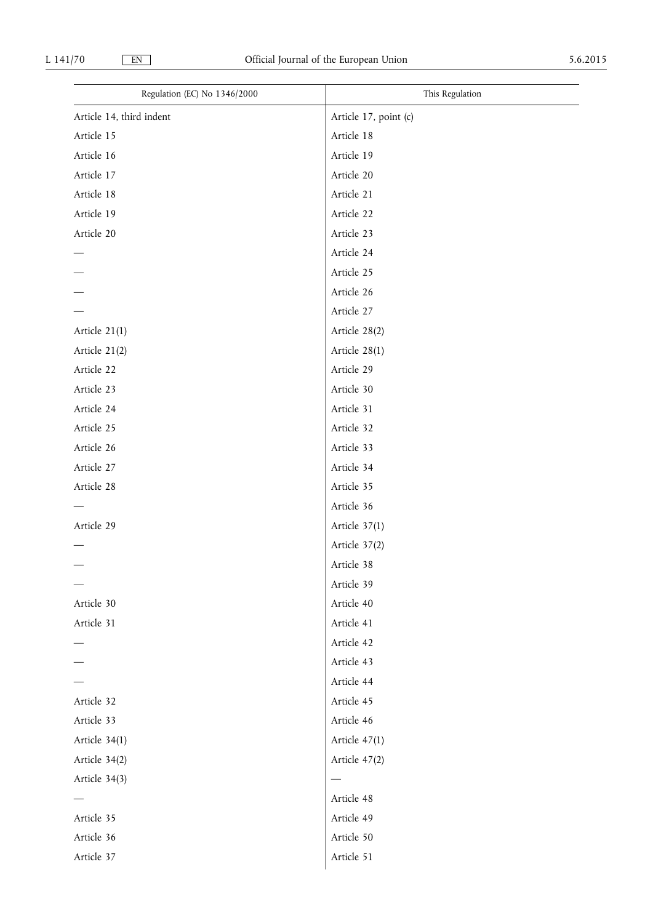| Regulation (EC) No 1346/2000 | This Regulation          |
|------------------------------|--------------------------|
| Article 14, third indent     | Article 17, point (c)    |
| Article 15                   | Article 18               |
| Article 16                   | Article 19               |
| Article 17                   | Article 20               |
| Article 18                   | Article 21               |
| Article 19                   | Article 22               |
| Article 20                   | Article 23               |
|                              | Article 24               |
|                              | Article 25               |
| $\overline{\phantom{0}}$     | Article 26               |
|                              | Article 27               |
| Article 21(1)                | Article 28(2)            |
| Article 21(2)                | Article 28(1)            |
| Article 22                   | Article 29               |
| Article 23                   | Article 30               |
| Article 24                   | Article 31               |
| Article 25                   | Article 32               |
| Article 26                   | Article 33               |
| Article 27                   | Article 34               |
| Article 28                   | Article 35               |
|                              | Article 36               |
| Article 29                   | Article 37(1)            |
|                              | Article 37(2)            |
|                              | Article 38               |
|                              | Article 39               |
| Article 30                   | Article 40               |
| Article 31                   | Article 41               |
|                              | Article 42               |
|                              | Article 43               |
|                              | Article 44               |
| Article 32                   | Article 45               |
| Article 33                   | Article 46               |
| Article $34(1)$              | Article $47(1)$          |
| Article 34(2)                | Article 47(2)            |
| Article 34(3)                | $\overline{\phantom{0}}$ |
|                              | Article 48               |
| Article 35                   | Article 49               |
| Article 36                   | Article 50               |
| Article 37                   | Article 51               |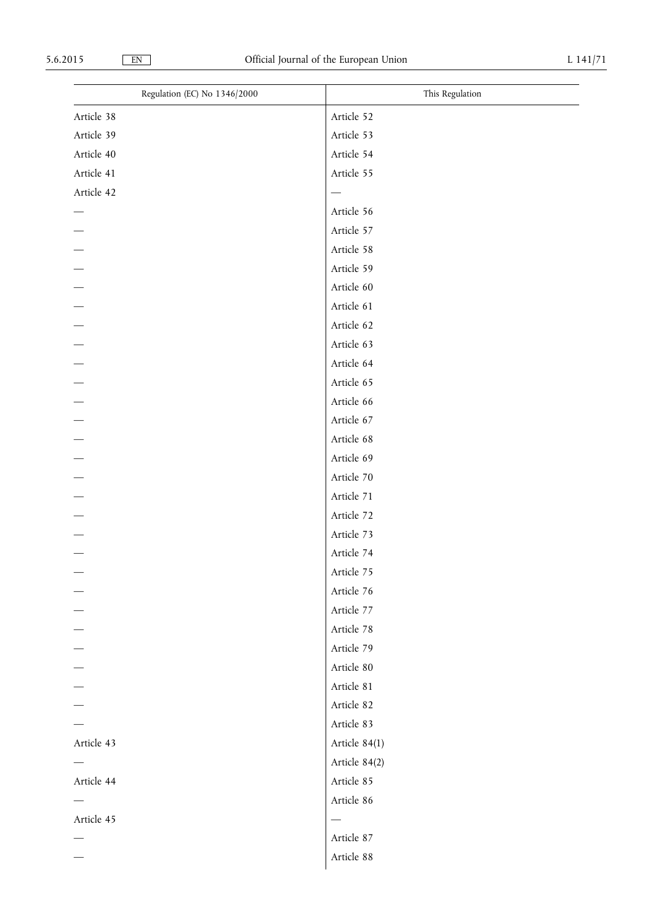| Regulation (EC) No 1346/2000 | This Regulation                |
|------------------------------|--------------------------------|
| Article 38                   | Article 52                     |
| Article 39                   | Article 53                     |
| Article 40                   | Article 54                     |
| Article 41                   | Article 55                     |
| Article 42                   |                                |
|                              | Article 56                     |
|                              | Article 57                     |
|                              | Article 58                     |
| $\overline{\phantom{0}}$     | Article 59                     |
|                              | Article 60                     |
|                              | Article 61                     |
|                              | Article 62                     |
|                              | Article 63                     |
|                              | Article 64                     |
| $\overline{\phantom{0}}$     | Article 65                     |
|                              | Article 66                     |
| $\overline{\phantom{0}}$     | Article 67                     |
| $\overline{\phantom{0}}$     | Article 68                     |
|                              | Article 69                     |
|                              | Article 70                     |
|                              | Article 71                     |
|                              | Article 72                     |
|                              | Article 73                     |
|                              | Article 74                     |
|                              | Article 75                     |
|                              | Article 76                     |
|                              | Article 77                     |
|                              | Article 78                     |
|                              | Article 79                     |
|                              | Article 80                     |
|                              | Article 81                     |
|                              | Article 82                     |
|                              | Article 83                     |
| Article 43                   | Article 84(1)                  |
|                              | Article 84(2)                  |
| Article 44                   | Article 85                     |
|                              | Article 86                     |
| Article 45                   | $\qquad \qquad \longleftarrow$ |
|                              | Article 87                     |
|                              | Article 88                     |